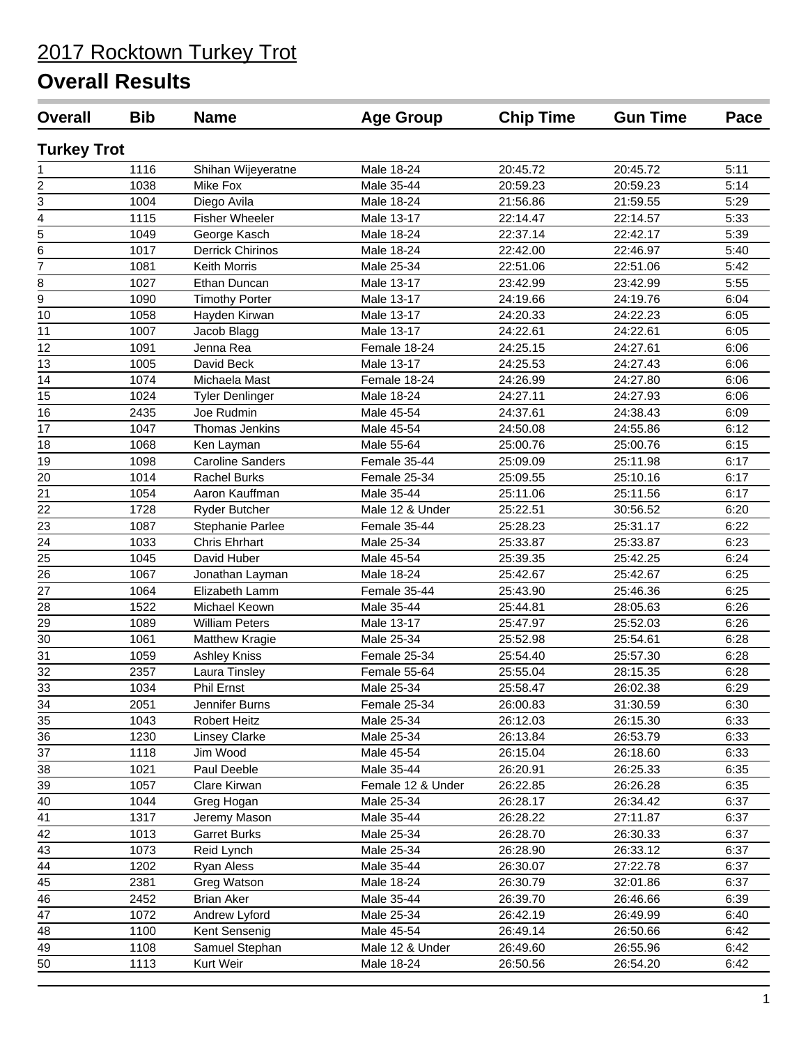| <b>Overall</b>     | <b>Bib</b> | <b>Name</b>             | <b>Age Group</b>  | <b>Chip Time</b> | <b>Gun Time</b> | Pace |
|--------------------|------------|-------------------------|-------------------|------------------|-----------------|------|
| <b>Turkey Trot</b> |            |                         |                   |                  |                 |      |
| 1                  | 1116       | Shihan Wijeyeratne      | Male 18-24        | 20:45.72         | 20:45.72        | 5:11 |
| $\overline{2}$     | 1038       | Mike Fox                | Male 35-44        | 20:59.23         | 20:59.23        | 5:14 |
| 3                  | 1004       | Diego Avila             | Male 18-24        | 21:56.86         | 21:59.55        | 5:29 |
| 4                  | 1115       | <b>Fisher Wheeler</b>   | Male 13-17        | 22:14.47         | 22:14.57        | 5:33 |
| 5                  | 1049       | George Kasch            | Male 18-24        | 22:37.14         | 22:42.17        | 5:39 |
| 6                  | 1017       | <b>Derrick Chirinos</b> | Male 18-24        | 22:42.00         | 22:46.97        | 5:40 |
| $\overline{7}$     | 1081       | Keith Morris            | Male 25-34        | 22:51.06         | 22:51.06        | 5:42 |
| 8                  | 1027       | Ethan Duncan            | Male 13-17        | 23:42.99         | 23:42.99        | 5:55 |
| $\overline{9}$     | 1090       | <b>Timothy Porter</b>   | Male 13-17        | 24:19.66         | 24:19.76        | 6:04 |
| 10                 | 1058       | Hayden Kirwan           | Male 13-17        | 24:20.33         | 24:22.23        | 6:05 |
| 11                 | 1007       | Jacob Blagg             | Male 13-17        | 24:22.61         | 24:22.61        | 6:05 |
| 12                 | 1091       | Jenna Rea               | Female 18-24      | 24:25.15         | 24:27.61        | 6:06 |
| 13                 | 1005       | David Beck              | Male 13-17        | 24:25.53         | 24:27.43        | 6:06 |
| 14                 | 1074       | Michaela Mast           | Female 18-24      | 24:26.99         | 24:27.80        | 6:06 |
| 15                 | 1024       | <b>Tyler Denlinger</b>  | Male 18-24        | 24:27.11         | 24:27.93        | 6:06 |
| 16                 | 2435       | Joe Rudmin              | Male 45-54        | 24:37.61         | 24:38.43        | 6:09 |
| 17                 | 1047       | Thomas Jenkins          | Male 45-54        | 24:50.08         | 24:55.86        | 6:12 |
| 18                 | 1068       | Ken Layman              | Male 55-64        | 25:00.76         | 25:00.76        | 6:15 |
| 19                 | 1098       | <b>Caroline Sanders</b> | Female 35-44      | 25:09.09         | 25:11.98        | 6:17 |
| 20                 | 1014       | <b>Rachel Burks</b>     | Female 25-34      | 25:09.55         | 25:10.16        | 6:17 |
| 21                 | 1054       | Aaron Kauffman          | Male 35-44        | 25:11.06         | 25:11.56        | 6:17 |
| 22                 | 1728       | Ryder Butcher           | Male 12 & Under   | 25:22.51         | 30:56.52        | 6:20 |
| 23                 | 1087       | Stephanie Parlee        | Female 35-44      | 25:28.23         | 25:31.17        | 6:22 |
| 24                 | 1033       | <b>Chris Ehrhart</b>    | Male 25-34        | 25:33.87         | 25:33.87        | 6:23 |
| 25                 | 1045       | David Huber             | Male 45-54        | 25:39.35         | 25:42.25        | 6:24 |
| 26                 | 1067       | Jonathan Layman         | Male 18-24        | 25:42.67         | 25:42.67        | 6:25 |
| 27                 | 1064       | Elizabeth Lamm          | Female 35-44      | 25:43.90         | 25:46.36        | 6:25 |
| 28                 | 1522       | Michael Keown           | Male 35-44        | 25:44.81         | 28:05.63        | 6:26 |
| 29                 | 1089       | <b>William Peters</b>   | Male 13-17        | 25:47.97         | 25:52.03        | 6:26 |
| $\overline{30}$    | 1061       | Matthew Kragie          | Male 25-34        | 25:52.98         | 25:54.61        | 6:28 |
| $\overline{31}$    | 1059       | <b>Ashley Kniss</b>     | Female 25-34      | 25:54.40         | 25:57.30        | 6:28 |
| $\overline{32}$    | 2357       | Laura Tinsley           | Female 55-64      | 25:55.04         | 28:15.35        | 6:28 |
| $\overline{33}$    | 1034       | Phil Ernst              | Male 25-34        | 25:58.47         | 26:02.38        | 6:29 |
| $\frac{34}{5}$     | 2051       | Jennifer Burns          | Female 25-34      | 26:00.83         | 31:30.59        | 6:30 |
| 35                 | 1043       | <b>Robert Heitz</b>     | Male 25-34        | 26:12.03         | 26:15.30        | 6:33 |
| 36                 | 1230       | <b>Linsey Clarke</b>    | Male 25-34        | 26:13.84         | 26:53.79        | 6:33 |
| 37                 | 1118       | Jim Wood                | Male 45-54        | 26:15.04         | 26:18.60        | 6:33 |
| 38                 | 1021       | Paul Deeble             | Male 35-44        | 26:20.91         | 26:25.33        | 6:35 |
| 39                 | 1057       | Clare Kirwan            | Female 12 & Under | 26:22.85         | 26:26.28        | 6:35 |
| 40                 | 1044       | Greg Hogan              | Male 25-34        | 26:28.17         | 26:34.42        | 6:37 |
| 41                 | 1317       | Jeremy Mason            | Male 35-44        | 26:28.22         | 27:11.87        | 6:37 |
| 42                 | 1013       | <b>Garret Burks</b>     | Male 25-34        | 26:28.70         | 26:30.33        | 6:37 |
| 43                 | 1073       | Reid Lynch              | Male 25-34        | 26:28.90         | 26:33.12        | 6:37 |
| 44                 | 1202       | Ryan Aless              | Male 35-44        | 26:30.07         | 27:22.78        | 6:37 |
| 45                 | 2381       | Greg Watson             | Male 18-24        | 26:30.79         | 32:01.86        | 6:37 |
| 46                 | 2452       | <b>Brian Aker</b>       | Male 35-44        | 26:39.70         | 26:46.66        | 6:39 |
| 47                 | 1072       | Andrew Lyford           | Male 25-34        | 26:42.19         | 26:49.99        | 6:40 |
| 48                 | 1100       | Kent Sensenig           | Male 45-54        | 26:49.14         | 26:50.66        | 6:42 |
| 49                 | 1108       | Samuel Stephan          | Male 12 & Under   | 26:49.60         | 26:55.96        | 6:42 |
| 50                 |            | Kurt Weir               |                   |                  |                 |      |
|                    | 1113       |                         | Male 18-24        | 26:50.56         | 26:54.20        | 6:42 |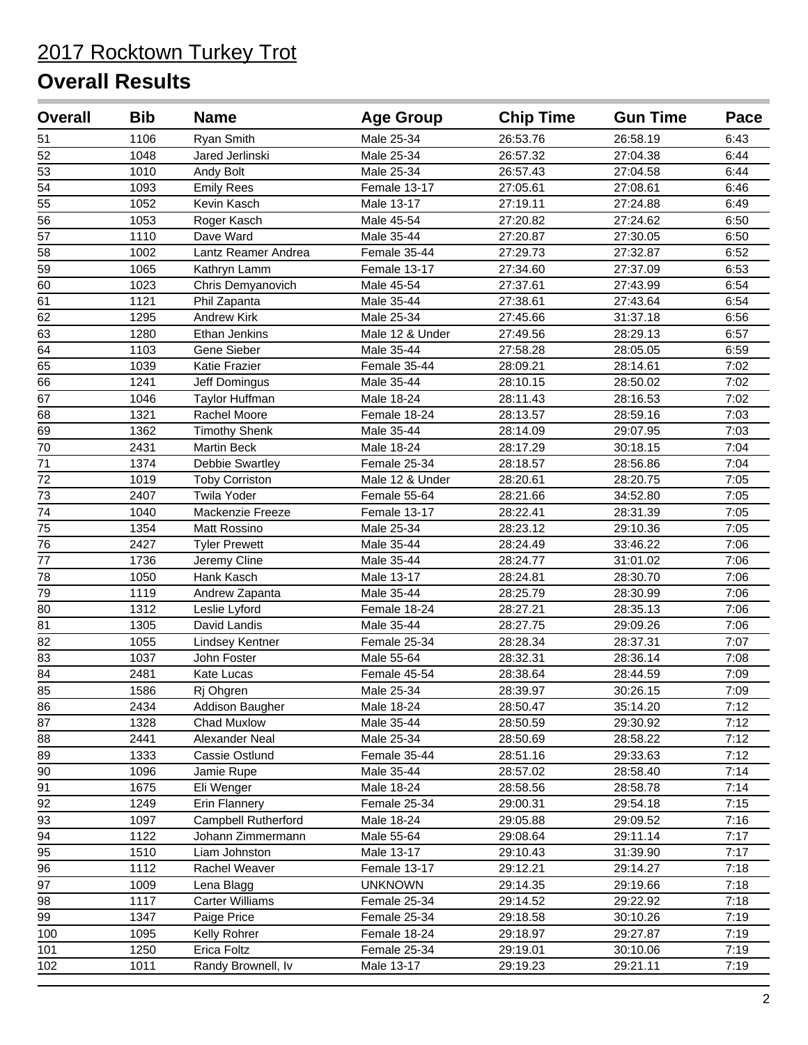| <b>Overall</b>  | <b>Bib</b> | <b>Name</b>           | <b>Age Group</b> | <b>Chip Time</b> | <b>Gun Time</b> | Pace |
|-----------------|------------|-----------------------|------------------|------------------|-----------------|------|
| 51              | 1106       | Ryan Smith            | Male 25-34       | 26:53.76         | 26:58.19        | 6:43 |
| $\overline{52}$ | 1048       | Jared Jerlinski       | Male 25-34       | 26:57.32         | 27:04.38        | 6:44 |
| $\overline{53}$ | 1010       | Andy Bolt             | Male 25-34       | 26:57.43         | 27:04.58        | 6:44 |
| $\overline{54}$ | 1093       | <b>Emily Rees</b>     | Female 13-17     | 27:05.61         | 27:08.61        | 6:46 |
| $\overline{55}$ | 1052       | Kevin Kasch           | Male 13-17       | 27:19.11         | 27:24.88        | 6:49 |
| $\overline{56}$ | 1053       | Roger Kasch           | Male 45-54       | 27:20.82         | 27:24.62        | 6:50 |
| $\overline{57}$ | 1110       | Dave Ward             | Male 35-44       | 27:20.87         | 27:30.05        | 6:50 |
| 58              | 1002       | Lantz Reamer Andrea   | Female 35-44     | 27:29.73         | 27:32.87        | 6:52 |
| 59              | 1065       | Kathryn Lamm          | Female 13-17     | 27:34.60         | 27:37.09        | 6:53 |
| 60              | 1023       | Chris Demyanovich     | Male 45-54       | 27:37.61         | 27:43.99        | 6:54 |
| 61              | 1121       | Phil Zapanta          | Male 35-44       | 27:38.61         | 27:43.64        | 6:54 |
| 62              | 1295       | <b>Andrew Kirk</b>    | Male 25-34       | 27:45.66         | 31:37.18        | 6:56 |
| 63              | 1280       | Ethan Jenkins         | Male 12 & Under  | 27:49.56         | 28:29.13        | 6:57 |
| 64              | 1103       | Gene Sieber           | Male 35-44       | 27:58.28         | 28:05.05        | 6:59 |
| 65              | 1039       | Katie Frazier         | Female 35-44     | 28:09.21         | 28:14.61        | 7:02 |
| 66              | 1241       | Jeff Domingus         | Male 35-44       | 28:10.15         | 28:50.02        | 7:02 |
| 67              | 1046       | Taylor Huffman        | Male 18-24       | 28:11.43         | 28:16.53        | 7:02 |
| 68              | 1321       | Rachel Moore          | Female 18-24     | 28:13.57         | 28:59.16        | 7:03 |
| 69              | 1362       | <b>Timothy Shenk</b>  | Male 35-44       | 28:14.09         | 29:07.95        | 7:03 |
| 70              | 2431       | <b>Martin Beck</b>    | Male 18-24       | 28:17.29         | 30:18.15        | 7:04 |
| 71              | 1374       | Debbie Swartley       | Female 25-34     | 28:18.57         | 28:56.86        | 7:04 |
| $\overline{72}$ | 1019       | <b>Toby Corriston</b> | Male 12 & Under  | 28:20.61         | 28:20.75        | 7:05 |
| $\overline{73}$ | 2407       | <b>Twila Yoder</b>    | Female 55-64     | 28:21.66         | 34:52.80        | 7:05 |
| $\overline{74}$ | 1040       | Mackenzie Freeze      | Female 13-17     | 28:22.41         | 28:31.39        | 7:05 |
| $\overline{75}$ | 1354       | Matt Rossino          | Male 25-34       | 28:23.12         | 29:10.36        | 7:05 |
| $\overline{76}$ | 2427       | <b>Tyler Prewett</b>  | Male 35-44       | 28:24.49         | 33:46.22        | 7:06 |
| 77              | 1736       | Jeremy Cline          | Male 35-44       | 28:24.77         | 31:01.02        | 7:06 |
| 78              | 1050       | Hank Kasch            | Male 13-17       | 28:24.81         | 28:30.70        | 7:06 |
| 79              | 1119       | Andrew Zapanta        | Male 35-44       | 28:25.79         | 28:30.99        | 7:06 |
| 80              | 1312       | Leslie Lyford         | Female 18-24     | 28:27.21         | 28:35.13        | 7:06 |
| 81              | 1305       | David Landis          | Male 35-44       | 28:27.75         | 29:09.26        | 7:06 |
| 82              | 1055       | Lindsey Kentner       | Female 25-34     | 28:28.34         | 28:37.31        | 7:07 |
| 83              | 1037       | John Foster           | Male 55-64       | 28:32.31         | 28:36.14        | 7:08 |
| 84              | 2481       | Kate Lucas            | Female 45-54     | 28:38.64         | 28:44.59        | 7:09 |
| 85              | 1586       | Rj Ohgren             | Male 25-34       | 28:39.97         | 30:26.15        | 7:09 |
| 86              | 2434       | Addison Baugher       | Male 18-24       | 28:50.47         | 35:14.20        | 7:12 |
| 87              | 1328       | Chad Muxlow           | Male 35-44       | 28:50.59         | 29:30.92        | 7:12 |
| 88              | 2441       | Alexander Neal        | Male 25-34       | 28:50.69         | 28:58.22        | 7:12 |
| 89              | 1333       | Cassie Ostlund        | Female 35-44     | 28:51.16         | 29:33.63        | 7:12 |
| $90\,$          | 1096       | Jamie Rupe            | Male 35-44       | 28:57.02         | 28:58.40        | 7:14 |
| 91              | 1675       | Eli Wenger            | Male 18-24       | 28:58.56         | 28:58.78        | 7:14 |
| 92              | 1249       | Erin Flannery         | Female 25-34     | 29:00.31         | 29:54.18        | 7:15 |
| 93              | 1097       | Campbell Rutherford   | Male 18-24       | 29:05.88         | 29:09.52        | 7:16 |
| $\overline{94}$ | 1122       | Johann Zimmermann     | Male 55-64       | 29:08.64         | 29:11.14        | 7:17 |
| 95              | 1510       | Liam Johnston         | Male 13-17       | 29:10.43         | 31:39.90        | 7:17 |
| $\overline{96}$ | 1112       | Rachel Weaver         | Female 13-17     | 29:12.21         | 29:14.27        | 7:18 |
| 97              | 1009       | Lena Blagg            | <b>UNKNOWN</b>   | 29:14.35         | 29:19.66        | 7:18 |
| 98              | 1117       | Carter Williams       | Female 25-34     | 29:14.52         | 29:22.92        | 7:18 |
| $\overline{99}$ | 1347       | Paige Price           | Female 25-34     | 29:18.58         | 30:10.26        | 7:19 |
| 100             | 1095       | Kelly Rohrer          | Female 18-24     | 29:18.97         | 29:27.87        | 7:19 |
| 101             | 1250       | Erica Foltz           | Female 25-34     | 29:19.01         | 30:10.06        | 7:19 |
| 102             | 1011       | Randy Brownell, Iv    | Male 13-17       | 29:19.23         | 29:21.11        | 7:19 |
|                 |            |                       |                  |                  |                 |      |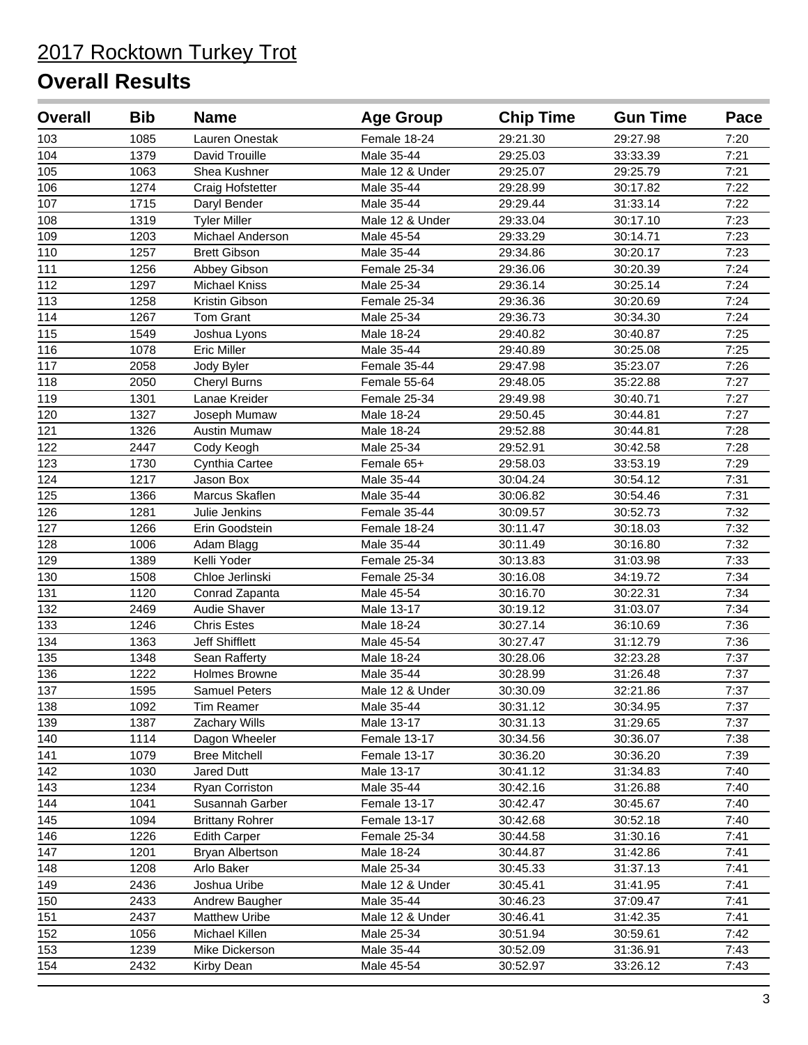| <b>Overall</b>  | <b>Bib</b> | <b>Name</b>            | <b>Age Group</b> | <b>Chip Time</b> | <b>Gun Time</b> | Pace |
|-----------------|------------|------------------------|------------------|------------------|-----------------|------|
| 103             | 1085       | Lauren Onestak         | Female 18-24     | 29:21.30         | 29:27.98        | 7:20 |
| 104             | 1379       | David Trouille         | Male 35-44       | 29:25.03         | 33:33.39        | 7:21 |
| $\frac{1}{105}$ | 1063       | Shea Kushner           | Male 12 & Under  | 29:25.07         | 29:25.79        | 7:21 |
| 106             | 1274       | Craig Hofstetter       | Male 35-44       | 29:28.99         | 30:17.82        | 7:22 |
| 107             | 1715       | Daryl Bender           | Male 35-44       | 29:29.44         | 31:33.14        | 7:22 |
| 108             | 1319       | <b>Tyler Miller</b>    | Male 12 & Under  | 29:33.04         | 30:17.10        | 7:23 |
| 109             | 1203       | Michael Anderson       | Male 45-54       | 29:33.29         | 30:14.71        | 7:23 |
| 110             | 1257       | <b>Brett Gibson</b>    | Male 35-44       | 29:34.86         | 30:20.17        | 7:23 |
| 111             | 1256       | Abbey Gibson           | Female 25-34     | 29:36.06         | 30:20.39        | 7:24 |
| 112             | 1297       | Michael Kniss          | Male 25-34       | 29:36.14         | 30:25.14        | 7:24 |
| 113             | 1258       | Kristin Gibson         | Female 25-34     | 29:36.36         | 30:20.69        | 7:24 |
| 114             | 1267       | Tom Grant              | Male 25-34       | 29:36.73         | 30:34.30        | 7:24 |
| 115             | 1549       | Joshua Lyons           | Male 18-24       | 29:40.82         | 30:40.87        | 7:25 |
| 116             | 1078       | <b>Eric Miller</b>     | Male 35-44       | 29:40.89         | 30:25.08        | 7:25 |
| 117             | 2058       | Jody Byler             | Female 35-44     | 29:47.98         | 35:23.07        | 7:26 |
| 118             | 2050       | <b>Cheryl Burns</b>    | Female 55-64     | 29:48.05         | 35:22.88        | 7:27 |
| 119             | 1301       | Lanae Kreider          | Female 25-34     | 29:49.98         | 30:40.71        | 7:27 |
| 120             | 1327       | Joseph Mumaw           | Male 18-24       | 29:50.45         | 30:44.81        | 7:27 |
| 121             | 1326       | <b>Austin Mumaw</b>    | Male 18-24       | 29:52.88         | 30:44.81        | 7:28 |
| 122             | 2447       | Cody Keogh             | Male 25-34       | 29:52.91         | 30:42.58        | 7:28 |
| 123             | 1730       | Cynthia Cartee         | Female 65+       | 29:58.03         | 33:53.19        | 7:29 |
| 124             | 1217       | Jason Box              | Male 35-44       | 30:04.24         | 30:54.12        | 7:31 |
| 125             | 1366       | Marcus Skaflen         | Male 35-44       | 30:06.82         | 30:54.46        | 7:31 |
| 126             | 1281       | Julie Jenkins          | Female 35-44     | 30:09.57         | 30:52.73        | 7:32 |
| 127             | 1266       | Erin Goodstein         | Female 18-24     | 30:11.47         | 30:18.03        | 7:32 |
| 128             | 1006       | Adam Blagg             | Male 35-44       | 30:11.49         | 30:16.80        | 7:32 |
| 129             | 1389       | Kelli Yoder            | Female 25-34     | 30:13.83         | 31:03.98        | 7:33 |
| 130             | 1508       | Chloe Jerlinski        | Female 25-34     | 30:16.08         | 34:19.72        | 7:34 |
| 131             | 1120       | Conrad Zapanta         | Male 45-54       | 30:16.70         | 30:22.31        | 7:34 |
| 132             | 2469       | Audie Shaver           | Male 13-17       | 30:19.12         | 31:03.07        | 7:34 |
| 133             | 1246       | <b>Chris Estes</b>     | Male 18-24       | 30:27.14         | 36:10.69        | 7:36 |
| 134             | 1363       | Jeff Shifflett         | Male 45-54       | 30:27.47         | 31:12.79        | 7:36 |
| 135             | 1348       | Sean Rafferty          | Male 18-24       | 30:28.06         | 32:23.28        | 7:37 |
| 136             | 1222       | Holmes Browne          | Male 35-44       | 30:28.99         | 31:26.48        | 7:37 |
| 137             | 1595       | <b>Samuel Peters</b>   | Male 12 & Under  | 30:30.09         | 32:21.86        | 7:37 |
| 138             | 1092       | Tim Reamer             | Male 35-44       | 30:31.12         | 30:34.95        | 7:37 |
| 139             | 1387       | Zachary Wills          | Male 13-17       | 30:31.13         | 31:29.65        | 7:37 |
| 140             | 1114       | Dagon Wheeler          | Female 13-17     | 30:34.56         | 30:36.07        | 7:38 |
| 141             | 1079       | <b>Bree Mitchell</b>   | Female 13-17     | 30:36.20         | 30:36.20        | 7:39 |
| 142             | 1030       | Jared Dutt             | Male 13-17       | 30:41.12         | 31:34.83        | 7:40 |
| 143             | 1234       | Ryan Corriston         | Male 35-44       | 30:42.16         | 31:26.88        | 7:40 |
| 144             | 1041       | Susannah Garber        | Female 13-17     | 30:42.47         | 30:45.67        | 7:40 |
| 145             | 1094       | <b>Brittany Rohrer</b> | Female 13-17     | 30:42.68         | 30:52.18        | 7:40 |
| 146             | 1226       | <b>Edith Carper</b>    | Female 25-34     | 30:44.58         | 31:30.16        | 7:41 |
| 147             | 1201       | Bryan Albertson        | Male 18-24       | 30:44.87         | 31:42.86        | 7:41 |
| 148             | 1208       | Arlo Baker             | Male 25-34       | 30:45.33         | 31:37.13        | 7:41 |
| 149             | 2436       | Joshua Uribe           | Male 12 & Under  | 30:45.41         | 31:41.95        | 7:41 |
| 150             | 2433       | Andrew Baugher         | Male 35-44       | 30:46.23         | 37:09.47        | 7:41 |
| 151             | 2437       | <b>Matthew Uribe</b>   | Male 12 & Under  | 30:46.41         | 31:42.35        | 7:41 |
| 152             | 1056       | Michael Killen         | Male 25-34       | 30:51.94         | 30:59.61        | 7:42 |
| 153             | 1239       | Mike Dickerson         | Male 35-44       | 30:52.09         | 31:36.91        | 7:43 |
| 154             | 2432       | Kirby Dean             | Male 45-54       | 30:52.97         | 33:26.12        | 7:43 |
|                 |            |                        |                  |                  |                 |      |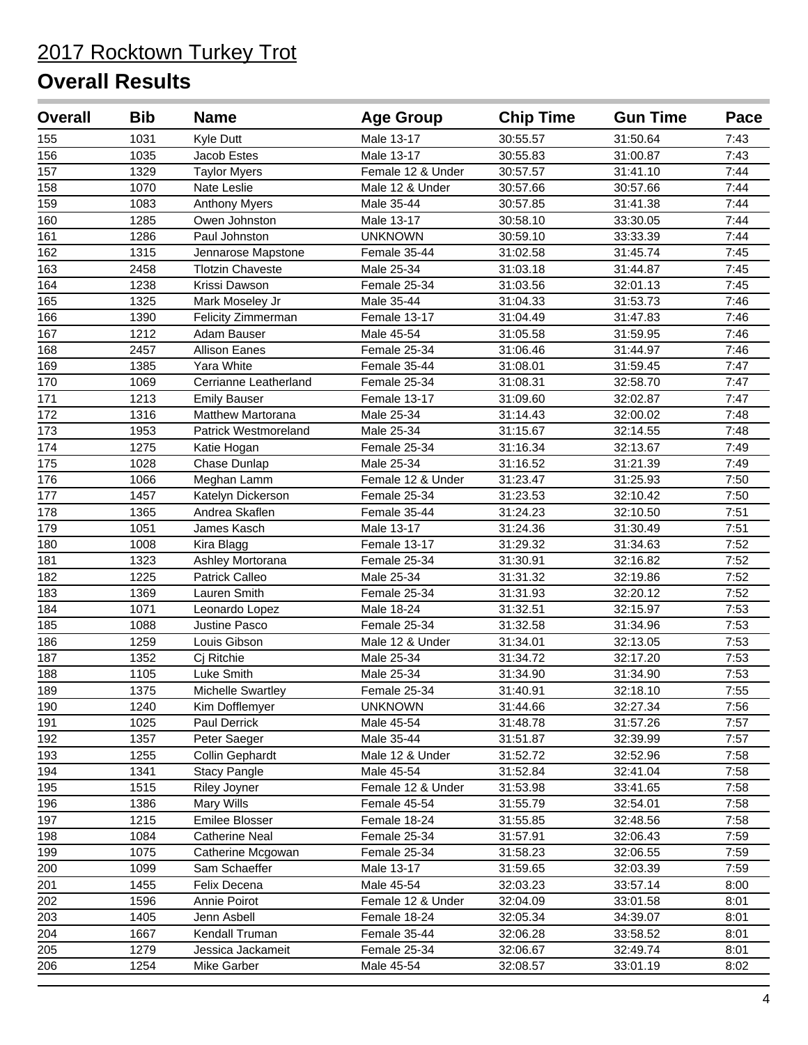| <b>Overall</b>   | <b>Bib</b> | <b>Name</b>              | <b>Age Group</b>  | <b>Chip Time</b> | <b>Gun Time</b> | Pace |
|------------------|------------|--------------------------|-------------------|------------------|-----------------|------|
| 155              | 1031       | Kyle Dutt                | Male 13-17        | 30:55.57         | 31:50.64        | 7:43 |
| 156              | 1035       | Jacob Estes              | Male 13-17        | 30:55.83         | 31:00.87        | 7:43 |
| 157              | 1329       | <b>Taylor Myers</b>      | Female 12 & Under | 30:57.57         | 31:41.10        | 7:44 |
| 158              | 1070       | Nate Leslie              | Male 12 & Under   | 30:57.66         | 30:57.66        | 7:44 |
| 159              | 1083       | <b>Anthony Myers</b>     | Male 35-44        | 30:57.85         | 31:41.38        | 7:44 |
| 160              | 1285       | Owen Johnston            | Male 13-17        | 30:58.10         | 33:30.05        | 7:44 |
| 161              | 1286       | Paul Johnston            | <b>UNKNOWN</b>    | 30:59.10         | 33:33.39        | 7:44 |
| 162              | 1315       | Jennarose Mapstone       | Female 35-44      | 31:02.58         | 31:45.74        | 7:45 |
| 163              | 2458       | <b>Tlotzin Chaveste</b>  | Male 25-34        | 31:03.18         | 31:44.87        | 7:45 |
| 164              | 1238       | Krissi Dawson            | Female 25-34      | 31:03.56         | 32:01.13        | 7:45 |
| 165              | 1325       | Mark Moseley Jr          | Male 35-44        | 31:04.33         | 31:53.73        | 7:46 |
| 166              | 1390       | Felicity Zimmerman       | Female 13-17      | 31:04.49         | 31:47.83        | 7:46 |
| 167              | 1212       | Adam Bauser              | Male 45-54        | 31:05.58         | 31:59.95        | 7:46 |
| 168              | 2457       | <b>Allison Eanes</b>     | Female 25-34      | 31:06.46         | 31:44.97        | 7:46 |
| 169              | 1385       | Yara White               | Female 35-44      | 31:08.01         | 31:59.45        | 7:47 |
| 170              | 1069       | Cerrianne Leatherland    | Female 25-34      | 31:08.31         | 32:58.70        | 7:47 |
| 171              | 1213       | <b>Emily Bauser</b>      | Female 13-17      | 31:09.60         | 32:02.87        | 7:47 |
| 172              | 1316       | <b>Matthew Martorana</b> | Male 25-34        | 31:14.43         | 32:00.02        | 7:48 |
| 173              | 1953       | Patrick Westmoreland     | Male 25-34        | 31:15.67         | 32:14.55        | 7:48 |
| 174              | 1275       | Katie Hogan              | Female 25-34      | 31:16.34         | 32:13.67        | 7:49 |
| 175              | 1028       | Chase Dunlap             | Male 25-34        | 31:16.52         | 31:21.39        | 7:49 |
| 176              | 1066       | Meghan Lamm              | Female 12 & Under | 31:23.47         | 31:25.93        | 7:50 |
| 177              | 1457       | Katelyn Dickerson        | Female 25-34      | 31:23.53         | 32:10.42        | 7:50 |
| $\overline{178}$ | 1365       | Andrea Skaflen           | Female 35-44      | 31:24.23         | 32:10.50        | 7:51 |
| 179              | 1051       | James Kasch              | Male 13-17        | 31:24.36         | 31:30.49        | 7:51 |
| 180              | 1008       | Kira Blagg               | Female 13-17      | 31:29.32         | 31:34.63        | 7:52 |
| 181              | 1323       | Ashley Mortorana         | Female 25-34      | 31:30.91         | 32:16.82        | 7:52 |
| 182              | 1225       | Patrick Calleo           | Male 25-34        | 31:31.32         | 32:19.86        | 7:52 |
| 183              | 1369       | Lauren Smith             | Female 25-34      | 31:31.93         | 32:20.12        | 7:52 |
| 184              | 1071       | Leonardo Lopez           | Male 18-24        | 31:32.51         | 32:15.97        | 7:53 |
| 185              | 1088       | Justine Pasco            | Female 25-34      | 31:32.58         | 31:34.96        | 7:53 |
| 186              | 1259       | Louis Gibson             | Male 12 & Under   | 31:34.01         | 32:13.05        | 7:53 |
| 187              | 1352       | Cj Ritchie               | Male 25-34        | 31:34.72         | 32:17.20        | 7:53 |
| 188              | 1105       | Luke Smith               | Male 25-34        | 31:34.90         | 31:34.90        | 7:53 |
| 189              | 1375       | <b>Michelle Swartley</b> | Female 25-34      | 31:40.91         | 32:18.10        | 7:55 |
| 190              | 1240       | Kim Dofflemyer           | <b>UNKNOWN</b>    | 31:44.66         | 32:27.34        | 7:56 |
| 191              | 1025       | Paul Derrick             | Male 45-54        | 31:48.78         | 31:57.26        | 7:57 |
| 192              | 1357       | Peter Saeger             | Male 35-44        | 31:51.87         | 32:39.99        | 7:57 |
| 193              | 1255       | Collin Gephardt          | Male 12 & Under   | 31:52.72         | 32:52.96        | 7:58 |
| 194              | 1341       | <b>Stacy Pangle</b>      | Male 45-54        | 31:52.84         | 32:41.04        | 7:58 |
| 195              | 1515       | Riley Joyner             | Female 12 & Under | 31:53.98         | 33:41.65        | 7:58 |
| 196              | 1386       | Mary Wills               | Female 45-54      | 31:55.79         | 32:54.01        | 7:58 |
| 197              | 1215       | Emilee Blosser           | Female 18-24      | 31:55.85         | 32:48.56        | 7:58 |
| 198              | 1084       | <b>Catherine Neal</b>    | Female 25-34      | 31:57.91         | 32:06.43        | 7:59 |
| 199              | 1075       | Catherine Mcgowan        | Female 25-34      | 31:58.23         | 32:06.55        | 7:59 |
| 200              | 1099       | Sam Schaeffer            | Male 13-17        | 31:59.65         | 32:03.39        | 7:59 |
| 201              | 1455       | Felix Decena             | Male 45-54        | 32:03.23         | 33:57.14        | 8:00 |
| 202              | 1596       | Annie Poirot             | Female 12 & Under | 32:04.09         | 33:01.58        | 8:01 |
| 203              | 1405       | Jenn Asbell              | Female 18-24      | 32:05.34         | 34:39.07        | 8:01 |
| 204              | 1667       | Kendall Truman           | Female 35-44      | 32:06.28         | 33:58.52        | 8:01 |
| 205              | 1279       | Jessica Jackameit        | Female 25-34      | 32:06.67         | 32:49.74        | 8:01 |
| 206              | 1254       | Mike Garber              | Male 45-54        | 32:08.57         | 33:01.19        | 8:02 |
|                  |            |                          |                   |                  |                 |      |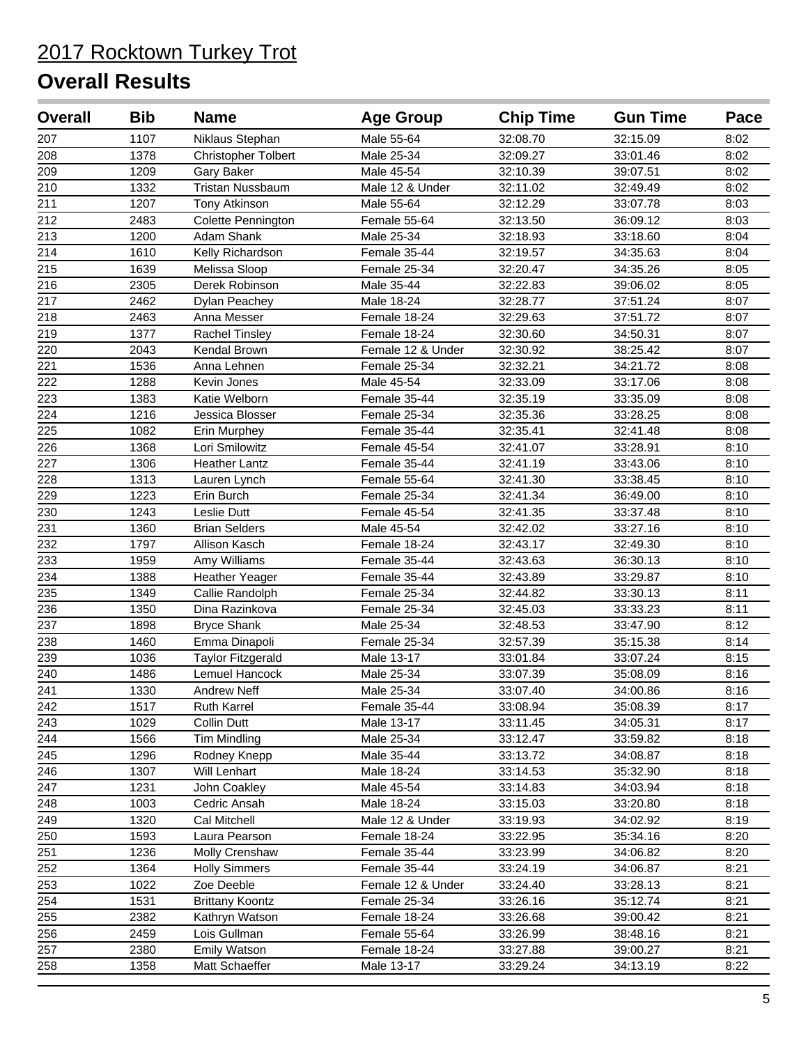| <b>Overall</b>   | <b>Bib</b> | <b>Name</b>                | <b>Age Group</b>  | <b>Chip Time</b> | <b>Gun Time</b> | Pace |
|------------------|------------|----------------------------|-------------------|------------------|-----------------|------|
| 207              | 1107       | Niklaus Stephan            | Male 55-64        | 32:08.70         | 32:15.09        | 8:02 |
| 208              | 1378       | <b>Christopher Tolbert</b> | Male 25-34        | 32:09.27         | 33:01.46        | 8:02 |
| $\overline{209}$ | 1209       | Gary Baker                 | Male 45-54        | 32:10.39         | 39:07.51        | 8:02 |
| 210              | 1332       | <b>Tristan Nussbaum</b>    | Male 12 & Under   | 32:11.02         | 32:49.49        | 8:02 |
| 211              | 1207       | <b>Tony Atkinson</b>       | Male 55-64        | 32:12.29         | 33:07.78        | 8:03 |
| 212              | 2483       | Colette Pennington         | Female 55-64      | 32:13.50         | 36:09.12        | 8:03 |
| 213              | 1200       | Adam Shank                 | Male 25-34        | 32:18.93         | 33:18.60        | 8:04 |
| 214              | 1610       | Kelly Richardson           | Female 35-44      | 32:19.57         | 34:35.63        | 8:04 |
| 215              | 1639       | Melissa Sloop              | Female 25-34      | 32:20.47         | 34:35.26        | 8:05 |
| 216              | 2305       | Derek Robinson             | Male 35-44        | 32:22.83         | 39:06.02        | 8:05 |
| 217              | 2462       | Dylan Peachey              | Male 18-24        | 32:28.77         | 37:51.24        | 8:07 |
| 218              | 2463       | Anna Messer                | Female 18-24      | 32:29.63         | 37:51.72        | 8:07 |
| 219              | 1377       | Rachel Tinsley             | Female 18-24      | 32:30.60         | 34:50.31        | 8:07 |
| 220              | 2043       | Kendal Brown               | Female 12 & Under | 32:30.92         | 38:25.42        | 8:07 |
| 221              | 1536       | Anna Lehnen                | Female 25-34      | 32:32.21         | 34:21.72        | 8:08 |
| 222              | 1288       | Kevin Jones                | Male 45-54        | 32:33.09         | 33:17.06        | 8:08 |
| 223              | 1383       | Katie Welborn              | Female 35-44      | 32:35.19         | 33:35.09        | 8:08 |
| 224              | 1216       | Jessica Blosser            | Female 25-34      | 32:35.36         | 33:28.25        | 8:08 |
| 225              | 1082       | Erin Murphey               | Female 35-44      | 32:35.41         | 32:41.48        | 8:08 |
| 226              | 1368       | Lori Smilowitz             | Female 45-54      | 32:41.07         | 33:28.91        | 8:10 |
| 227              | 1306       | <b>Heather Lantz</b>       | Female 35-44      | 32:41.19         | 33:43.06        | 8:10 |
| 228              | 1313       | Lauren Lynch               | Female 55-64      | 32:41.30         | 33:38.45        | 8:10 |
| 229              | 1223       | Erin Burch                 | Female 25-34      | 32:41.34         | 36:49.00        | 8:10 |
| $\overline{230}$ | 1243       | <b>Leslie Dutt</b>         | Female 45-54      | 32:41.35         | 33:37.48        | 8:10 |
| 231              | 1360       | <b>Brian Selders</b>       | Male 45-54        | 32:42.02         | 33:27.16        | 8:10 |
| 232              | 1797       | Allison Kasch              | Female 18-24      | 32:43.17         | 32:49.30        | 8:10 |
| 233              | 1959       | Amy Williams               | Female 35-44      | 32:43.63         | 36:30.13        | 8:10 |
| 234              | 1388       | Heather Yeager             | Female 35-44      | 32:43.89         | 33:29.87        | 8:10 |
| 235              | 1349       | Callie Randolph            | Female 25-34      | 32:44.82         | 33:30.13        | 8:11 |
| 236              | 1350       | Dina Razinkova             | Female 25-34      | 32:45.03         | 33:33.23        | 8:11 |
| 237              | 1898       | <b>Bryce Shank</b>         | Male 25-34        | 32:48.53         | 33:47.90        | 8:12 |
| 238              | 1460       | Emma Dinapoli              | Female 25-34      | 32:57.39         | 35:15.38        | 8:14 |
| 239              | 1036       | <b>Taylor Fitzgerald</b>   | Male 13-17        | 33:01.84         | 33:07.24        | 8:15 |
| 240              | 1486       | Lemuel Hancock             | Male 25-34        | 33:07.39         | 35:08.09        | 8:16 |
| 241              | 1330       | Andrew Neff                | Male 25-34        | 33:07.40         | 34:00.86        | 8:16 |
| 242              | 1517       | <b>Ruth Karrel</b>         | Female 35-44      | 33:08.94         | 35:08.39        | 8:17 |
| 243              | 1029       | Collin Dutt                | Male 13-17        | 33:11.45         | 34:05.31        | 8:17 |
| 244              | 1566       | Tim Mindling               | Male 25-34        | 33:12.47         | 33:59.82        | 8:18 |
| 245              | 1296       | Rodney Knepp               | Male 35-44        | 33:13.72         | 34:08.87        | 8:18 |
| 246              | 1307       | Will Lenhart               | Male 18-24        | 33:14.53         | 35:32.90        | 8:18 |
| 247              | 1231       | John Coakley               | Male 45-54        | 33:14.83         | 34:03.94        | 8:18 |
| 248              | 1003       | Cedric Ansah               | Male 18-24        | 33:15.03         | 33:20.80        | 8:18 |
| 249              | 1320       | Cal Mitchell               | Male 12 & Under   | 33:19.93         | 34:02.92        | 8:19 |
| 250              | 1593       | Laura Pearson              | Female 18-24      | 33:22.95         | 35:34.16        | 8:20 |
| 251              | 1236       | Molly Crenshaw             | Female 35-44      | 33:23.99         | 34:06.82        | 8:20 |
| 252              | 1364       | <b>Holly Simmers</b>       | Female 35-44      | 33:24.19         | 34:06.87        | 8:21 |
| 253              | 1022       | Zoe Deeble                 | Female 12 & Under | 33:24.40         | 33:28.13        | 8:21 |
| 254              | 1531       | <b>Brittany Koontz</b>     | Female 25-34      | 33:26.16         | 35:12.74        | 8:21 |
| 255              | 2382       | Kathryn Watson             | Female 18-24      | 33:26.68         | 39:00.42        | 8:21 |
| 256              | 2459       | Lois Gullman               | Female 55-64      | 33:26.99         | 38:48.16        | 8:21 |
| 257              | 2380       | Emily Watson               | Female 18-24      | 33:27.88         | 39:00.27        | 8:21 |
| 258              | 1358       | Matt Schaeffer             | Male 13-17        | 33:29.24         | 34:13.19        | 8:22 |
|                  |            |                            |                   |                  |                 |      |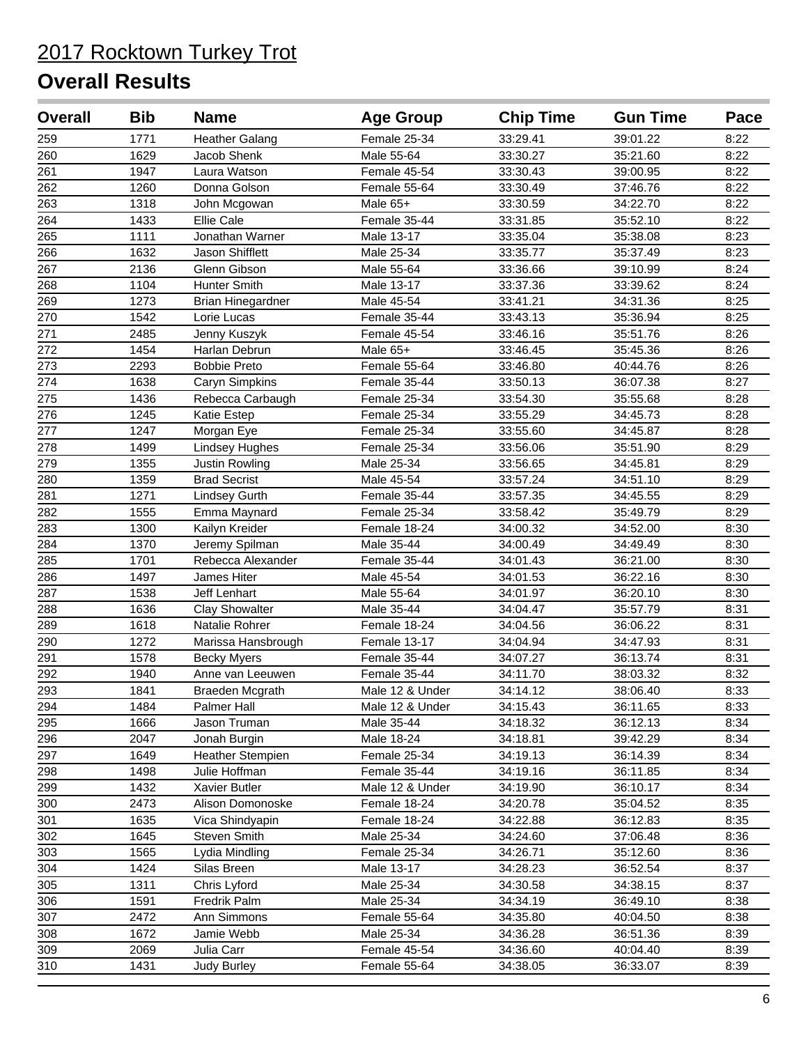| <b>Overall</b> | <b>Bib</b> | <b>Name</b>              | <b>Age Group</b> | <b>Chip Time</b> | <b>Gun Time</b> | Pace |
|----------------|------------|--------------------------|------------------|------------------|-----------------|------|
| 259            | 1771       | <b>Heather Galang</b>    | Female 25-34     | 33:29.41         | 39:01.22        | 8:22 |
| 260            | 1629       | Jacob Shenk              | Male 55-64       | 33:30.27         | 35:21.60        | 8:22 |
| 261            | 1947       | Laura Watson             | Female 45-54     | 33:30.43         | 39:00.95        | 8:22 |
| 262            | 1260       | Donna Golson             | Female 55-64     | 33:30.49         | 37:46.76        | 8:22 |
| 263            | 1318       | John Mcgowan             | Male 65+         | 33:30.59         | 34:22.70        | 8:22 |
| 264            | 1433       | <b>Ellie Cale</b>        | Female 35-44     | 33:31.85         | 35:52.10        | 8:22 |
| 265            | 1111       | Jonathan Warner          | Male 13-17       | 33:35.04         | 35:38.08        | 8:23 |
| 266            | 1632       | Jason Shifflett          | Male 25-34       | 33:35.77         | 35:37.49        | 8:23 |
| 267            | 2136       | Glenn Gibson             | Male 55-64       | 33:36.66         | 39:10.99        | 8:24 |
| 268            | 1104       | <b>Hunter Smith</b>      | Male 13-17       | 33:37.36         | 33:39.62        | 8:24 |
| 269            | 1273       | <b>Brian Hinegardner</b> | Male 45-54       | 33:41.21         | 34:31.36        | 8:25 |
| 270            | 1542       | Lorie Lucas              | Female 35-44     | 33:43.13         | 35:36.94        | 8:25 |
| 271            | 2485       | Jenny Kuszyk             | Female 45-54     | 33:46.16         | 35:51.76        | 8:26 |
| 272            | 1454       | Harlan Debrun            | Male 65+         | 33:46.45         | 35:45.36        | 8:26 |
| 273            | 2293       | <b>Bobbie Preto</b>      | Female 55-64     | 33:46.80         | 40:44.76        | 8:26 |
| 274            | 1638       | Caryn Simpkins           | Female 35-44     | 33:50.13         | 36:07.38        | 8:27 |
| 275            | 1436       | Rebecca Carbaugh         | Female 25-34     | 33:54.30         | 35:55.68        | 8:28 |
| 276            | 1245       | Katie Estep              | Female 25-34     | 33:55.29         | 34:45.73        | 8:28 |
| 277            | 1247       | Morgan Eye               | Female 25-34     | 33:55.60         | 34:45.87        | 8:28 |
| 278            | 1499       | <b>Lindsey Hughes</b>    | Female 25-34     | 33:56.06         | 35:51.90        | 8:29 |
| 279            | 1355       | <b>Justin Rowling</b>    | Male 25-34       | 33:56.65         | 34:45.81        | 8:29 |
| 280            | 1359       | <b>Brad Secrist</b>      | Male 45-54       | 33:57.24         | 34:51.10        | 8:29 |
| 281            | 1271       | <b>Lindsey Gurth</b>     | Female 35-44     | 33:57.35         | 34:45.55        | 8:29 |
| 282            | 1555       | Emma Maynard             | Female 25-34     | 33:58.42         | 35:49.79        | 8:29 |
| 283            | 1300       | Kailyn Kreider           | Female 18-24     | 34:00.32         | 34:52.00        | 8:30 |
| 284            | 1370       | Jeremy Spilman           | Male 35-44       | 34:00.49         | 34:49.49        | 8:30 |
| 285            | 1701       | Rebecca Alexander        | Female 35-44     | 34:01.43         | 36:21.00        | 8:30 |
| 286            | 1497       | James Hiter              | Male 45-54       | 34:01.53         | 36:22.16        | 8:30 |
| 287            | 1538       | Jeff Lenhart             | Male 55-64       | 34:01.97         | 36:20.10        | 8:30 |
| 288            | 1636       | <b>Clay Showalter</b>    | Male 35-44       | 34:04.47         | 35:57.79        | 8:31 |
| 289            | 1618       | Natalie Rohrer           | Female 18-24     | 34:04.56         | 36:06.22        | 8:31 |
| 290            | 1272       | Marissa Hansbrough       | Female 13-17     | 34:04.94         | 34:47.93        | 8:31 |
| 291            | 1578       | <b>Becky Myers</b>       | Female 35-44     | 34:07.27         | 36:13.74        | 8:31 |
| 292            | 1940       | Anne van Leeuwen         | Female 35-44     | 34:11.70         | 38:03.32        | 8:32 |
| 293            | 1841       | Braeden Mcgrath          | Male 12 & Under  | 34:14.12         | 38:06.40        | 8:33 |
| 294            | 1484       | Palmer Hall              | Male 12 & Under  | 34:15.43         | 36:11.65        | 8:33 |
| 295            | 1666       | Jason Truman             | Male 35-44       | 34:18.32         | 36:12.13        | 8:34 |
| 296            | 2047       | Jonah Burgin             | Male 18-24       | 34:18.81         | 39:42.29        | 8:34 |
| 297            | 1649       | <b>Heather Stempien</b>  | Female 25-34     | 34:19.13         | 36:14.39        | 8:34 |
| 298            | 1498       | Julie Hoffman            | Female 35-44     | 34:19.16         | 36:11.85        | 8:34 |
| 299            | 1432       | Xavier Butler            | Male 12 & Under  | 34:19.90         | 36:10.17        | 8:34 |
| 300            | 2473       | Alison Domonoske         | Female 18-24     | 34:20.78         | 35:04.52        | 8:35 |
| 301            | 1635       | Vica Shindyapin          | Female 18-24     | 34:22.88         | 36:12.83        | 8:35 |
| 302            | 1645       | Steven Smith             | Male 25-34       | 34:24.60         | 37:06.48        | 8:36 |
| 303            | 1565       | Lydia Mindling           | Female 25-34     | 34:26.71         | 35:12.60        | 8:36 |
| 304            | 1424       | Silas Breen              | Male 13-17       | 34:28.23         | 36:52.54        | 8:37 |
| 305            | 1311       | Chris Lyford             | Male 25-34       | 34:30.58         | 34:38.15        | 8:37 |
| 306            | 1591       | Fredrik Palm             | Male 25-34       | 34:34.19         | 36:49.10        | 8:38 |
| 307            | 2472       | Ann Simmons              | Female 55-64     | 34:35.80         | 40:04.50        | 8:38 |
| 308            | 1672       | Jamie Webb               | Male 25-34       | 34:36.28         | 36:51.36        | 8:39 |
| 309            | 2069       | Julia Carr               | Female 45-54     | 34:36.60         | 40:04.40        | 8:39 |
| 310            | 1431       | <b>Judy Burley</b>       | Female 55-64     | 34:38.05         | 36:33.07        | 8:39 |
|                |            |                          |                  |                  |                 |      |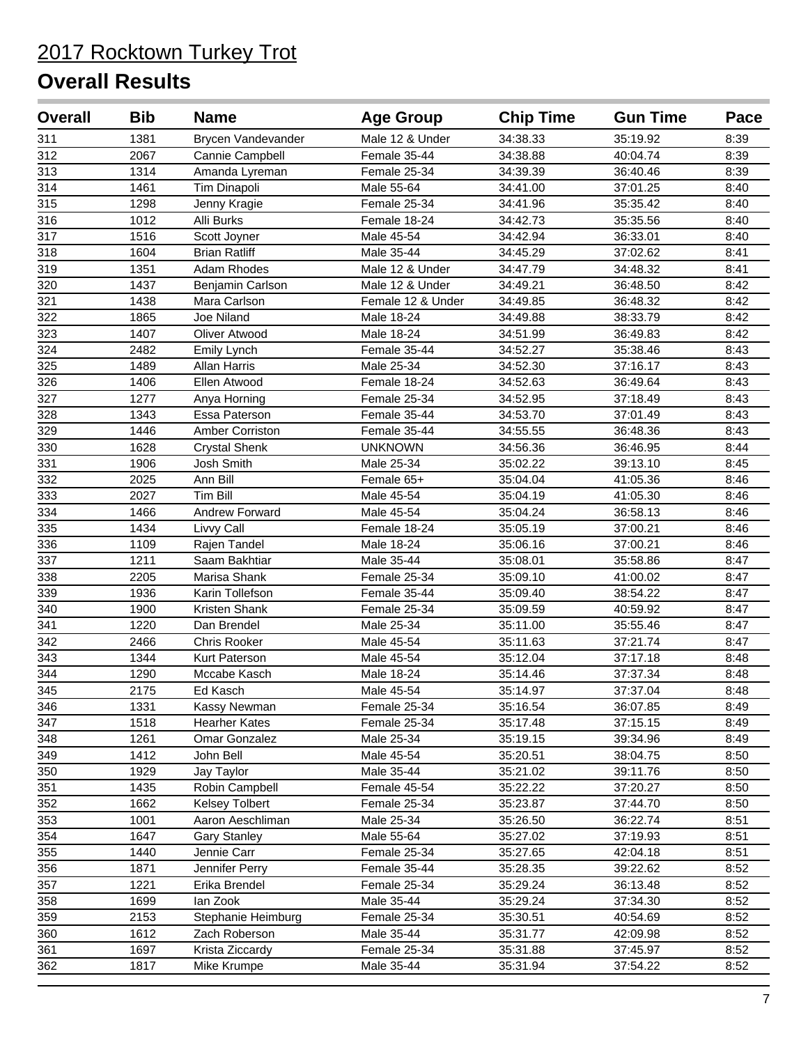| <b>Overall</b> | <b>Bib</b> | <b>Name</b>           | <b>Age Group</b>  | <b>Chip Time</b> | <b>Gun Time</b> | Pace |
|----------------|------------|-----------------------|-------------------|------------------|-----------------|------|
| 311            | 1381       | Brycen Vandevander    | Male 12 & Under   | 34:38.33         | 35:19.92        | 8:39 |
| 312            | 2067       | Cannie Campbell       | Female 35-44      | 34:38.88         | 40:04.74        | 8:39 |
| 313            | 1314       | Amanda Lyreman        | Female 25-34      | 34:39.39         | 36:40.46        | 8:39 |
| 314            | 1461       | Tim Dinapoli          | Male 55-64        | 34:41.00         | 37:01.25        | 8:40 |
| 315            | 1298       | Jenny Kragie          | Female 25-34      | 34:41.96         | 35:35.42        | 8:40 |
| 316            | 1012       | Alli Burks            | Female 18-24      | 34:42.73         | 35:35.56        | 8:40 |
| 317            | 1516       | Scott Joyner          | Male 45-54        | 34:42.94         | 36:33.01        | 8:40 |
| 318            | 1604       | <b>Brian Ratliff</b>  | Male 35-44        | 34:45.29         | 37:02.62        | 8:41 |
| 319            | 1351       | Adam Rhodes           | Male 12 & Under   | 34:47.79         | 34:48.32        | 8:41 |
| 320            | 1437       | Benjamin Carlson      | Male 12 & Under   | 34:49.21         | 36:48.50        | 8:42 |
| 321            | 1438       | Mara Carlson          | Female 12 & Under | 34:49.85         | 36:48.32        | 8:42 |
| 322            | 1865       | Joe Niland            | Male 18-24        | 34:49.88         | 38:33.79        | 8:42 |
| 323            | 1407       | Oliver Atwood         | Male 18-24        | 34:51.99         | 36:49.83        | 8:42 |
| 324            | 2482       | Emily Lynch           | Female 35-44      | 34:52.27         | 35:38.46        | 8:43 |
| 325            | 1489       | Allan Harris          | Male 25-34        | 34:52.30         | 37:16.17        | 8:43 |
| 326            | 1406       | Ellen Atwood          | Female 18-24      | 34:52.63         | 36:49.64        | 8:43 |
| 327            | 1277       | Anya Horning          | Female 25-34      | 34:52.95         | 37:18.49        | 8:43 |
| 328            | 1343       | Essa Paterson         | Female 35-44      | 34:53.70         | 37:01.49        | 8:43 |
| 329            | 1446       | Amber Corriston       | Female 35-44      | 34:55.55         | 36:48.36        | 8:43 |
| 330            | 1628       | <b>Crystal Shenk</b>  | <b>UNKNOWN</b>    | 34:56.36         | 36:46.95        | 8:44 |
| 331            | 1906       | Josh Smith            | Male 25-34        | 35:02.22         | 39:13.10        | 8:45 |
| 332            | 2025       | Ann Bill              | Female 65+        | 35:04.04         | 41:05.36        | 8:46 |
| 333            | 2027       | <b>Tim Bill</b>       | Male 45-54        | 35:04.19         | 41:05.30        | 8:46 |
| 334            | 1466       | Andrew Forward        | Male 45-54        | 35:04.24         | 36:58.13        | 8:46 |
| 335            | 1434       | Livvy Call            | Female 18-24      | 35:05.19         | 37:00.21        | 8:46 |
| 336            | 1109       | Rajen Tandel          | Male 18-24        | 35:06.16         | 37:00.21        | 8:46 |
| 337            | 1211       | Saam Bakhtiar         | Male 35-44        | 35:08.01         | 35:58.86        | 8:47 |
| 338            | 2205       | Marisa Shank          | Female 25-34      | 35:09.10         | 41:00.02        | 8:47 |
| 339            | 1936       | Karin Tollefson       | Female 35-44      | 35:09.40         | 38:54.22        | 8:47 |
| 340            | 1900       | Kristen Shank         | Female 25-34      | 35:09.59         | 40:59.92        | 8:47 |
| 341            | 1220       | Dan Brendel           | Male 25-34        | 35:11.00         | 35:55.46        | 8:47 |
| 342            | 2466       | Chris Rooker          | Male 45-54        | 35:11.63         | 37:21.74        | 8:47 |
| 343            | 1344       | Kurt Paterson         | Male 45-54        | 35:12.04         | 37:17.18        | 8:48 |
| 344            | 1290       | Mccabe Kasch          | Male 18-24        | 35:14.46         | 37:37.34        | 8:48 |
| 345            | 2175       | Ed Kasch              | Male 45-54        | 35:14.97         | 37:37.04        | 8:48 |
| 346            | 1331       | Kassy Newman          | Female 25-34      | 35:16.54         | 36:07.85        | 8:49 |
| 347            | 1518       | Hearher Kates         | Female 25-34      | 35:17.48         | 37:15.15        | 8:49 |
| 348            | 1261       | Omar Gonzalez         | Male 25-34        | 35:19.15         | 39:34.96        | 8:49 |
| 349            | 1412       | John Bell             | Male 45-54        | 35:20.51         | 38:04.75        | 8:50 |
| 350            | 1929       | Jay Taylor            | Male 35-44        | 35:21.02         | 39:11.76        | 8:50 |
| 351            | 1435       | Robin Campbell        | Female 45-54      | 35:22.22         | 37:20.27        | 8:50 |
| 352            | 1662       | <b>Kelsey Tolbert</b> | Female 25-34      | 35:23.87         | 37:44.70        | 8:50 |
| 353            | 1001       | Aaron Aeschliman      | Male 25-34        | 35:26.50         | 36:22.74        | 8:51 |
| 354            | 1647       | <b>Gary Stanley</b>   | Male 55-64        | 35:27.02         | 37:19.93        | 8:51 |
| 355            | 1440       | Jennie Carr           | Female 25-34      | 35:27.65         | 42:04.18        | 8:51 |
| 356            | 1871       | Jennifer Perry        | Female 35-44      | 35:28.35         | 39:22.62        | 8:52 |
| 357            | 1221       | Erika Brendel         | Female 25-34      | 35:29.24         | 36:13.48        | 8:52 |
| 358            | 1699       | lan Zook              | Male 35-44        | 35:29.24         | 37:34.30        | 8:52 |
| 359            | 2153       | Stephanie Heimburg    | Female 25-34      | 35:30.51         | 40:54.69        | 8:52 |
| 360            | 1612       | Zach Roberson         | Male 35-44        | 35:31.77         | 42:09.98        | 8:52 |
| 361            | 1697       | Krista Ziccardy       | Female 25-34      | 35:31.88         | 37:45.97        | 8:52 |
| 362            | 1817       | Mike Krumpe           | Male 35-44        | 35:31.94         | 37:54.22        | 8:52 |
|                |            |                       |                   |                  |                 |      |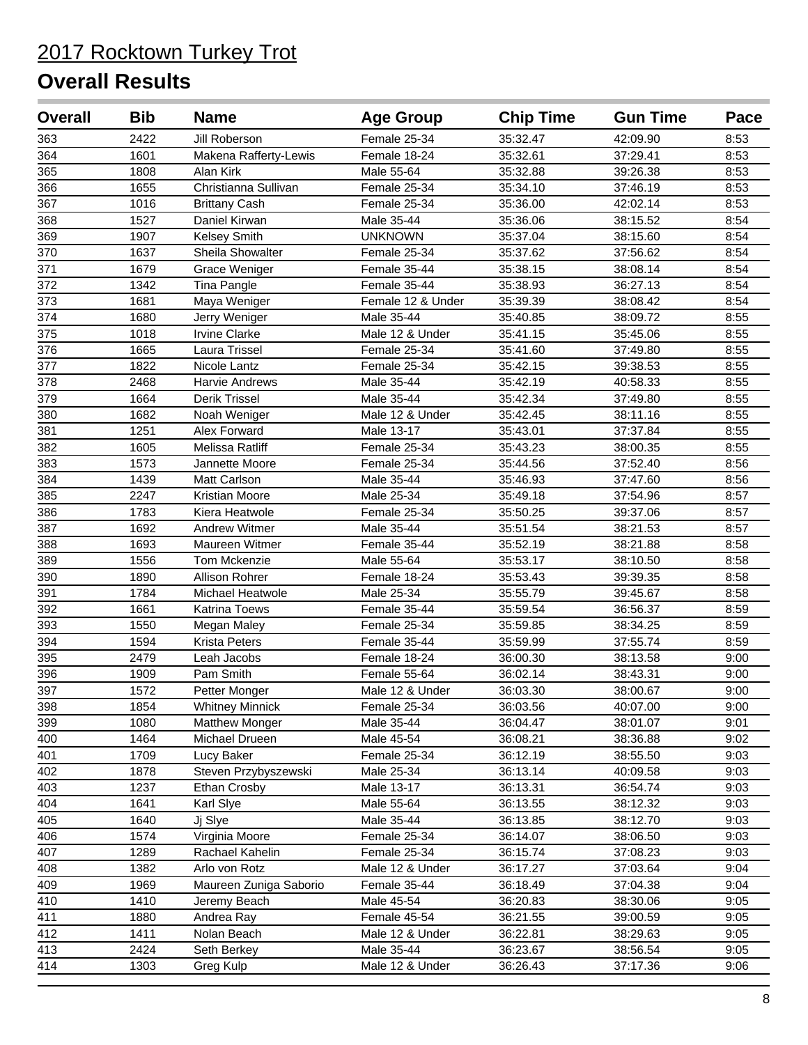| <b>Overall</b>   | <b>Bib</b> | <b>Name</b>             | <b>Age Group</b>  | <b>Chip Time</b> | <b>Gun Time</b> | Pace |
|------------------|------------|-------------------------|-------------------|------------------|-----------------|------|
| 363              | 2422       | Jill Roberson           | Female 25-34      | 35:32.47         | 42:09.90        | 8:53 |
| 364              | 1601       | Makena Rafferty-Lewis   | Female 18-24      | 35:32.61         | 37:29.41        | 8:53 |
| $\overline{365}$ | 1808       | Alan Kirk               | Male 55-64        | 35:32.88         | 39:26.38        | 8:53 |
| 366              | 1655       | Christianna Sullivan    | Female 25-34      | 35:34.10         | 37:46.19        | 8:53 |
| 367              | 1016       | <b>Brittany Cash</b>    | Female 25-34      | 35:36.00         | 42:02.14        | 8:53 |
| 368              | 1527       | Daniel Kirwan           | Male 35-44        | 35:36.06         | 38:15.52        | 8:54 |
| 369              | 1907       | Kelsey Smith            | <b>UNKNOWN</b>    | 35:37.04         | 38:15.60        | 8:54 |
| 370              | 1637       | Sheila Showalter        | Female 25-34      | 35:37.62         | 37:56.62        | 8:54 |
| 371              | 1679       | Grace Weniger           | Female 35-44      | 35:38.15         | 38:08.14        | 8:54 |
| 372              | 1342       | Tina Pangle             | Female 35-44      | 35:38.93         | 36:27.13        | 8:54 |
| 373              | 1681       | Maya Weniger            | Female 12 & Under | 35:39.39         | 38:08.42        | 8:54 |
| 374              | 1680       | Jerry Weniger           | Male 35-44        | 35:40.85         | 38:09.72        | 8:55 |
| 375              | 1018       | <b>Irvine Clarke</b>    | Male 12 & Under   | 35:41.15         | 35:45.06        | 8:55 |
| 376              | 1665       | Laura Trissel           | Female 25-34      | 35:41.60         | 37:49.80        | 8:55 |
| 377              | 1822       | Nicole Lantz            | Female 25-34      | 35:42.15         | 39:38.53        | 8:55 |
| 378              | 2468       | Harvie Andrews          | Male 35-44        | 35:42.19         | 40:58.33        | 8:55 |
| 379              | 1664       | Derik Trissel           | Male 35-44        | 35:42.34         | 37:49.80        | 8:55 |
| 380              | 1682       | Noah Weniger            | Male 12 & Under   | 35:42.45         | 38:11.16        | 8:55 |
| 381              | 1251       | Alex Forward            | Male 13-17        | 35:43.01         | 37:37.84        | 8:55 |
| 382              | 1605       | Melissa Ratliff         | Female 25-34      | 35:43.23         | 38:00.35        | 8:55 |
| 383              | 1573       | Jannette Moore          | Female 25-34      | 35:44.56         | 37:52.40        | 8:56 |
| 384              | 1439       | <b>Matt Carlson</b>     | Male 35-44        | 35:46.93         | 37:47.60        | 8:56 |
| 385              | 2247       | Kristian Moore          | Male 25-34        | 35:49.18         | 37:54.96        | 8:57 |
| $\overline{386}$ | 1783       | Kiera Heatwole          | Female 25-34      | 35:50.25         | 39:37.06        | 8:57 |
| 387              | 1692       | <b>Andrew Witmer</b>    | Male 35-44        | 35:51.54         | 38:21.53        | 8:57 |
| 388              | 1693       | Maureen Witmer          | Female 35-44      | 35:52.19         | 38:21.88        | 8:58 |
| 389              | 1556       | Tom Mckenzie            | Male 55-64        | 35:53.17         | 38:10.50        | 8:58 |
| 390              | 1890       | Allison Rohrer          | Female 18-24      | 35:53.43         | 39:39.35        | 8:58 |
| 391              | 1784       | <b>Michael Heatwole</b> | Male 25-34        | 35:55.79         | 39:45.67        | 8:58 |
| 392              | 1661       | <b>Katrina Toews</b>    | Female 35-44      | 35:59.54         | 36:56.37        | 8:59 |
| 393              | 1550       | Megan Maley             | Female 25-34      | 35:59.85         | 38:34.25        | 8:59 |
| 394              | 1594       | Krista Peters           | Female 35-44      | 35:59.99         | 37:55.74        | 8:59 |
| 395              | 2479       | Leah Jacobs             | Female 18-24      | 36:00.30         | 38:13.58        | 9:00 |
| 396              | 1909       | Pam Smith               | Female 55-64      | 36:02.14         | 38:43.31        | 9:00 |
| 397              | 1572       | Petter Monger           | Male 12 & Under   | 36:03.30         | 38:00.67        | 9:00 |
| 398              | 1854       | <b>Whitney Minnick</b>  | Female 25-34      | 36:03.56         | 40:07.00        | 9:00 |
| 399              | 1080       | <b>Matthew Monger</b>   | Male 35-44        | 36:04.47         | 38:01.07        | 9:01 |
| 400              | 1464       | Michael Drueen          | Male 45-54        | 36:08.21         | 38:36.88        | 9:02 |
| 401              | 1709       | Lucy Baker              | Female 25-34      | 36:12.19         | 38:55.50        | 9:03 |
| 402              | 1878       | Steven Przybyszewski    | Male 25-34        | 36:13.14         | 40:09.58        | 9:03 |
| 403              | 1237       | Ethan Crosby            | Male 13-17        | 36:13.31         | 36:54.74        | 9:03 |
| 404              | 1641       | Karl Slye               | Male 55-64        | 36:13.55         | 38:12.32        | 9:03 |
| 405              | 1640       | Jj Slye                 | Male 35-44        | 36:13.85         | 38:12.70        | 9:03 |
| 406              | 1574       | Virginia Moore          | Female 25-34      | 36:14.07         | 38:06.50        | 9:03 |
| 407              | 1289       | Rachael Kahelin         | Female 25-34      | 36:15.74         | 37:08.23        | 9:03 |
| 408              | 1382       | Arlo von Rotz           | Male 12 & Under   | 36:17.27         | 37:03.64        | 9:04 |
| 409              | 1969       | Maureen Zuniga Saborio  | Female 35-44      | 36:18.49         | 37:04.38        | 9:04 |
| 410              | 1410       | Jeremy Beach            | Male 45-54        | 36:20.83         | 38:30.06        | 9:05 |
| 411              | 1880       | Andrea Ray              | Female 45-54      | 36:21.55         | 39:00.59        | 9:05 |
| 412              | 1411       | Nolan Beach             | Male 12 & Under   | 36:22.81         | 38:29.63        | 9:05 |
| 413              | 2424       | Seth Berkey             | Male 35-44        | 36:23.67         | 38:56.54        | 9:05 |
| 414              | 1303       | Greg Kulp               | Male 12 & Under   | 36:26.43         | 37:17.36        | 9:06 |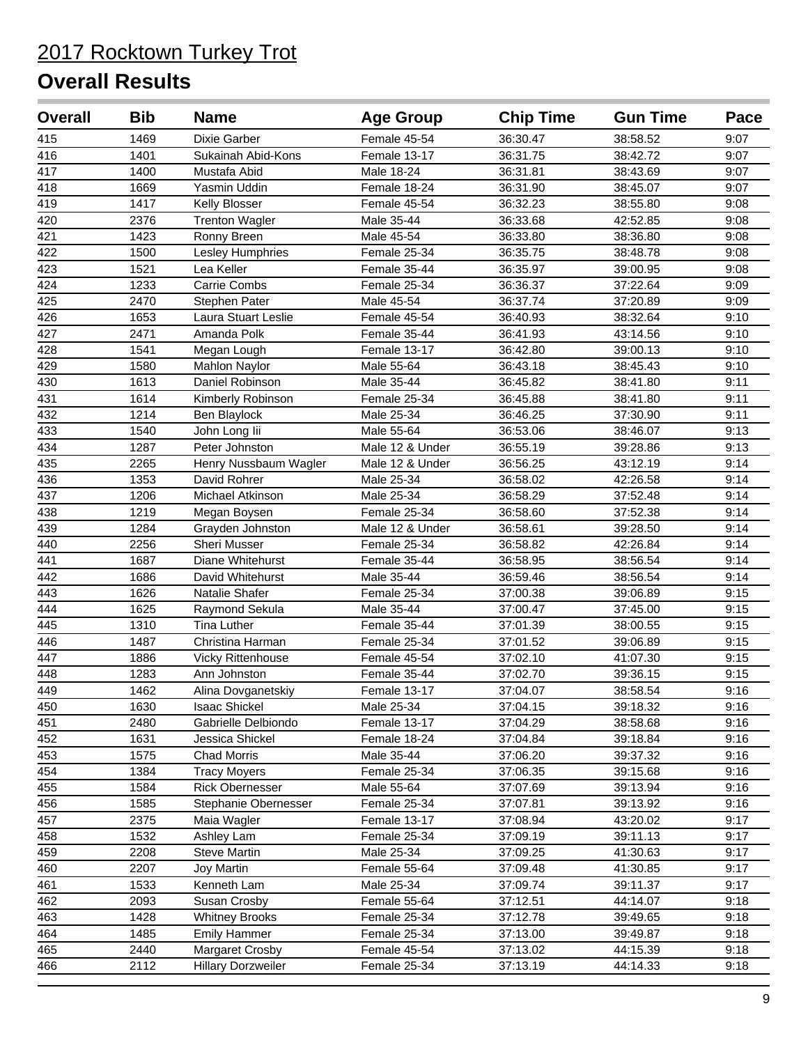| <b>Overall</b> | <b>Bib</b> | <b>Name</b>               | <b>Age Group</b> | <b>Chip Time</b> | <b>Gun Time</b> | Pace |
|----------------|------------|---------------------------|------------------|------------------|-----------------|------|
| 415            | 1469       | Dixie Garber              | Female 45-54     | 36:30.47         | 38:58.52        | 9:07 |
| 416            | 1401       | Sukainah Abid-Kons        | Female 13-17     | 36:31.75         | 38:42.72        | 9:07 |
| 417            | 1400       | Mustafa Abid              | Male 18-24       | 36:31.81         | 38:43.69        | 9:07 |
| 418            | 1669       | Yasmin Uddin              | Female 18-24     | 36:31.90         | 38:45.07        | 9:07 |
| 419            | 1417       | Kelly Blosser             | Female 45-54     | 36:32.23         | 38:55.80        | 9:08 |
| 420            | 2376       | <b>Trenton Wagler</b>     | Male 35-44       | 36:33.68         | 42:52.85        | 9:08 |
| 421            | 1423       | Ronny Breen               | Male 45-54       | 36:33.80         | 38:36.80        | 9:08 |
| 422            | 1500       | Lesley Humphries          | Female 25-34     | 36:35.75         | 38:48.78        | 9:08 |
| 423            | 1521       | Lea Keller                | Female 35-44     | 36:35.97         | 39:00.95        | 9:08 |
| 424            | 1233       | Carrie Combs              | Female 25-34     | 36:36.37         | 37:22.64        | 9:09 |
| 425            | 2470       | Stephen Pater             | Male 45-54       | 36:37.74         | 37:20.89        | 9:09 |
| 426            | 1653       | Laura Stuart Leslie       | Female 45-54     | 36:40.93         | 38:32.64        | 9:10 |
| 427            | 2471       | Amanda Polk               | Female 35-44     | 36:41.93         | 43:14.56        | 9:10 |
| 428            | 1541       | Megan Lough               | Female 13-17     | 36:42.80         | 39:00.13        | 9:10 |
| 429            | 1580       | <b>Mahlon Naylor</b>      | Male 55-64       | 36:43.18         | 38:45.43        | 9:10 |
| 430            | 1613       | Daniel Robinson           | Male 35-44       | 36:45.82         | 38:41.80        | 9:11 |
| 431            | 1614       | Kimberly Robinson         | Female 25-34     | 36:45.88         | 38:41.80        | 9:11 |
| 432            | 1214       | Ben Blaylock              | Male 25-34       | 36:46.25         | 37:30.90        | 9:11 |
| 433            | 1540       | John Long lii             | Male 55-64       | 36:53.06         | 38:46.07        | 9:13 |
| 434            | 1287       | Peter Johnston            | Male 12 & Under  | 36:55.19         | 39:28.86        | 9:13 |
| 435            | 2265       | Henry Nussbaum Wagler     | Male 12 & Under  | 36:56.25         | 43:12.19        | 9:14 |
| 436            | 1353       | David Rohrer              | Male 25-34       | 36:58.02         | 42:26.58        | 9:14 |
| 437            | 1206       | Michael Atkinson          | Male 25-34       | 36:58.29         | 37:52.48        | 9:14 |
| 438            | 1219       | Megan Boysen              | Female 25-34     | 36:58.60         | 37:52.38        | 9:14 |
| 439            | 1284       | Grayden Johnston          | Male 12 & Under  | 36:58.61         | 39:28.50        | 9:14 |
| 440            | 2256       | Sheri Musser              | Female 25-34     | 36:58.82         | 42:26.84        | 9:14 |
| 441            | 1687       | Diane Whitehurst          | Female 35-44     | 36:58.95         | 38:56.54        | 9:14 |
| 442            | 1686       | David Whitehurst          | Male 35-44       | 36:59.46         | 38:56.54        | 9:14 |
| 443            | 1626       | Natalie Shafer            | Female 25-34     | 37:00.38         | 39:06.89        | 9:15 |
| 444            | 1625       | Raymond Sekula            | Male 35-44       | 37:00.47         | 37:45.00        | 9:15 |
| 445            | 1310       | <b>Tina Luther</b>        | Female 35-44     | 37:01.39         | 38:00.55        | 9:15 |
| 446            | 1487       | Christina Harman          | Female 25-34     | 37:01.52         | 39:06.89        | 9:15 |
| 447            | 1886       | <b>Vicky Rittenhouse</b>  | Female 45-54     | 37:02.10         | 41:07.30        | 9:15 |
| 448            | 1283       | Ann Johnston              | Female 35-44     | 37:02.70         | 39:36.15        | 9:15 |
| 449            | 1462       | Alina Dovganetskiy        | Female 13-17     | 37:04.07         | 38:58.54        | 9:16 |
| 450            | 1630       | <b>Isaac Shickel</b>      | Male 25-34       | 37:04.15         | 39:18.32        | 9:16 |
| 451            | 2480       | Gabrielle Delbiondo       | Female 13-17     | 37:04.29         | 38:58.68        | 9:16 |
| 452            | 1631       | Jessica Shickel           | Female 18-24     | 37:04.84         | 39:18.84        | 9:16 |
| 453            | 1575       | Chad Morris               | Male 35-44       | 37:06.20         | 39:37.32        | 9:16 |
| 454            | 1384       | <b>Tracy Moyers</b>       | Female 25-34     | 37:06.35         | 39:15.68        | 9:16 |
| 455            | 1584       | <b>Rick Obernesser</b>    | Male 55-64       | 37:07.69         | 39:13.94        | 9:16 |
| 456            | 1585       | Stephanie Obernesser      | Female 25-34     | 37:07.81         | 39:13.92        | 9:16 |
| 457            | 2375       | Maia Wagler               | Female 13-17     | 37:08.94         | 43:20.02        | 9:17 |
| 458            | 1532       | Ashley Lam                | Female 25-34     | 37:09.19         | 39:11.13        | 9:17 |
| 459            | 2208       | <b>Steve Martin</b>       | Male 25-34       | 37:09.25         | 41:30.63        | 9:17 |
| 460            | 2207       | Joy Martin                | Female 55-64     | 37:09.48         | 41:30.85        | 9:17 |
| 461            | 1533       | Kenneth Lam               | Male 25-34       | 37:09.74         | 39:11.37        | 9:17 |
| 462            | 2093       | Susan Crosby              | Female 55-64     | 37:12.51         | 44:14.07        | 9:18 |
| 463            | 1428       | <b>Whitney Brooks</b>     | Female 25-34     | 37:12.78         | 39:49.65        | 9:18 |
| 464            | 1485       | <b>Emily Hammer</b>       | Female 25-34     | 37:13.00         | 39:49.87        | 9:18 |
| 465            | 2440       | Margaret Crosby           | Female 45-54     | 37:13.02         | 44:15.39        | 9:18 |
| 466            | 2112       | <b>Hillary Dorzweiler</b> | Female 25-34     | 37:13.19         | 44:14.33        | 9:18 |
|                |            |                           |                  |                  |                 |      |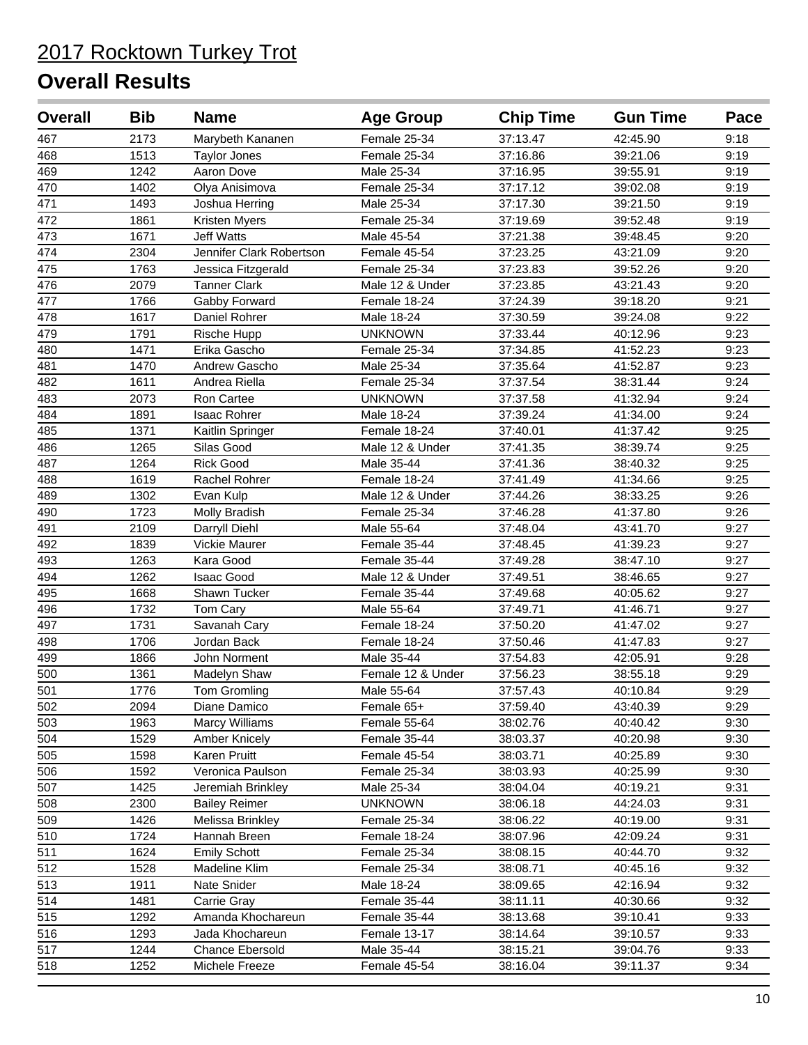| <b>Overall</b> | <b>Bib</b> | <b>Name</b>              | <b>Age Group</b>  | <b>Chip Time</b> | <b>Gun Time</b> | Pace |
|----------------|------------|--------------------------|-------------------|------------------|-----------------|------|
| 467            | 2173       | Marybeth Kananen         | Female 25-34      | 37:13.47         | 42:45.90        | 9:18 |
| 468            | 1513       | <b>Taylor Jones</b>      | Female 25-34      | 37:16.86         | 39:21.06        | 9:19 |
| 469            | 1242       | Aaron Dove               | Male 25-34        | 37:16.95         | 39:55.91        | 9:19 |
| 470            | 1402       | Olya Anisimova           | Female 25-34      | 37:17.12         | 39:02.08        | 9:19 |
| 471            | 1493       | Joshua Herring           | Male 25-34        | 37:17.30         | 39:21.50        | 9:19 |
| 472            | 1861       | Kristen Myers            | Female 25-34      | 37:19.69         | 39:52.48        | 9:19 |
| 473            | 1671       | <b>Jeff Watts</b>        | Male 45-54        | 37:21.38         | 39:48.45        | 9:20 |
| 474            | 2304       | Jennifer Clark Robertson | Female 45-54      | 37:23.25         | 43:21.09        | 9:20 |
| 475            | 1763       | Jessica Fitzgerald       | Female 25-34      | 37:23.83         | 39:52.26        | 9:20 |
| 476            | 2079       | <b>Tanner Clark</b>      | Male 12 & Under   | 37:23.85         | 43:21.43        | 9:20 |
| 477            | 1766       | Gabby Forward            | Female 18-24      | 37:24.39         | 39:18.20        | 9:21 |
| 478            | 1617       | Daniel Rohrer            | Male 18-24        | 37:30.59         | 39:24.08        | 9:22 |
| 479            | 1791       | Rische Hupp              | <b>UNKNOWN</b>    | 37:33.44         | 40:12.96        | 9:23 |
| 480            | 1471       | Erika Gascho             | Female 25-34      | 37:34.85         | 41:52.23        | 9:23 |
| 481            | 1470       | Andrew Gascho            | Male 25-34        | 37:35.64         | 41:52.87        | 9:23 |
| 482            | 1611       | Andrea Riella            | Female 25-34      | 37:37.54         | 38:31.44        | 9:24 |
| 483            | 2073       | Ron Cartee               | <b>UNKNOWN</b>    | 37:37.58         | 41:32.94        | 9:24 |
| 484            | 1891       | Isaac Rohrer             | Male 18-24        | 37:39.24         | 41:34.00        | 9:24 |
| 485            | 1371       | Kaitlin Springer         | Female 18-24      | 37:40.01         | 41:37.42        | 9:25 |
| 486            | 1265       | Silas Good               | Male 12 & Under   | 37:41.35         | 38:39.74        | 9:25 |
| 487            | 1264       | <b>Rick Good</b>         | Male 35-44        | 37:41.36         | 38:40.32        | 9:25 |
| 488            | 1619       | Rachel Rohrer            | Female 18-24      | 37:41.49         | 41:34.66        | 9:25 |
| 489            | 1302       | Evan Kulp                | Male 12 & Under   | 37:44.26         | 38:33.25        | 9:26 |
| 490            | 1723       | Molly Bradish            | Female 25-34      | 37:46.28         | 41:37.80        | 9:26 |
| 491            | 2109       | Darryll Diehl            | Male 55-64        | 37:48.04         | 43:41.70        | 9:27 |
| 492            | 1839       | Vickie Maurer            | Female 35-44      | 37:48.45         | 41:39.23        | 9:27 |
| 493            | 1263       | Kara Good                | Female 35-44      | 37:49.28         | 38:47.10        | 9:27 |
| 494            | 1262       | <b>Isaac Good</b>        | Male 12 & Under   | 37:49.51         | 38:46.65        | 9:27 |
| 495            | 1668       | Shawn Tucker             | Female 35-44      | 37:49.68         | 40:05.62        | 9:27 |
| 496            | 1732       | Tom Cary                 | Male 55-64        | 37:49.71         | 41:46.71        | 9:27 |
| 497            | 1731       | Savanah Cary             | Female 18-24      | 37:50.20         | 41:47.02        | 9:27 |
| 498            | 1706       | Jordan Back              | Female 18-24      | 37:50.46         | 41:47.83        | 9:27 |
| 499            | 1866       | John Norment             | Male 35-44        | 37:54.83         | 42:05.91        | 9:28 |
| 500            | 1361       | Madelyn Shaw             | Female 12 & Under | 37:56.23         | 38:55.18        | 9:29 |
| 501            | 1776       | Tom Gromling             | Male 55-64        | 37:57.43         | 40:10.84        | 9:29 |
| 502            | 2094       | Diane Damico             | Female 65+        | 37:59.40         | 43:40.39        | 9:29 |
| 503            | 1963       | Marcy Williams           | Female 55-64      | 38:02.76         | 40:40.42        | 9:30 |
| 504            | 1529       | Amber Knicely            | Female 35-44      | 38:03.37         | 40:20.98        | 9:30 |
| 505            | 1598       | Karen Pruitt             | Female 45-54      | 38:03.71         | 40:25.89        | 9:30 |
| 506            | 1592       | Veronica Paulson         | Female 25-34      | 38:03.93         | 40:25.99        | 9:30 |
| 507            | 1425       | Jeremiah Brinkley        | Male 25-34        | 38:04.04         | 40:19.21        | 9:31 |
| 508            | 2300       | <b>Bailey Reimer</b>     | <b>UNKNOWN</b>    | 38:06.18         | 44:24.03        | 9:31 |
| 509            | 1426       | Melissa Brinkley         | Female 25-34      | 38:06.22         | 40:19.00        | 9:31 |
| 510            | 1724       | Hannah Breen             | Female 18-24      | 38:07.96         | 42:09.24        | 9:31 |
| 511            | 1624       | <b>Emily Schott</b>      | Female 25-34      | 38:08.15         | 40:44.70        | 9:32 |
| 512            | 1528       | Madeline Klim            | Female 25-34      | 38:08.71         | 40:45.16        | 9:32 |
| 513            | 1911       | Nate Snider              | Male 18-24        | 38:09.65         | 42:16.94        | 9:32 |
| 514            | 1481       | Carrie Gray              | Female 35-44      | 38:11.11         | 40:30.66        | 9:32 |
| 515            | 1292       | Amanda Khochareun        | Female 35-44      | 38:13.68         | 39:10.41        | 9:33 |
| 516            | 1293       | Jada Khochareun          | Female 13-17      | 38:14.64         | 39:10.57        | 9:33 |
| 517            | 1244       | Chance Ebersold          | Male 35-44        | 38:15.21         | 39:04.76        | 9:33 |
| 518            | 1252       | Michele Freeze           | Female 45-54      | 38:16.04         | 39:11.37        | 9:34 |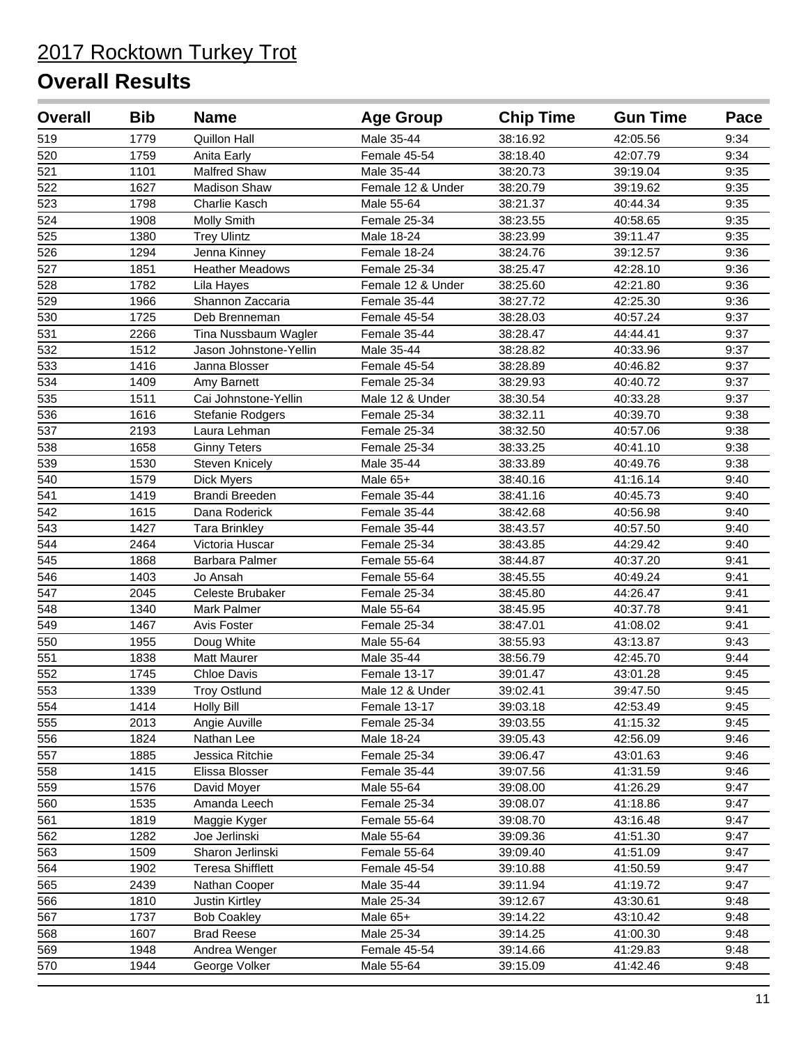| <b>Overall</b>   | <b>Bib</b> | <b>Name</b>             | <b>Age Group</b>  | <b>Chip Time</b> | <b>Gun Time</b> | Pace |
|------------------|------------|-------------------------|-------------------|------------------|-----------------|------|
| 519              | 1779       | Quillon Hall            | Male 35-44        | 38:16.92         | 42:05.56        | 9:34 |
| 520              | 1759       | Anita Early             | Female 45-54      | 38:18.40         | 42:07.79        | 9:34 |
| $\overline{521}$ | 1101       | <b>Malfred Shaw</b>     | Male 35-44        | 38:20.73         | 39:19.04        | 9:35 |
| 522              | 1627       | <b>Madison Shaw</b>     | Female 12 & Under | 38:20.79         | 39:19.62        | 9:35 |
| 523              | 1798       | Charlie Kasch           | Male 55-64        | 38:21.37         | 40:44.34        | 9:35 |
| 524              | 1908       | Molly Smith             | Female 25-34      | 38:23.55         | 40:58.65        | 9:35 |
| 525              | 1380       | <b>Trey Ulintz</b>      | Male 18-24        | 38:23.99         | 39:11.47        | 9:35 |
| $\overline{526}$ | 1294       | Jenna Kinney            | Female 18-24      | 38:24.76         | 39:12.57        | 9:36 |
| 527              | 1851       | <b>Heather Meadows</b>  | Female 25-34      | 38:25.47         | 42:28.10        | 9:36 |
| 528              | 1782       | Lila Hayes              | Female 12 & Under | 38:25.60         | 42:21.80        | 9:36 |
| 529              | 1966       | Shannon Zaccaria        | Female 35-44      | 38:27.72         | 42:25.30        | 9:36 |
| 530              | 1725       | Deb Brenneman           | Female 45-54      | 38:28.03         | 40:57.24        | 9:37 |
| 531              | 2266       | Tina Nussbaum Wagler    | Female 35-44      | 38:28.47         | 44:44.41        | 9:37 |
| 532              | 1512       | Jason Johnstone-Yellin  | Male 35-44        | 38:28.82         | 40:33.96        | 9:37 |
| 533              | 1416       | Janna Blosser           | Female 45-54      | 38:28.89         | 40:46.82        | 9:37 |
| 534              | 1409       | Amy Barnett             | Female 25-34      | 38:29.93         | 40:40.72        | 9:37 |
| 535              | 1511       | Cai Johnstone-Yellin    | Male 12 & Under   | 38:30.54         | 40:33.28        | 9:37 |
| 536              | 1616       | Stefanie Rodgers        | Female 25-34      | 38:32.11         | 40:39.70        | 9:38 |
| 537              | 2193       | Laura Lehman            | Female 25-34      | 38:32.50         | 40:57.06        | 9:38 |
| 538              | 1658       | <b>Ginny Teters</b>     | Female 25-34      | 38:33.25         | 40:41.10        | 9:38 |
| 539              | 1530       | <b>Steven Knicely</b>   | Male 35-44        | 38:33.89         | 40:49.76        | 9:38 |
| 540              | 1579       | Dick Myers              | Male 65+          | 38:40.16         | 41:16.14        | 9:40 |
| 541              | 1419       | Brandi Breeden          | Female 35-44      | 38:41.16         | 40:45.73        | 9:40 |
| $\overline{542}$ | 1615       | Dana Roderick           | Female 35-44      | 38:42.68         | 40:56.98        | 9:40 |
| 543              | 1427       | <b>Tara Brinkley</b>    | Female 35-44      | 38:43.57         | 40:57.50        | 9:40 |
| 544              | 2464       | Victoria Huscar         | Female 25-34      | 38:43.85         | 44:29.42        | 9:40 |
| 545              | 1868       | Barbara Palmer          | Female 55-64      | 38:44.87         | 40:37.20        | 9:41 |
| 546              | 1403       | Jo Ansah                | Female 55-64      | 38:45.55         | 40:49.24        | 9:41 |
| 547              | 2045       | Celeste Brubaker        | Female 25-34      | 38:45.80         | 44:26.47        | 9:41 |
| 548              | 1340       | Mark Palmer             | Male 55-64        | 38:45.95         | 40:37.78        | 9:41 |
| 549              | 1467       | Avis Foster             | Female 25-34      | 38:47.01         | 41:08.02        | 9:41 |
| 550              | 1955       | Doug White              | Male 55-64        | 38:55.93         | 43:13.87        | 9:43 |
| 551              | 1838       | <b>Matt Maurer</b>      | Male 35-44        | 38:56.79         | 42:45.70        | 9:44 |
| 552              | 1745       | <b>Chloe Davis</b>      | Female 13-17      | 39:01.47         | 43:01.28        | 9:45 |
| 553              | 1339       | <b>Troy Ostlund</b>     | Male 12 & Under   | 39:02.41         | 39:47.50        | 9:45 |
| 554              | 1414       | <b>Holly Bill</b>       | Female 13-17      | 39:03.18         | 42:53.49        | 9:45 |
| 555              | 2013       | Angie Auville           | Female 25-34      | 39:03.55         | 41:15.32        | 9:45 |
| 556              | 1824       | Nathan Lee              | Male 18-24        | 39:05.43         | 42:56.09        | 9:46 |
| 557              | 1885       | Jessica Ritchie         | Female 25-34      | 39:06.47         | 43:01.63        | 9:46 |
| 558              | 1415       | Elissa Blosser          | Female 35-44      | 39:07.56         | 41:31.59        | 9:46 |
| 559              | 1576       | David Moyer             | Male 55-64        | 39:08.00         | 41:26.29        | 9:47 |
| 560              | 1535       | Amanda Leech            | Female 25-34      | 39:08.07         | 41:18.86        | 9:47 |
| 561              | 1819       | Maggie Kyger            | Female 55-64      | 39:08.70         | 43:16.48        | 9:47 |
| 562              | 1282       | Joe Jerlinski           | Male 55-64        | 39:09.36         | 41:51.30        | 9:47 |
| 563              | 1509       | Sharon Jerlinski        | Female 55-64      | 39:09.40         | 41:51.09        | 9:47 |
| 564              | 1902       | <b>Teresa Shifflett</b> | Female 45-54      | 39:10.88         | 41:50.59        | 9:47 |
| 565              | 2439       | Nathan Cooper           | Male 35-44        | 39:11.94         | 41:19.72        | 9:47 |
| 566              | 1810       | Justin Kirtley          | Male 25-34        | 39:12.67         | 43:30.61        | 9:48 |
| 567              | 1737       | <b>Bob Coakley</b>      | Male 65+          | 39:14.22         | 43:10.42        | 9:48 |
| 568              | 1607       | <b>Brad Reese</b>       | Male 25-34        | 39:14.25         | 41:00.30        | 9:48 |
| 569              | 1948       | Andrea Wenger           | Female 45-54      | 39:14.66         | 41:29.83        | 9:48 |
| 570              | 1944       | George Volker           | Male 55-64        | 39:15.09         | 41:42.46        | 9:48 |
|                  |            |                         |                   |                  |                 |      |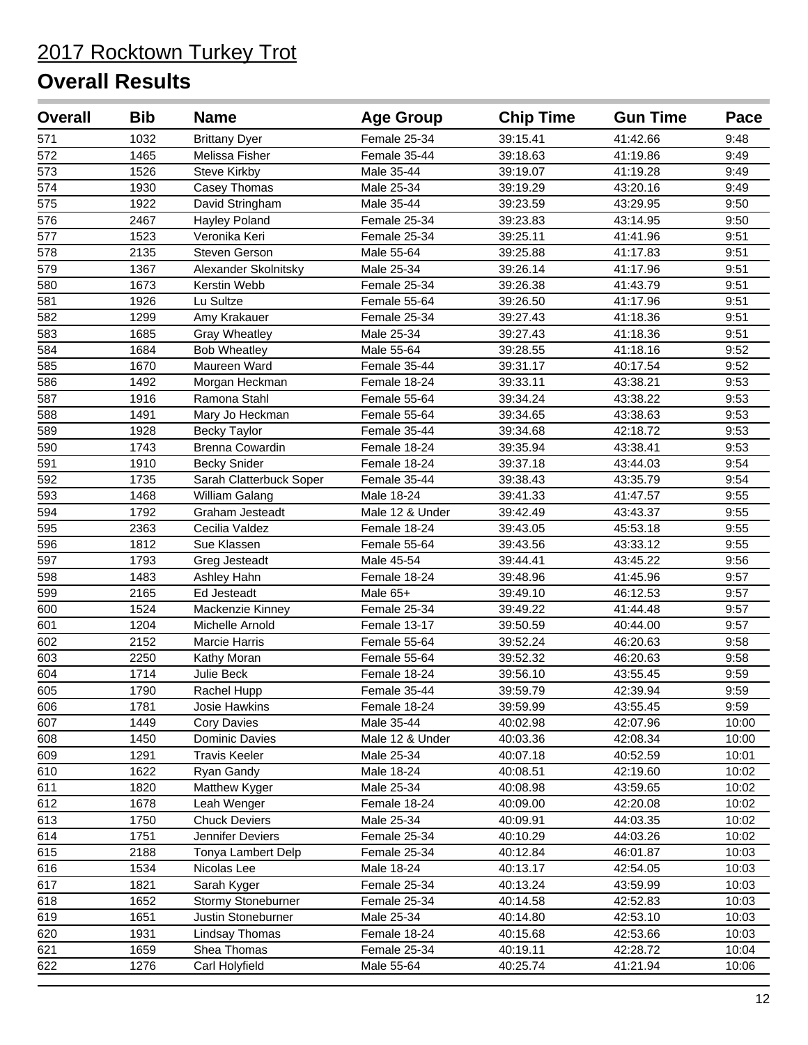| <b>Overall</b>   | <b>Bib</b> | <b>Name</b>             | <b>Age Group</b> | <b>Chip Time</b> | <b>Gun Time</b> | Pace  |
|------------------|------------|-------------------------|------------------|------------------|-----------------|-------|
| 571              | 1032       | <b>Brittany Dyer</b>    | Female 25-34     | 39:15.41         | 41:42.66        | 9:48  |
| $\overline{572}$ | 1465       | Melissa Fisher          | Female 35-44     | 39:18.63         | 41:19.86        | 9:49  |
| $\overline{573}$ | 1526       | <b>Steve Kirkby</b>     | Male 35-44       | 39:19.07         | 41:19.28        | 9:49  |
| 574              | 1930       | Casey Thomas            | Male 25-34       | 39:19.29         | 43:20.16        | 9:49  |
| 575              | 1922       | David Stringham         | Male 35-44       | 39:23.59         | 43:29.95        | 9:50  |
| 576              | 2467       | Hayley Poland           | Female 25-34     | 39:23.83         | 43:14.95        | 9:50  |
| 577              | 1523       | Veronika Keri           | Female 25-34     | 39:25.11         | 41:41.96        | 9:51  |
| 578              | 2135       | Steven Gerson           | Male 55-64       | 39:25.88         | 41:17.83        | 9:51  |
| 579              | 1367       | Alexander Skolnitsky    | Male 25-34       | 39:26.14         | 41:17.96        | 9:51  |
| 580              | 1673       | Kerstin Webb            | Female 25-34     | 39:26.38         | 41:43.79        | 9:51  |
| 581              | 1926       | Lu Sultze               | Female 55-64     | 39:26.50         | 41:17.96        | 9:51  |
| 582              | 1299       | Amy Krakauer            | Female 25-34     | 39:27.43         | 41:18.36        | 9:51  |
| 583              | 1685       | <b>Gray Wheatley</b>    | Male 25-34       | 39:27.43         | 41:18.36        | 9:51  |
| 584              | 1684       | <b>Bob Wheatley</b>     | Male 55-64       | 39:28.55         | 41:18.16        | 9:52  |
| 585              | 1670       | Maureen Ward            | Female 35-44     | 39:31.17         | 40:17.54        | 9:52  |
| 586              | 1492       | Morgan Heckman          | Female 18-24     | 39:33.11         | 43:38.21        | 9:53  |
| 587              | 1916       | Ramona Stahl            | Female 55-64     | 39:34.24         | 43:38.22        | 9:53  |
| 588              | 1491       | Mary Jo Heckman         | Female 55-64     | 39:34.65         | 43:38.63        | 9:53  |
| 589              | 1928       | <b>Becky Taylor</b>     | Female 35-44     | 39:34.68         | 42:18.72        | 9:53  |
| 590              | 1743       | Brenna Cowardin         | Female 18-24     | 39:35.94         | 43:38.41        | 9:53  |
| 591              | 1910       | <b>Becky Snider</b>     | Female 18-24     | 39:37.18         | 43:44.03        | 9:54  |
| 592              | 1735       | Sarah Clatterbuck Soper | Female 35-44     | 39:38.43         | 43:35.79        | 9:54  |
| 593              | 1468       | William Galang          | Male 18-24       | 39:41.33         | 41:47.57        | 9:55  |
| 594              | 1792       | Graham Jesteadt         | Male 12 & Under  | 39:42.49         | 43:43.37        | 9:55  |
| 595              | 2363       | Cecilia Valdez          | Female 18-24     | 39:43.05         | 45:53.18        | 9:55  |
| 596              | 1812       | Sue Klassen             | Female 55-64     | 39:43.56         | 43:33.12        | 9:55  |
| 597              | 1793       | Greg Jesteadt           | Male 45-54       | 39:44.41         | 43:45.22        | 9:56  |
| 598              | 1483       | Ashley Hahn             | Female 18-24     | 39:48.96         | 41:45.96        | 9:57  |
| 599              | 2165       | Ed Jesteadt             | Male 65+         | 39:49.10         | 46:12.53        | 9:57  |
| 600              | 1524       | Mackenzie Kinney        | Female 25-34     | 39:49.22         | 41:44.48        | 9:57  |
| 601              | 1204       | Michelle Arnold         | Female 13-17     | 39:50.59         | 40:44.00        | 9:57  |
| 602              | 2152       | Marcie Harris           | Female 55-64     | 39:52.24         | 46:20.63        | 9:58  |
| 603              | 2250       | Kathy Moran             | Female 55-64     | 39:52.32         | 46:20.63        | 9:58  |
| 604              | 1714       | Julie Beck              | Female 18-24     | 39:56.10         | 43:55.45        | 9:59  |
| 605              | 1790       | Rachel Hupp             | Female 35-44     | 39:59.79         | 42:39.94        | 9:59  |
| 606              | 1781       | Josie Hawkins           | Female 18-24     | 39:59.99         | 43:55.45        | 9:59  |
| 607              | 1449       | Cory Davies             | Male 35-44       | 40:02.98         | 42:07.96        | 10:00 |
| 608              | 1450       | Dominic Davies          | Male 12 & Under  | 40:03.36         | 42:08.34        | 10:00 |
| 609              | 1291       | <b>Travis Keeler</b>    | Male 25-34       | 40:07.18         | 40:52.59        | 10:01 |
| 610              | 1622       | Ryan Gandy              | Male 18-24       | 40:08.51         | 42:19.60        | 10:02 |
| 611              | 1820       | Matthew Kyger           | Male 25-34       | 40:08.98         | 43:59.65        | 10:02 |
| 612              | 1678       | Leah Wenger             | Female 18-24     | 40:09.00         | 42:20.08        | 10:02 |
| 613              | 1750       | <b>Chuck Deviers</b>    | Male 25-34       | 40:09.91         | 44:03.35        | 10:02 |
| 614              | 1751       | Jennifer Deviers        | Female 25-34     | 40:10.29         | 44:03.26        | 10:02 |
| 615              | 2188       | Tonya Lambert Delp      | Female 25-34     | 40:12.84         | 46:01.87        | 10:03 |
| 616              | 1534       | Nicolas Lee             | Male 18-24       | 40:13.17         | 42:54.05        | 10:03 |
| 617              | 1821       | Sarah Kyger             | Female 25-34     | 40:13.24         | 43:59.99        | 10:03 |
| 618              | 1652       | Stormy Stoneburner      | Female 25-34     | 40:14.58         | 42:52.83        | 10:03 |
| 619              | 1651       | Justin Stoneburner      | Male 25-34       | 40:14.80         | 42:53.10        | 10:03 |
| 620              | 1931       | Lindsay Thomas          | Female 18-24     | 40:15.68         | 42:53.66        | 10:03 |
| 621              | 1659       | Shea Thomas             | Female 25-34     | 40:19.11         | 42:28.72        | 10:04 |
| 622              | 1276       | Carl Holyfield          | Male 55-64       | 40:25.74         | 41:21.94        | 10:06 |
|                  |            |                         |                  |                  |                 |       |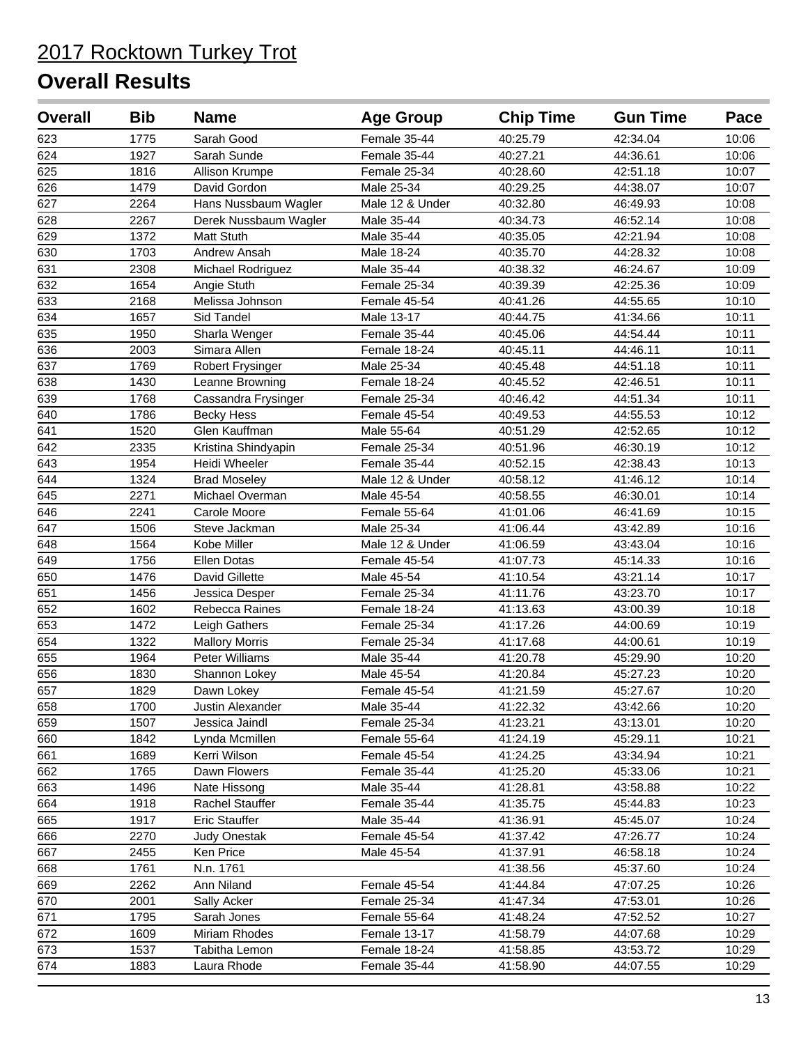| <b>Overall</b> | <b>Bib</b> | <b>Name</b>           | <b>Age Group</b> | <b>Chip Time</b> | <b>Gun Time</b> | Pace  |
|----------------|------------|-----------------------|------------------|------------------|-----------------|-------|
| 623            | 1775       | Sarah Good            | Female 35-44     | 40:25.79         | 42:34.04        | 10:06 |
| 624            | 1927       | Sarah Sunde           | Female 35-44     | 40:27.21         | 44:36.61        | 10:06 |
| 625            | 1816       | Allison Krumpe        | Female 25-34     | 40:28.60         | 42:51.18        | 10:07 |
| 626            | 1479       | David Gordon          | Male 25-34       | 40:29.25         | 44:38.07        | 10:07 |
| 627            | 2264       | Hans Nussbaum Wagler  | Male 12 & Under  | 40:32.80         | 46:49.93        | 10:08 |
| 628            | 2267       | Derek Nussbaum Wagler | Male 35-44       | 40:34.73         | 46:52.14        | 10:08 |
| 629            | 1372       | <b>Matt Stuth</b>     | Male 35-44       | 40:35.05         | 42:21.94        | 10:08 |
| 630            | 1703       | Andrew Ansah          | Male 18-24       | 40:35.70         | 44:28.32        | 10:08 |
| 631            | 2308       | Michael Rodriguez     | Male 35-44       | 40:38.32         | 46:24.67        | 10:09 |
| 632            | 1654       | Angie Stuth           | Female 25-34     | 40:39.39         | 42:25.36        | 10:09 |
| 633            | 2168       | Melissa Johnson       | Female 45-54     | 40:41.26         | 44:55.65        | 10:10 |
| 634            | 1657       | Sid Tandel            | Male 13-17       | 40:44.75         | 41:34.66        | 10:11 |
| 635            | 1950       | Sharla Wenger         | Female 35-44     | 40:45.06         | 44:54.44        | 10:11 |
| 636            | 2003       | Simara Allen          | Female 18-24     | 40:45.11         | 44:46.11        | 10:11 |
| 637            | 1769       | Robert Frysinger      | Male 25-34       | 40:45.48         | 44:51.18        | 10:11 |
| 638            | 1430       | Leanne Browning       | Female 18-24     | 40:45.52         | 42:46.51        | 10:11 |
| 639            | 1768       | Cassandra Frysinger   | Female 25-34     | 40:46.42         | 44:51.34        | 10:11 |
| 640            | 1786       | <b>Becky Hess</b>     | Female 45-54     | 40:49.53         | 44:55.53        | 10:12 |
| 641            | 1520       | Glen Kauffman         | Male 55-64       | 40:51.29         | 42:52.65        | 10:12 |
| 642            | 2335       | Kristina Shindyapin   | Female 25-34     | 40:51.96         | 46:30.19        | 10:12 |
| 643            | 1954       | Heidi Wheeler         | Female 35-44     | 40:52.15         | 42:38.43        | 10:13 |
| 644            | 1324       | <b>Brad Moseley</b>   | Male 12 & Under  | 40:58.12         | 41:46.12        | 10:14 |
| 645            | 2271       | Michael Overman       | Male 45-54       | 40:58.55         | 46:30.01        | 10:14 |
| 646            | 2241       | Carole Moore          | Female 55-64     | 41:01.06         | 46:41.69        | 10:15 |
| 647            | 1506       | Steve Jackman         | Male 25-34       | 41:06.44         | 43:42.89        | 10:16 |
| 648            | 1564       | Kobe Miller           | Male 12 & Under  | 41:06.59         | 43:43.04        | 10:16 |
| 649            | 1756       | Ellen Dotas           | Female 45-54     | 41:07.73         | 45:14.33        | 10:16 |
| 650            | 1476       | David Gillette        | Male 45-54       | 41:10.54         | 43:21.14        | 10:17 |
| 651            | 1456       | Jessica Desper        | Female 25-34     | 41:11.76         | 43:23.70        | 10:17 |
| 652            | 1602       | Rebecca Raines        | Female 18-24     | 41:13.63         | 43:00.39        | 10:18 |
| 653            | 1472       | Leigh Gathers         | Female 25-34     | 41:17.26         | 44:00.69        | 10:19 |
| 654            | 1322       | <b>Mallory Morris</b> | Female 25-34     | 41:17.68         | 44:00.61        | 10:19 |
| 655            | 1964       | Peter Williams        | Male 35-44       | 41:20.78         | 45:29.90        | 10:20 |
| 656            | 1830       | Shannon Lokey         | Male 45-54       | 41:20.84         | 45:27.23        | 10:20 |
| 657            | 1829       | Dawn Lokey            | Female 45-54     | 41:21.59         | 45:27.67        | 10:20 |
| 658            | 1700       | Justin Alexander      | Male 35-44       | 41:22.32         | 43:42.66        | 10:20 |
| 659            | 1507       | Jessica Jaindl        | Female 25-34     | 41:23.21         | 43:13.01        | 10:20 |
| 660            | 1842       | Lynda Mcmillen        | Female 55-64     | 41:24.19         | 45:29.11        | 10:21 |
| 661            | 1689       | Kerri Wilson          | Female 45-54     | 41:24.25         | 43:34.94        | 10:21 |
| 662            | 1765       | Dawn Flowers          | Female 35-44     | 41:25.20         | 45:33.06        | 10:21 |
| 663            | 1496       | Nate Hissong          | Male 35-44       | 41:28.81         | 43:58.88        | 10:22 |
| 664            | 1918       | Rachel Stauffer       | Female 35-44     | 41:35.75         | 45:44.83        | 10:23 |
| 665            | 1917       | <b>Eric Stauffer</b>  | Male 35-44       | 41:36.91         | 45:45.07        | 10:24 |
| 666            | 2270       | <b>Judy Onestak</b>   | Female 45-54     | 41:37.42         | 47:26.77        | 10:24 |
| 667            | 2455       | Ken Price             | Male 45-54       | 41:37.91         | 46:58.18        | 10:24 |
| 668            | 1761       | N.n. 1761             |                  | 41:38.56         | 45:37.60        | 10:24 |
| 669            | 2262       | Ann Niland            | Female 45-54     | 41:44.84         | 47:07.25        | 10:26 |
| 670            | 2001       | Sally Acker           | Female 25-34     | 41:47.34         | 47:53.01        | 10:26 |
| 671            | 1795       | Sarah Jones           | Female 55-64     | 41:48.24         | 47:52.52        | 10:27 |
| 672            | 1609       | Miriam Rhodes         | Female 13-17     | 41:58.79         | 44:07.68        | 10:29 |
| 673            | 1537       | Tabitha Lemon         | Female 18-24     | 41:58.85         | 43:53.72        | 10:29 |
| 674            | 1883       | Laura Rhode           | Female 35-44     | 41:58.90         | 44:07.55        | 10:29 |
|                |            |                       |                  |                  |                 |       |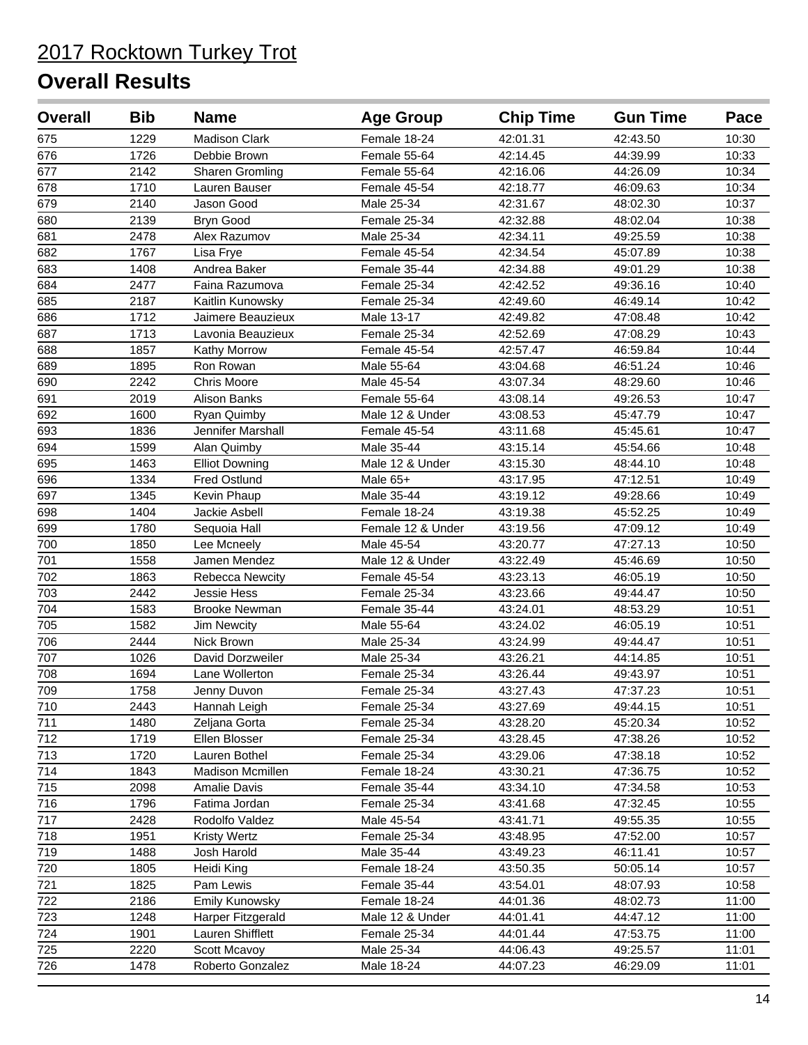| <b>Overall</b> | <b>Bib</b> | <b>Name</b>           | <b>Age Group</b>  | <b>Chip Time</b> | <b>Gun Time</b> | Pace  |
|----------------|------------|-----------------------|-------------------|------------------|-----------------|-------|
| 675            | 1229       | <b>Madison Clark</b>  | Female 18-24      | 42:01.31         | 42:43.50        | 10:30 |
| 676            | 1726       | Debbie Brown          | Female 55-64      | 42:14.45         | 44:39.99        | 10:33 |
| 677            | 2142       | Sharen Gromling       | Female 55-64      | 42:16.06         | 44:26.09        | 10:34 |
| 678            | 1710       | Lauren Bauser         | Female 45-54      | 42:18.77         | 46:09.63        | 10:34 |
| 679            | 2140       | Jason Good            | Male 25-34        | 42:31.67         | 48:02.30        | 10:37 |
| 680            | 2139       | <b>Bryn Good</b>      | Female 25-34      | 42:32.88         | 48:02.04        | 10:38 |
| 681            | 2478       | Alex Razumov          | Male 25-34        | 42:34.11         | 49:25.59        | 10:38 |
| 682            | 1767       | Lisa Frye             | Female 45-54      | 42:34.54         | 45:07.89        | 10:38 |
| 683            | 1408       | Andrea Baker          | Female 35-44      | 42:34.88         | 49:01.29        | 10:38 |
| 684            | 2477       | Faina Razumova        | Female 25-34      | 42:42.52         | 49:36.16        | 10:40 |
| 685            | 2187       | Kaitlin Kunowsky      | Female 25-34      | 42:49.60         | 46:49.14        | 10:42 |
| 686            | 1712       | Jaimere Beauzieux     | Male 13-17        | 42:49.82         | 47:08.48        | 10:42 |
| 687            | 1713       | Lavonia Beauzieux     | Female 25-34      | 42:52.69         | 47:08.29        | 10:43 |
| 688            | 1857       | Kathy Morrow          | Female 45-54      | 42:57.47         | 46:59.84        | 10:44 |
| 689            | 1895       | Ron Rowan             | Male 55-64        | 43:04.68         | 46:51.24        | 10:46 |
| 690            | 2242       | <b>Chris Moore</b>    | Male 45-54        | 43:07.34         | 48:29.60        | 10:46 |
| 691            | 2019       | Alison Banks          | Female 55-64      | 43:08.14         | 49:26.53        | 10:47 |
| 692            | 1600       | Ryan Quimby           | Male 12 & Under   | 43:08.53         | 45:47.79        | 10:47 |
| 693            | 1836       | Jennifer Marshall     | Female 45-54      | 43:11.68         | 45:45.61        | 10:47 |
| 694            | 1599       | Alan Quimby           | Male 35-44        | 43:15.14         | 45:54.66        | 10:48 |
| 695            | 1463       | <b>Elliot Downing</b> | Male 12 & Under   | 43:15.30         | 48:44.10        | 10:48 |
| 696            | 1334       | Fred Ostlund          | Male 65+          | 43:17.95         | 47:12.51        | 10:49 |
| 697            | 1345       | Kevin Phaup           | Male 35-44        | 43:19.12         | 49:28.66        | 10:49 |
| 698            | 1404       | Jackie Asbell         | Female 18-24      | 43:19.38         | 45:52.25        | 10:49 |
| 699            | 1780       | Sequoia Hall          | Female 12 & Under | 43:19.56         | 47:09.12        | 10:49 |
| 700            | 1850       | Lee Mcneely           | Male 45-54        | 43:20.77         | 47:27.13        | 10:50 |
| 701            | 1558       | Jamen Mendez          | Male 12 & Under   | 43:22.49         | 45:46.69        | 10:50 |
| 702            | 1863       | Rebecca Newcity       | Female 45-54      | 43:23.13         | 46:05.19        | 10:50 |
| 703            | 2442       | Jessie Hess           | Female 25-34      | 43:23.66         | 49:44.47        | 10:50 |
| 704            | 1583       | <b>Brooke Newman</b>  | Female 35-44      | 43:24.01         | 48:53.29        | 10:51 |
| 705            | 1582       | <b>Jim Newcity</b>    | Male 55-64        | 43:24.02         | 46:05.19        | 10:51 |
| 706            | 2444       | Nick Brown            | Male 25-34        | 43:24.99         | 49:44.47        | 10:51 |
| 707            | 1026       | David Dorzweiler      | Male 25-34        | 43:26.21         | 44:14.85        | 10:51 |
| 708            | 1694       | Lane Wollerton        | Female 25-34      | 43:26.44         | 49:43.97        | 10:51 |
| 709            | 1758       | Jenny Duvon           | Female 25-34      | 43:27.43         | 47:37.23        | 10:51 |
| 710            | 2443       | Hannah Leigh          | Female 25-34      | 43:27.69         | 49:44.15        | 10:51 |
| 711            | 1480       | Zeljana Gorta         | Female 25-34      | 43:28.20         | 45:20.34        | 10:52 |
| 712            | 1719       | Ellen Blosser         | Female 25-34      | 43:28.45         | 47:38.26        | 10:52 |
| 713            | 1720       | Lauren Bothel         | Female 25-34      | 43:29.06         | 47:38.18        | 10:52 |
| 714            | 1843       | Madison Mcmillen      | Female 18-24      | 43:30.21         | 47:36.75        | 10:52 |
| 715            | 2098       | <b>Amalie Davis</b>   | Female 35-44      | 43:34.10         | 47:34.58        | 10:53 |
| 716            | 1796       | Fatima Jordan         | Female 25-34      | 43:41.68         | 47:32.45        | 10:55 |
| 717            | 2428       | Rodolfo Valdez        | Male 45-54        | 43:41.71         | 49:55.35        | 10:55 |
| 718            | 1951       | <b>Kristy Wertz</b>   | Female 25-34      | 43:48.95         | 47:52.00        | 10:57 |
| 719            | 1488       | Josh Harold           | Male 35-44        | 43:49.23         | 46:11.41        | 10:57 |
| 720            | 1805       | Heidi King            | Female 18-24      | 43:50.35         | 50:05.14        | 10:57 |
| 721            | 1825       | Pam Lewis             | Female 35-44      | 43:54.01         | 48:07.93        | 10:58 |
| 722            | 2186       | Emily Kunowsky        | Female 18-24      | 44:01.36         | 48:02.73        | 11:00 |
| 723            | 1248       | Harper Fitzgerald     | Male 12 & Under   | 44:01.41         | 44:47.12        | 11:00 |
| 724            | 1901       | Lauren Shifflett      | Female 25-34      | 44:01.44         | 47:53.75        | 11:00 |
| 725            | 2220       | Scott Mcavoy          | Male 25-34        | 44:06.43         | 49:25.57        | 11:01 |
| 726            | 1478       | Roberto Gonzalez      | Male 18-24        | 44:07.23         | 46:29.09        | 11:01 |
|                |            |                       |                   |                  |                 |       |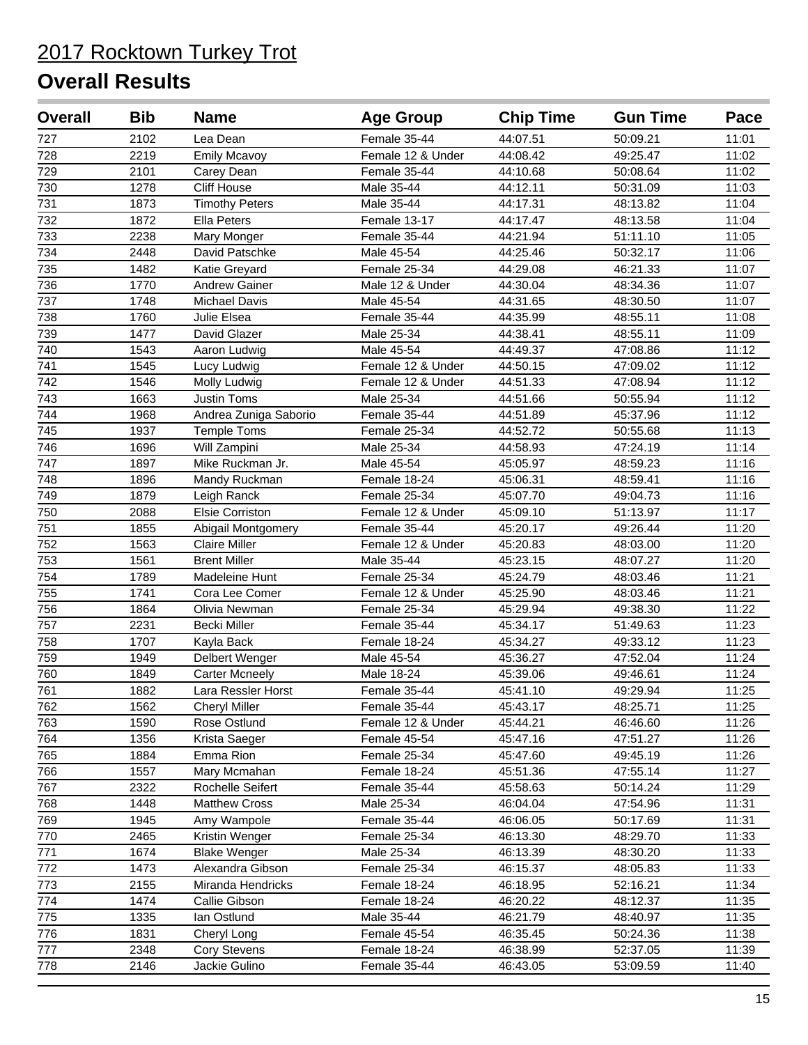| <b>Overall</b>   | <b>Bib</b> | <b>Name</b>           | <b>Age Group</b>  | <b>Chip Time</b> | <b>Gun Time</b> | Pace  |
|------------------|------------|-----------------------|-------------------|------------------|-----------------|-------|
| 727              | 2102       | Lea Dean              | Female 35-44      | 44:07.51         | 50:09.21        | 11:01 |
| 728              | 2219       | <b>Emily Mcavoy</b>   | Female 12 & Under | 44:08.42         | 49:25.47        | 11:02 |
| $\overline{729}$ | 2101       | Carey Dean            | Female 35-44      | 44:10.68         | 50:08.64        | 11:02 |
| 730              | 1278       | Cliff House           | Male 35-44        | 44:12.11         | 50:31.09        | 11:03 |
| 731              | 1873       | <b>Timothy Peters</b> | Male 35-44        | 44:17.31         | 48:13.82        | 11:04 |
| 732              | 1872       | <b>Ella Peters</b>    | Female 13-17      | 44:17.47         | 48:13.58        | 11:04 |
| 733              | 2238       | Mary Monger           | Female 35-44      | 44:21.94         | 51:11.10        | 11:05 |
| 734              | 2448       | David Patschke        | Male 45-54        | 44:25.46         | 50:32.17        | 11:06 |
| 735              | 1482       | Katie Greyard         | Female 25-34      | 44:29.08         | 46:21.33        | 11:07 |
| 736              | 1770       | Andrew Gainer         | Male 12 & Under   | 44:30.04         | 48:34.36        | 11:07 |
| 737              | 1748       | <b>Michael Davis</b>  | Male 45-54        | 44:31.65         | 48:30.50        | 11:07 |
| 738              | 1760       | Julie Elsea           | Female 35-44      | 44:35.99         | 48:55.11        | 11:08 |
| 739              | 1477       | David Glazer          | Male 25-34        | 44:38.41         | 48:55.11        | 11:09 |
| 740              | 1543       | Aaron Ludwig          | Male 45-54        | 44:49.37         | 47:08.86        | 11:12 |
| 741              | 1545       | Lucy Ludwig           | Female 12 & Under | 44:50.15         | 47:09.02        | 11:12 |
| 742              | 1546       | Molly Ludwig          | Female 12 & Under | 44:51.33         | 47:08.94        | 11:12 |
| 743              | 1663       | Justin Toms           | Male 25-34        | 44:51.66         | 50:55.94        | 11:12 |
| 744              | 1968       | Andrea Zuniga Saborio | Female 35-44      | 44:51.89         | 45:37.96        | 11:12 |
| 745              | 1937       | <b>Temple Toms</b>    | Female 25-34      | 44:52.72         | 50:55.68        | 11:13 |
| 746              | 1696       | Will Zampini          | Male 25-34        | 44:58.93         | 47:24.19        | 11:14 |
| 747              | 1897       | Mike Ruckman Jr.      | Male 45-54        | 45:05.97         | 48:59.23        | 11:16 |
| 748              | 1896       | Mandy Ruckman         | Female 18-24      | 45:06.31         | 48:59.41        | 11:16 |
| 749              | 1879       | Leigh Ranck           | Female 25-34      | 45:07.70         | 49:04.73        | 11:16 |
| 750              | 2088       | Elsie Corriston       | Female 12 & Under | 45:09.10         | 51:13.97        | 11:17 |
| 751              | 1855       | Abigail Montgomery    | Female 35-44      | 45:20.17         | 49:26.44        | 11:20 |
| 752              | 1563       | Claire Miller         | Female 12 & Under | 45:20.83         | 48:03.00        | 11:20 |
| 753              | 1561       | <b>Brent Miller</b>   | Male 35-44        | 45:23.15         | 48:07.27        | 11:20 |
| 754              | 1789       | Madeleine Hunt        | Female 25-34      | 45:24.79         | 48:03.46        | 11:21 |
| 755              | 1741       | Cora Lee Comer        | Female 12 & Under | 45:25.90         | 48:03.46        | 11:21 |
| 756              | 1864       | Olivia Newman         | Female 25-34      | 45:29.94         | 49:38.30        | 11:22 |
| 757              | 2231       | Becki Miller          | Female 35-44      | 45:34.17         | 51:49.63        | 11:23 |
| 758              | 1707       | Kayla Back            | Female 18-24      | 45:34.27         | 49:33.12        | 11:23 |
| 759              | 1949       | Delbert Wenger        | Male 45-54        | 45:36.27         | 47:52.04        | 11:24 |
| 760              | 1849       | <b>Carter Mcneely</b> | Male 18-24        | 45:39.06         | 49:46.61        | 11:24 |
| 761              | 1882       | Lara Ressler Horst    | Female 35-44      | 45:41.10         | 49:29.94        | 11:25 |
| 762              | 1562       | <b>Cheryl Miller</b>  | Female 35-44      | 45:43.17         | 48:25.71        | 11:25 |
| 763              | 1590       | Rose Ostlund          | Female 12 & Under | 45:44.21         | 46:46.60        | 11:26 |
| 764              | 1356       | Krista Saeger         | Female 45-54      | 45:47.16         | 47:51.27        | 11:26 |
| 765              | 1884       | Emma Rion             | Female 25-34      | 45:47.60         | 49:45.19        | 11:26 |
| 766              | 1557       | Mary Mcmahan          | Female 18-24      | 45:51.36         | 47:55.14        | 11:27 |
| 767              | 2322       | Rochelle Seifert      | Female 35-44      | 45:58.63         | 50:14.24        | 11:29 |
| 768              | 1448       | <b>Matthew Cross</b>  | Male 25-34        | 46:04.04         | 47:54.96        | 11:31 |
| 769              | 1945       | Amy Wampole           | Female 35-44      | 46:06.05         | 50:17.69        | 11:31 |
| 770              | 2465       | Kristin Wenger        | Female 25-34      | 46:13.30         | 48:29.70        | 11:33 |
| 771              | 1674       | <b>Blake Wenger</b>   | Male 25-34        | 46:13.39         | 48:30.20        | 11:33 |
| 772              | 1473       | Alexandra Gibson      | Female 25-34      | 46:15.37         | 48:05.83        | 11:33 |
| 773              | 2155       | Miranda Hendricks     | Female 18-24      | 46:18.95         | 52:16.21        | 11:34 |
| 774              | 1474       | Callie Gibson         | Female 18-24      | 46:20.22         | 48:12.37        | 11:35 |
| 775              | 1335       | lan Ostlund           | Male 35-44        | 46:21.79         | 48:40.97        | 11:35 |
| 776              | 1831       | Cheryl Long           | Female 45-54      | 46:35.45         | 50:24.36        | 11:38 |
| 777              | 2348       | Cory Stevens          | Female 18-24      | 46:38.99         | 52:37.05        | 11:39 |
| 778              | 2146       | Jackie Gulino         | Female 35-44      | 46:43.05         | 53:09.59        | 11:40 |
|                  |            |                       |                   |                  |                 |       |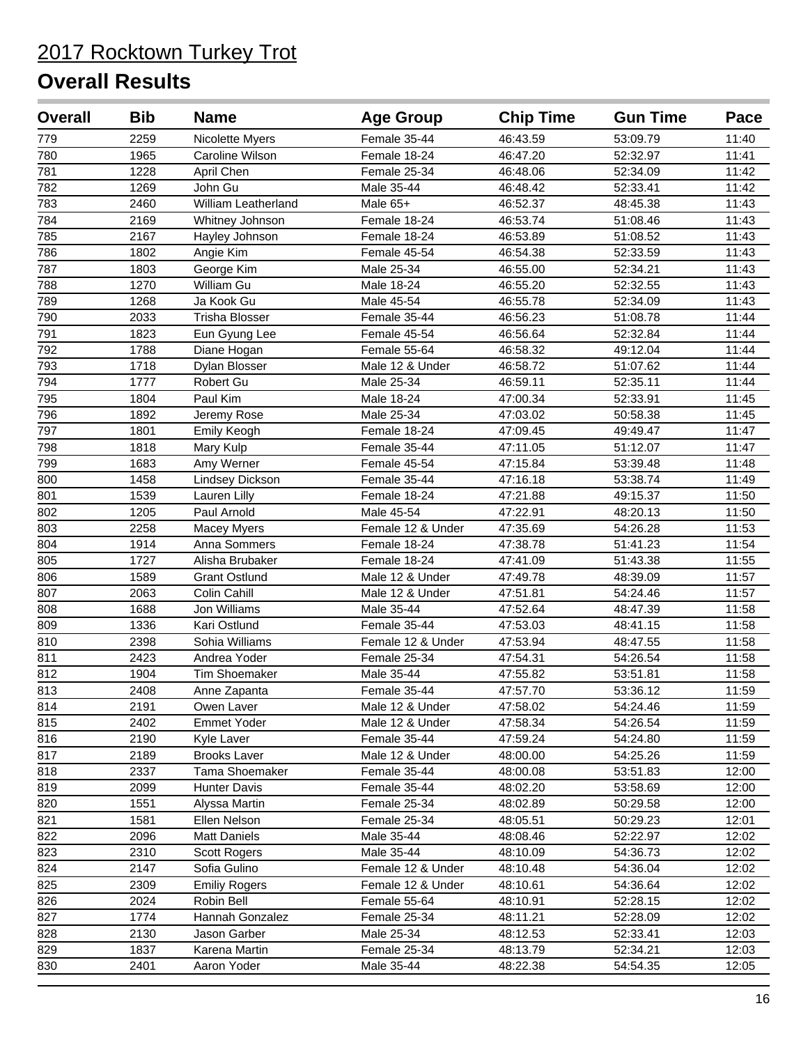| <b>Overall</b> | <b>Bib</b> | <b>Name</b>                | <b>Age Group</b>  | <b>Chip Time</b> | <b>Gun Time</b> | Pace  |
|----------------|------------|----------------------------|-------------------|------------------|-----------------|-------|
| 779            | 2259       | Nicolette Myers            | Female 35-44      | 46:43.59         | 53:09.79        | 11:40 |
| 780            | 1965       | Caroline Wilson            | Female 18-24      | 46:47.20         | 52:32.97        | 11:41 |
| 781            | 1228       | April Chen                 | Female 25-34      | 46:48.06         | 52:34.09        | 11:42 |
| 782            | 1269       | John Gu                    | Male 35-44        | 46:48.42         | 52:33.41        | 11:42 |
| 783            | 2460       | <b>William Leatherland</b> | Male 65+          | 46:52.37         | 48:45.38        | 11:43 |
| 784            | 2169       | Whitney Johnson            | Female 18-24      | 46:53.74         | 51:08.46        | 11:43 |
| 785            | 2167       | Hayley Johnson             | Female 18-24      | 46:53.89         | 51:08.52        | 11:43 |
| 786            | 1802       | Angie Kim                  | Female 45-54      | 46:54.38         | 52:33.59        | 11:43 |
| 787            | 1803       | George Kim                 | Male 25-34        | 46:55.00         | 52:34.21        | 11:43 |
| 788            | 1270       | William Gu                 | Male 18-24        | 46:55.20         | 52:32.55        | 11:43 |
| 789            | 1268       | Ja Kook Gu                 | Male 45-54        | 46:55.78         | 52:34.09        | 11:43 |
| 790            | 2033       | <b>Trisha Blosser</b>      | Female 35-44      | 46:56.23         | 51:08.78        | 11:44 |
| 791            | 1823       | Eun Gyung Lee              | Female 45-54      | 46:56.64         | 52:32.84        | 11:44 |
| 792            | 1788       | Diane Hogan                | Female 55-64      | 46:58.32         | 49:12.04        | 11:44 |
| 793            | 1718       | Dylan Blosser              | Male 12 & Under   | 46:58.72         | 51:07.62        | 11:44 |
| 794            | 1777       | Robert Gu                  | Male 25-34        | 46:59.11         | 52:35.11        | 11:44 |
| 795            | 1804       | Paul Kim                   | Male 18-24        | 47:00.34         | 52:33.91        | 11:45 |
| 796            | 1892       | Jeremy Rose                | Male 25-34        | 47:03.02         | 50:58.38        | 11:45 |
| 797            | 1801       | Emily Keogh                | Female 18-24      | 47:09.45         | 49:49.47        | 11:47 |
| 798            | 1818       | Mary Kulp                  | Female 35-44      | 47:11.05         | 51:12.07        | 11:47 |
| 799            | 1683       | Amy Werner                 | Female 45-54      | 47:15.84         | 53:39.48        | 11:48 |
| 800            | 1458       | <b>Lindsey Dickson</b>     | Female 35-44      | 47:16.18         | 53:38.74        | 11:49 |
| 801            | 1539       | Lauren Lilly               | Female 18-24      | 47:21.88         | 49:15.37        | 11:50 |
| 802            | 1205       | Paul Arnold                | Male 45-54        | 47:22.91         | 48:20.13        | 11:50 |
| 803            | 2258       | Macey Myers                | Female 12 & Under | 47:35.69         | 54:26.28        | 11:53 |
| 804            | 1914       | Anna Sommers               | Female 18-24      | 47:38.78         | 51:41.23        | 11:54 |
| 805            | 1727       | Alisha Brubaker            | Female 18-24      | 47:41.09         | 51:43.38        | 11:55 |
| 806            | 1589       | <b>Grant Ostlund</b>       | Male 12 & Under   | 47:49.78         | 48:39.09        | 11:57 |
| 807            | 2063       | Colin Cahill               | Male 12 & Under   | 47:51.81         | 54:24.46        | 11:57 |
| 808            | 1688       | Jon Williams               | Male 35-44        | 47:52.64         | 48:47.39        | 11:58 |
| 809            | 1336       | Kari Ostlund               | Female 35-44      | 47:53.03         | 48:41.15        | 11:58 |
| 810            | 2398       | Sohia Williams             | Female 12 & Under | 47:53.94         | 48:47.55        | 11:58 |
| 811            | 2423       | Andrea Yoder               | Female 25-34      | 47:54.31         | 54:26.54        | 11:58 |
| 812            | 1904       | Tim Shoemaker              | Male 35-44        | 47:55.82         | 53:51.81        | 11:58 |
| 813            | 2408       | Anne Zapanta               | Female 35-44      | 47:57.70         | 53:36.12        | 11:59 |
| 814            | 2191       | Owen Laver                 | Male 12 & Under   | 47:58.02         | 54:24.46        | 11:59 |
| 815            | 2402       | <b>Emmet Yoder</b>         | Male 12 & Under   | 47:58.34         | 54:26.54        | 11:59 |
| 816            | 2190       | Kyle Laver                 | Female 35-44      | 47:59.24         | 54:24.80        | 11:59 |
| 817            | 2189       | <b>Brooks Laver</b>        | Male 12 & Under   | 48:00.00         | 54:25.26        | 11:59 |
| 818            | 2337       | Tama Shoemaker             | Female 35-44      | 48:00.08         | 53:51.83        | 12:00 |
| 819            | 2099       | <b>Hunter Davis</b>        | Female 35-44      | 48:02.20         | 53:58.69        | 12:00 |
| 820            | 1551       | Alyssa Martin              | Female 25-34      | 48:02.89         | 50:29.58        | 12:00 |
| 821            | 1581       | Ellen Nelson               | Female 25-34      | 48:05.51         | 50:29.23        | 12:01 |
| 822            | 2096       | <b>Matt Daniels</b>        | Male 35-44        | 48:08.46         | 52:22.97        | 12:02 |
| 823            | 2310       | Scott Rogers               | Male 35-44        | 48:10.09         | 54:36.73        | 12:02 |
| 824            | 2147       | Sofia Gulino               | Female 12 & Under | 48:10.48         | 54:36.04        | 12:02 |
| 825            | 2309       | <b>Emiliy Rogers</b>       | Female 12 & Under | 48:10.61         | 54:36.64        | 12:02 |
| 826            | 2024       | Robin Bell                 | Female 55-64      | 48:10.91         | 52:28.15        | 12:02 |
| 827            | 1774       | Hannah Gonzalez            | Female 25-34      | 48:11.21         | 52:28.09        | 12:02 |
| 828            | 2130       | Jason Garber               | Male 25-34        | 48:12.53         | 52:33.41        | 12:03 |
| 829            | 1837       | Karena Martin              | Female 25-34      | 48:13.79         | 52:34.21        | 12:03 |
| 830            | 2401       | Aaron Yoder                | Male 35-44        | 48:22.38         | 54:54.35        | 12:05 |
|                |            |                            |                   |                  |                 |       |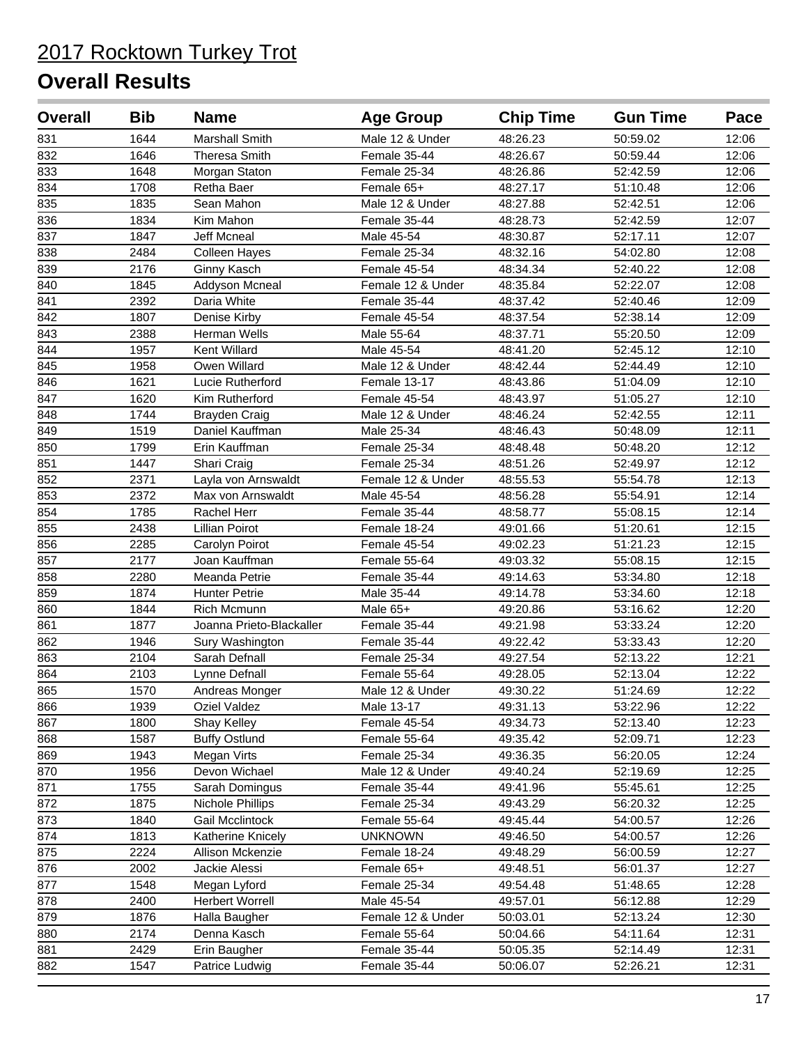| <b>Overall</b> | <b>Bib</b> | <b>Name</b>              | <b>Age Group</b>  | <b>Chip Time</b> | <b>Gun Time</b> | Pace  |
|----------------|------------|--------------------------|-------------------|------------------|-----------------|-------|
| 831            | 1644       | Marshall Smith           | Male 12 & Under   | 48:26.23         | 50:59.02        | 12:06 |
| 832            | 1646       | <b>Theresa Smith</b>     | Female 35-44      | 48:26.67         | 50:59.44        | 12:06 |
| 833            | 1648       | Morgan Staton            | Female 25-34      | 48:26.86         | 52:42.59        | 12:06 |
| 834            | 1708       | Retha Baer               | Female 65+        | 48:27.17         | 51:10.48        | 12:06 |
| 835            | 1835       | Sean Mahon               | Male 12 & Under   | 48:27.88         | 52:42.51        | 12:06 |
| 836            | 1834       | Kim Mahon                | Female 35-44      | 48:28.73         | 52:42.59        | 12:07 |
| 837            | 1847       | <b>Jeff Mcneal</b>       | Male 45-54        | 48:30.87         | 52:17.11        | 12:07 |
| 838            | 2484       | Colleen Hayes            | Female 25-34      | 48:32.16         | 54:02.80        | 12:08 |
| 839            | 2176       | Ginny Kasch              | Female 45-54      | 48:34.34         | 52:40.22        | 12:08 |
| 840            | 1845       | Addyson Mcneal           | Female 12 & Under | 48:35.84         | 52:22.07        | 12:08 |
| 841            | 2392       | Daria White              | Female 35-44      | 48:37.42         | 52:40.46        | 12:09 |
| 842            | 1807       | Denise Kirby             | Female 45-54      | 48:37.54         | 52:38.14        | 12:09 |
| 843            | 2388       | Herman Wells             | Male 55-64        | 48:37.71         | 55:20.50        | 12:09 |
| 844            | 1957       | Kent Willard             | Male 45-54        | 48:41.20         | 52:45.12        | 12:10 |
| 845            | 1958       | Owen Willard             | Male 12 & Under   | 48:42.44         | 52:44.49        | 12:10 |
| 846            | 1621       | Lucie Rutherford         | Female 13-17      | 48:43.86         | 51:04.09        | 12:10 |
| 847            | 1620       | Kim Rutherford           | Female 45-54      | 48:43.97         | 51:05.27        | 12:10 |
| 848            | 1744       | <b>Brayden Craig</b>     | Male 12 & Under   | 48:46.24         | 52:42.55        | 12:11 |
| 849            | 1519       | Daniel Kauffman          | Male 25-34        | 48:46.43         | 50:48.09        | 12:11 |
| 850            | 1799       | Erin Kauffman            | Female 25-34      | 48:48.48         | 50:48.20        | 12:12 |
| 851            | 1447       | Shari Craig              | Female 25-34      | 48:51.26         | 52:49.97        | 12:12 |
| 852            | 2371       | Layla von Arnswaldt      | Female 12 & Under | 48:55.53         | 55:54.78        | 12:13 |
| 853            | 2372       | Max von Arnswaldt        | Male 45-54        | 48:56.28         | 55:54.91        | 12:14 |
| 854            | 1785       | Rachel Herr              | Female 35-44      | 48:58.77         | 55:08.15        | 12:14 |
| 855            | 2438       | <b>Lillian Poirot</b>    | Female 18-24      | 49:01.66         | 51:20.61        | 12:15 |
| 856            | 2285       | Carolyn Poirot           | Female 45-54      | 49:02.23         | 51:21.23        | 12:15 |
| 857            | 2177       | Joan Kauffman            | Female 55-64      | 49:03.32         | 55:08.15        | 12:15 |
| 858            | 2280       | Meanda Petrie            | Female 35-44      | 49:14.63         | 53:34.80        | 12:18 |
| 859            | 1874       | <b>Hunter Petrie</b>     | Male 35-44        | 49:14.78         | 53:34.60        | 12:18 |
| 860            | 1844       | <b>Rich Mcmunn</b>       | Male 65+          | 49:20.86         | 53:16.62        | 12:20 |
| 861            | 1877       | Joanna Prieto-Blackaller | Female 35-44      | 49:21.98         | 53:33.24        | 12:20 |
| 862            | 1946       | Sury Washington          | Female 35-44      | 49:22.42         | 53:33.43        | 12:20 |
| 863            | 2104       | Sarah Defnall            | Female 25-34      | 49:27.54         | 52:13.22        | 12:21 |
| 864            | 2103       | Lynne Defnall            | Female 55-64      | 49:28.05         | 52:13.04        | 12:22 |
| 865            | 1570       | Andreas Monger           | Male 12 & Under   | 49:30.22         | 51:24.69        | 12:22 |
| 866            | 1939       | Oziel Valdez             | Male 13-17        | 49:31.13         | 53:22.96        | 12:22 |
| 867            | 1800       | Shay Kelley              | Female 45-54      | 49:34.73         | 52:13.40        | 12:23 |
| 868            | 1587       | <b>Buffy Ostlund</b>     | Female 55-64      | 49:35.42         | 52:09.71        | 12:23 |
| 869            | 1943       | Megan Virts              | Female 25-34      | 49:36.35         | 56:20.05        | 12:24 |
| 870            | 1956       | Devon Wichael            | Male 12 & Under   | 49:40.24         | 52:19.69        | 12:25 |
| 871            | 1755       | Sarah Domingus           | Female 35-44      | 49:41.96         | 55:45.61        | 12:25 |
| 872            | 1875       | Nichole Phillips         | Female 25-34      | 49:43.29         | 56:20.32        | 12:25 |
| 873            | 1840       | Gail Mcclintock          | Female 55-64      | 49:45.44         | 54:00.57        | 12:26 |
| 874            | 1813       | Katherine Knicely        | <b>UNKNOWN</b>    | 49:46.50         | 54:00.57        | 12:26 |
| 875            | 2224       | Allison Mckenzie         | Female 18-24      | 49:48.29         | 56:00.59        | 12:27 |
| 876            | 2002       | Jackie Alessi            | Female 65+        | 49:48.51         | 56:01.37        | 12:27 |
| 877            | 1548       | Megan Lyford             | Female 25-34      | 49:54.48         | 51:48.65        | 12:28 |
| 878            | 2400       | <b>Herbert Worrell</b>   | Male 45-54        | 49:57.01         | 56:12.88        | 12:29 |
| 879            | 1876       | Halla Baugher            | Female 12 & Under | 50:03.01         | 52:13.24        | 12:30 |
| 880            | 2174       | Denna Kasch              | Female 55-64      | 50:04.66         | 54:11.64        | 12:31 |
| 881            | 2429       | Erin Baugher             | Female 35-44      | 50:05.35         | 52:14.49        | 12:31 |
| 882            | 1547       | Patrice Ludwig           | Female 35-44      | 50:06.07         | 52:26.21        | 12:31 |
|                |            |                          |                   |                  |                 |       |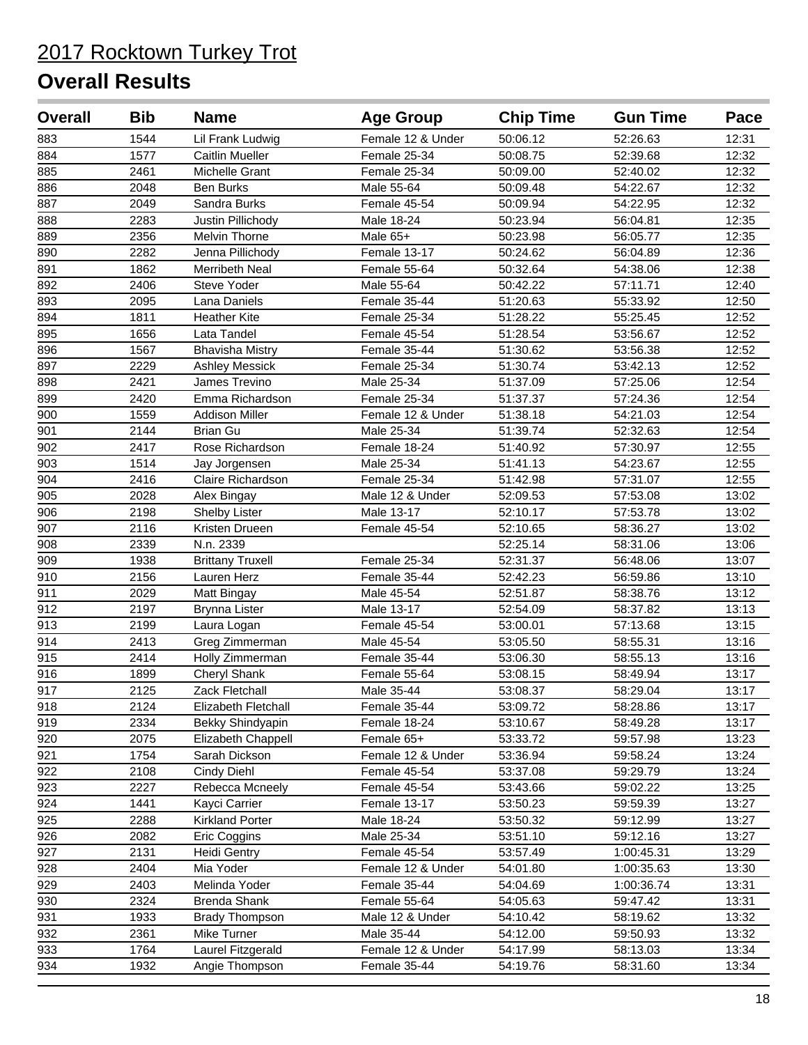| <b>Overall</b>   | <b>Bib</b> | <b>Name</b>             | <b>Age Group</b>  | <b>Chip Time</b> | <b>Gun Time</b> | Pace  |
|------------------|------------|-------------------------|-------------------|------------------|-----------------|-------|
| 883              | 1544       | Lil Frank Ludwig        | Female 12 & Under | 50:06.12         | 52:26.63        | 12:31 |
| 884              | 1577       | <b>Caitlin Mueller</b>  | Female 25-34      | 50:08.75         | 52:39.68        | 12:32 |
| 885              | 2461       | Michelle Grant          | Female 25-34      | 50:09.00         | 52:40.02        | 12:32 |
| 886              | 2048       | <b>Ben Burks</b>        | Male 55-64        | 50:09.48         | 54:22.67        | 12:32 |
| 887              | 2049       | Sandra Burks            | Female 45-54      | 50:09.94         | 54:22.95        | 12:32 |
| 888              | 2283       | Justin Pillichody       | Male 18-24        | 50:23.94         | 56:04.81        | 12:35 |
| 889              | 2356       | Melvin Thorne           | Male 65+          | 50:23.98         | 56:05.77        | 12:35 |
| 890              | 2282       | Jenna Pillichody        | Female 13-17      | 50:24.62         | 56:04.89        | 12:36 |
| 891              | 1862       | Merribeth Neal          | Female 55-64      | 50:32.64         | 54:38.06        | 12:38 |
| 892              | 2406       | Steve Yoder             | Male 55-64        | 50:42.22         | 57:11.71        | 12:40 |
| 893              | 2095       | Lana Daniels            | Female 35-44      | 51:20.63         | 55:33.92        | 12:50 |
| 894              | 1811       | <b>Heather Kite</b>     | Female 25-34      | 51:28.22         | 55:25.45        | 12:52 |
| 895              | 1656       | Lata Tandel             | Female 45-54      | 51:28.54         | 53:56.67        | 12:52 |
| 896              | 1567       | <b>Bhavisha Mistry</b>  | Female 35-44      | 51:30.62         | 53:56.38        | 12:52 |
| 897              | 2229       | <b>Ashley Messick</b>   | Female 25-34      | 51:30.74         | 53:42.13        | 12:52 |
| 898              | 2421       | James Trevino           | Male 25-34        | 51:37.09         | 57:25.06        | 12:54 |
| 899              | 2420       | Emma Richardson         | Female 25-34      | 51:37.37         | 57:24.36        | 12:54 |
| 900              | 1559       | <b>Addison Miller</b>   | Female 12 & Under | 51:38.18         | 54:21.03        | 12:54 |
| 901              | 2144       | <b>Brian Gu</b>         | Male 25-34        | 51:39.74         | 52:32.63        | 12:54 |
| 902              | 2417       | Rose Richardson         | Female 18-24      | 51:40.92         | 57:30.97        | 12:55 |
| 903              | 1514       | Jay Jorgensen           | Male 25-34        | 51:41.13         | 54:23.67        | 12:55 |
| 904              | 2416       | Claire Richardson       | Female 25-34      | 51:42.98         | 57:31.07        | 12:55 |
| 905              | 2028       | Alex Bingay             | Male 12 & Under   | 52:09.53         | 57:53.08        | 13:02 |
| $\overline{906}$ | 2198       | <b>Shelby Lister</b>    | Male 13-17        | 52:10.17         | 57:53.78        | 13:02 |
| 907              | 2116       | Kristen Drueen          | Female 45-54      | 52:10.65         | 58:36.27        | 13:02 |
| 908              | 2339       | N.n. 2339               |                   | 52:25.14         | 58:31.06        | 13:06 |
| 909              | 1938       | <b>Brittany Truxell</b> | Female 25-34      | 52:31.37         | 56:48.06        | 13:07 |
| 910              | 2156       | Lauren Herz             | Female 35-44      | 52:42.23         | 56:59.86        | 13:10 |
| 911              | 2029       | Matt Bingay             | Male 45-54        | 52:51.87         | 58:38.76        | 13:12 |
| 912              | 2197       | <b>Brynna Lister</b>    | Male 13-17        | 52:54.09         | 58:37.82        | 13:13 |
| 913              | 2199       | Laura Logan             | Female 45-54      | 53:00.01         | 57:13.68        | 13:15 |
| 914              | 2413       | Greg Zimmerman          | Male 45-54        | 53:05.50         | 58:55.31        | 13:16 |
| 915              | 2414       | Holly Zimmerman         | Female 35-44      | 53:06.30         | 58:55.13        | 13:16 |
| 916              | 1899       | Cheryl Shank            | Female 55-64      | 53:08.15         | 58:49.94        | 13:17 |
| 917              | 2125       | Zack Fletchall          | Male 35-44        | 53:08.37         | 58:29.04        | 13:17 |
| 918              | 2124       | Elizabeth Fletchall     | Female 35-44      | 53:09.72         | 58:28.86        | 13:17 |
| 919              | 2334       | Bekky Shindyapin        | Female 18-24      | 53:10.67         | 58:49.28        | 13:17 |
| 920              | 2075       | Elizabeth Chappell      | Female 65+        | 53:33.72         | 59:57.98        | 13:23 |
| 921              | 1754       | Sarah Dickson           | Female 12 & Under | 53:36.94         | 59:58.24        | 13:24 |
| 922              | 2108       | Cindy Diehl             | Female 45-54      | 53:37.08         | 59:29.79        | 13:24 |
| 923              | 2227       | Rebecca Mcneely         | Female 45-54      | 53:43.66         | 59:02.22        | 13:25 |
| 924              | 1441       | Kayci Carrier           | Female 13-17      | 53:50.23         | 59:59.39        | 13:27 |
| 925              | 2288       | <b>Kirkland Porter</b>  | Male 18-24        | 53:50.32         | 59:12.99        | 13:27 |
| 926              | 2082       | Eric Coggins            | Male 25-34        | 53:51.10         | 59:12.16        | 13:27 |
| 927              | 2131       | <b>Heidi Gentry</b>     | Female 45-54      | 53:57.49         | 1:00:45.31      | 13:29 |
| 928              | 2404       | Mia Yoder               | Female 12 & Under | 54:01.80         | 1:00:35.63      | 13:30 |
| 929              | 2403       | Melinda Yoder           | Female 35-44      | 54:04.69         | 1:00:36.74      | 13:31 |
| 930              | 2324       | Brenda Shank            | Female 55-64      | 54:05.63         | 59:47.42        | 13:31 |
| 931              | 1933       | <b>Brady Thompson</b>   | Male 12 & Under   | 54:10.42         | 58:19.62        | 13:32 |
| 932              | 2361       | Mike Turner             | Male 35-44        | 54:12.00         | 59:50.93        | 13:32 |
| 933              | 1764       | Laurel Fitzgerald       | Female 12 & Under | 54:17.99         | 58:13.03        | 13:34 |
| 934              | 1932       | Angie Thompson          | Female 35-44      | 54:19.76         | 58:31.60        | 13:34 |
|                  |            |                         |                   |                  |                 |       |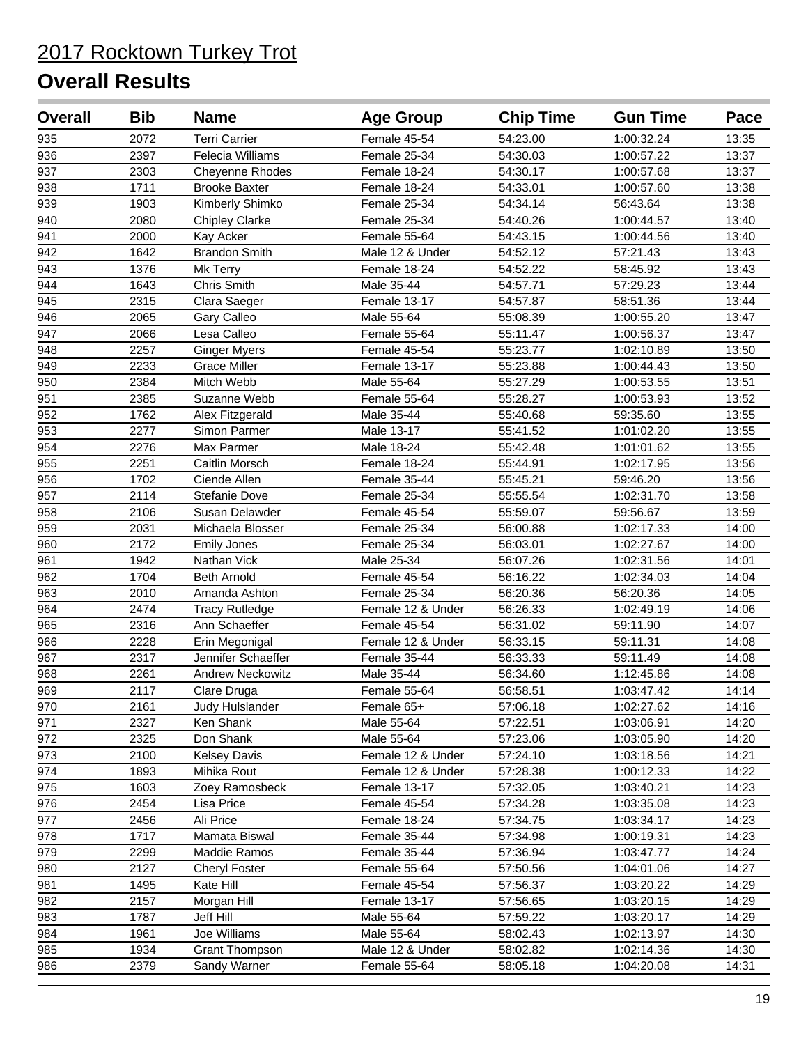| <b>Overall</b> | <b>Bib</b> | <b>Name</b>             | <b>Age Group</b>  | <b>Chip Time</b> | <b>Gun Time</b> | Pace  |
|----------------|------------|-------------------------|-------------------|------------------|-----------------|-------|
| 935            | 2072       | <b>Terri Carrier</b>    | Female 45-54      | 54:23.00         | 1:00:32.24      | 13:35 |
| 936            | 2397       | Felecia Williams        | Female 25-34      | 54:30.03         | 1:00:57.22      | 13:37 |
| 937            | 2303       | Cheyenne Rhodes         | Female 18-24      | 54:30.17         | 1:00:57.68      | 13:37 |
| 938            | 1711       | <b>Brooke Baxter</b>    | Female 18-24      | 54:33.01         | 1:00:57.60      | 13:38 |
| 939            | 1903       | Kimberly Shimko         | Female 25-34      | 54:34.14         | 56:43.64        | 13:38 |
| 940            | 2080       | <b>Chipley Clarke</b>   | Female 25-34      | 54:40.26         | 1:00:44.57      | 13:40 |
| 941            | 2000       | Kay Acker               | Female 55-64      | 54:43.15         | 1:00:44.56      | 13:40 |
| 942            | 1642       | <b>Brandon Smith</b>    | Male 12 & Under   | 54:52.12         | 57:21.43        | 13:43 |
| 943            | 1376       | Mk Terry                | Female 18-24      | 54:52.22         | 58:45.92        | 13:43 |
| 944            | 1643       | Chris Smith             | Male 35-44        | 54:57.71         | 57:29.23        | 13:44 |
| 945            | 2315       | Clara Saeger            | Female 13-17      | 54:57.87         | 58:51.36        | 13:44 |
| 946            | 2065       | Gary Calleo             | Male 55-64        | 55:08.39         | 1:00:55.20      | 13:47 |
| 947            | 2066       | Lesa Calleo             | Female 55-64      | 55:11.47         | 1:00:56.37      | 13:47 |
| 948            | 2257       | <b>Ginger Myers</b>     | Female 45-54      | 55:23.77         | 1:02:10.89      | 13:50 |
| 949            | 2233       | <b>Grace Miller</b>     | Female 13-17      | 55:23.88         | 1:00:44.43      | 13:50 |
| 950            | 2384       | Mitch Webb              | Male 55-64        | 55:27.29         | 1:00:53.55      | 13:51 |
| 951            | 2385       | Suzanne Webb            | Female 55-64      | 55:28.27         | 1:00:53.93      | 13:52 |
| 952            | 1762       | Alex Fitzgerald         | Male 35-44        | 55:40.68         | 59:35.60        | 13:55 |
| 953            | 2277       | Simon Parmer            | Male 13-17        | 55:41.52         | 1:01:02.20      | 13:55 |
| 954            | 2276       | Max Parmer              | Male 18-24        | 55:42.48         | 1:01:01.62      | 13:55 |
| 955            | 2251       | Caitlin Morsch          | Female 18-24      | 55:44.91         | 1:02:17.95      | 13:56 |
| 956            | 1702       | Ciende Allen            | Female 35-44      | 55:45.21         | 59:46.20        | 13:56 |
| 957            | 2114       | Stefanie Dove           | Female 25-34      | 55:55.54         | 1:02:31.70      | 13:58 |
| 958            | 2106       | Susan Delawder          | Female 45-54      | 55:59.07         | 59:56.67        | 13:59 |
| 959            | 2031       | Michaela Blosser        | Female 25-34      | 56:00.88         | 1:02:17.33      | 14:00 |
| 960            | 2172       | <b>Emily Jones</b>      | Female 25-34      | 56:03.01         | 1:02:27.67      | 14:00 |
| 961            | 1942       | Nathan Vick             | Male 25-34        | 56:07.26         | 1:02:31.56      | 14:01 |
| 962            | 1704       | <b>Beth Arnold</b>      | Female 45-54      | 56:16.22         | 1:02:34.03      | 14:04 |
| 963            | 2010       | Amanda Ashton           | Female 25-34      | 56:20.36         | 56:20.36        | 14:05 |
| 964            | 2474       | <b>Tracy Rutledge</b>   | Female 12 & Under | 56:26.33         | 1:02:49.19      | 14:06 |
| 965            | 2316       | Ann Schaeffer           | Female 45-54      | 56:31.02         | 59:11.90        | 14:07 |
| 966            | 2228       | Erin Megonigal          | Female 12 & Under | 56:33.15         | 59:11.31        | 14:08 |
| 967            | 2317       | Jennifer Schaeffer      | Female 35-44      | 56:33.33         | 59:11.49        | 14:08 |
| 968            | 2261       | <b>Andrew Neckowitz</b> | Male 35-44        | 56:34.60         | 1:12:45.86      | 14:08 |
| 969            | 2117       | Clare Druga             | Female 55-64      | 56:58.51         | 1:03:47.42      | 14:14 |
| 970            | 2161       | Judy Hulslander         | Female 65+        | 57:06.18         | 1:02:27.62      | 14:16 |
| 971            | 2327       | Ken Shank               | Male 55-64        | 57:22.51         | 1:03:06.91      | 14:20 |
| 972            | 2325       | Don Shank               | Male 55-64        | 57:23.06         | 1:03:05.90      | 14:20 |
| 973            | 2100       | <b>Kelsey Davis</b>     | Female 12 & Under | 57:24.10         | 1:03:18.56      | 14:21 |
| 974            | 1893       | Mihika Rout             | Female 12 & Under | 57:28.38         | 1:00:12.33      | 14:22 |
| 975            | 1603       | Zoey Ramosbeck          | Female 13-17      | 57:32.05         | 1:03:40.21      | 14:23 |
| 976            | 2454       | Lisa Price              | Female 45-54      | 57:34.28         | 1:03:35.08      | 14:23 |
| 977            | 2456       | Ali Price               | Female 18-24      | 57:34.75         | 1:03:34.17      | 14:23 |
| 978            | 1717       | Mamata Biswal           | Female 35-44      | 57:34.98         | 1:00:19.31      | 14:23 |
| 979            | 2299       | Maddie Ramos            | Female 35-44      | 57:36.94         | 1:03:47.77      | 14:24 |
| 980            | 2127       | <b>Cheryl Foster</b>    | Female 55-64      | 57:50.56         | 1:04:01.06      | 14:27 |
| 981            | 1495       | Kate Hill               | Female 45-54      | 57:56.37         | 1:03:20.22      | 14:29 |
| 982            | 2157       | Morgan Hill             | Female 13-17      | 57:56.65         | 1:03:20.15      | 14:29 |
| 983            | 1787       | Jeff Hill               | Male 55-64        | 57:59.22         | 1:03:20.17      | 14:29 |
| 984            | 1961       | Joe Williams            | Male 55-64        | 58:02.43         | 1:02:13.97      | 14:30 |
| 985            | 1934       | <b>Grant Thompson</b>   | Male 12 & Under   | 58:02.82         | 1:02:14.36      | 14:30 |
| 986            | 2379       | Sandy Warner            | Female 55-64      | 58:05.18         | 1:04:20.08      | 14:31 |
|                |            |                         |                   |                  |                 |       |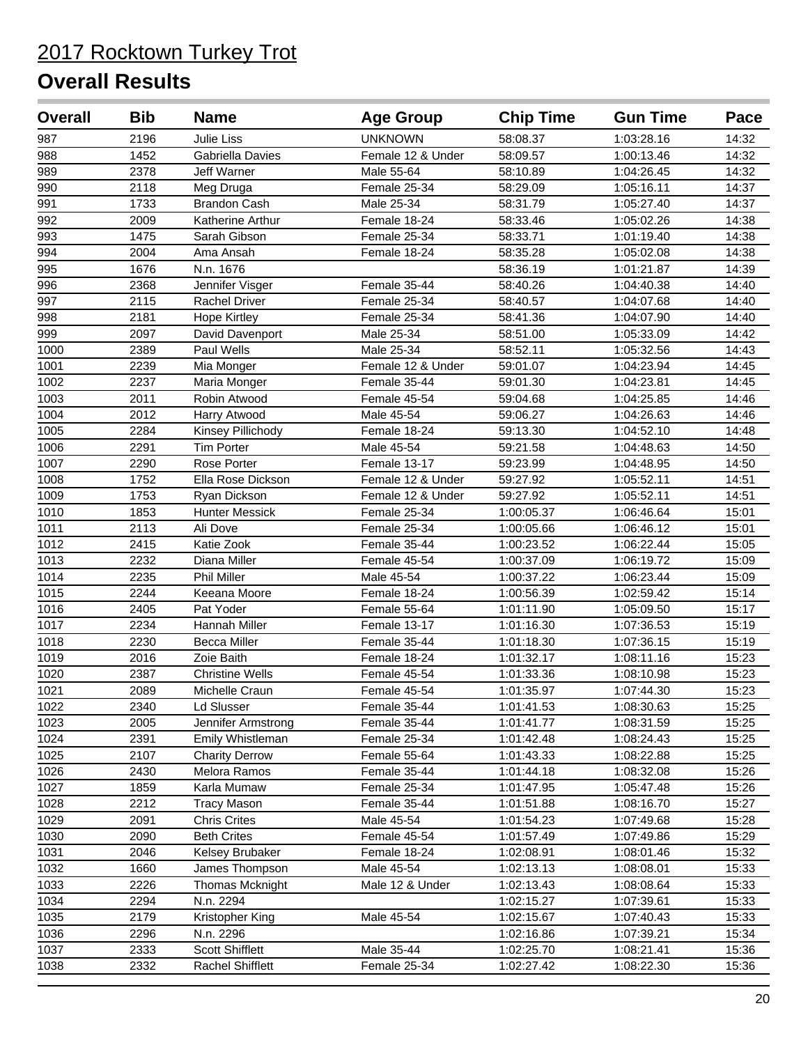| <b>Overall</b> | <b>Bib</b> | <b>Name</b>            | <b>Age Group</b>  | <b>Chip Time</b> | <b>Gun Time</b> | Pace  |
|----------------|------------|------------------------|-------------------|------------------|-----------------|-------|
| 987            | 2196       | Julie Liss             | <b>UNKNOWN</b>    | 58:08.37         | 1:03:28.16      | 14:32 |
| 988            | 1452       | Gabriella Davies       | Female 12 & Under | 58:09.57         | 1:00:13.46      | 14:32 |
| 989            | 2378       | Jeff Warner            | Male 55-64        | 58:10.89         | 1:04:26.45      | 14:32 |
| 990            | 2118       | Meg Druga              | Female 25-34      | 58:29.09         | 1:05:16.11      | 14:37 |
| 991            | 1733       | <b>Brandon Cash</b>    | Male 25-34        | 58:31.79         | 1:05:27.40      | 14:37 |
| 992            | 2009       | Katherine Arthur       | Female 18-24      | 58:33.46         | 1:05:02.26      | 14:38 |
| 993            | 1475       | Sarah Gibson           | Female 25-34      | 58:33.71         | 1:01:19.40      | 14:38 |
| 994            | 2004       | Ama Ansah              | Female 18-24      | 58:35.28         | 1:05:02.08      | 14:38 |
| 995            | 1676       | N.n. 1676              |                   | 58:36.19         | 1:01:21.87      | 14:39 |
| 996            | 2368       | Jennifer Visger        | Female 35-44      | 58:40.26         | 1:04:40.38      | 14:40 |
| 997            | 2115       | Rachel Driver          | Female 25-34      | 58:40.57         | 1:04:07.68      | 14:40 |
| 998            | 2181       | <b>Hope Kirtley</b>    | Female 25-34      | 58:41.36         | 1:04:07.90      | 14:40 |
| 999            | 2097       | David Davenport        | Male 25-34        | 58:51.00         | 1:05:33.09      | 14:42 |
| 1000           | 2389       | Paul Wells             | Male 25-34        | 58:52.11         | 1:05:32.56      | 14:43 |
| 1001           | 2239       | Mia Monger             | Female 12 & Under | 59:01.07         | 1:04:23.94      | 14:45 |
| 1002           | 2237       | Maria Monger           | Female 35-44      | 59:01.30         | 1:04:23.81      | 14:45 |
| 1003           | 2011       | Robin Atwood           | Female 45-54      | 59:04.68         | 1:04:25.85      | 14:46 |
| 1004           | 2012       | Harry Atwood           | Male 45-54        | 59:06.27         | 1:04:26.63      | 14:46 |
| 1005           | 2284       | Kinsey Pillichody      | Female 18-24      | 59:13.30         | 1:04:52.10      | 14:48 |
| 1006           | 2291       | <b>Tim Porter</b>      | Male 45-54        | 59:21.58         | 1:04:48.63      | 14:50 |
| 1007           | 2290       | Rose Porter            | Female 13-17      | 59:23.99         | 1:04:48.95      | 14:50 |
| 1008           | 1752       | Ella Rose Dickson      | Female 12 & Under | 59:27.92         | 1:05:52.11      | 14:51 |
| 1009           | 1753       | Ryan Dickson           | Female 12 & Under | 59:27.92         | 1:05:52.11      | 14:51 |
| 1010           | 1853       | <b>Hunter Messick</b>  | Female 25-34      | 1:00:05.37       | 1:06:46.64      | 15:01 |
| 1011           | 2113       | Ali Dove               | Female 25-34      | 1:00:05.66       | 1:06:46.12      | 15:01 |
| 1012           | 2415       | Katie Zook             | Female 35-44      | 1:00:23.52       | 1:06:22.44      | 15:05 |
| 1013           | 2232       | Diana Miller           | Female 45-54      | 1:00:37.09       | 1:06:19.72      | 15:09 |
| 1014           | 2235       | Phil Miller            | Male 45-54        | 1:00:37.22       | 1:06:23.44      | 15:09 |
| 1015           | 2244       | Keeana Moore           | Female 18-24      | 1:00:56.39       | 1:02:59.42      | 15:14 |
| 1016           | 2405       | Pat Yoder              | Female 55-64      | 1:01:11.90       | 1:05:09.50      | 15:17 |
| 1017           | 2234       | Hannah Miller          | Female 13-17      | 1:01:16.30       | 1:07:36.53      | 15:19 |
| 1018           | 2230       | <b>Becca Miller</b>    | Female 35-44      | 1:01:18.30       | 1:07:36.15      | 15:19 |
| 1019           | 2016       | Zoie Baith             | Female 18-24      | 1:01:32.17       | 1:08:11.16      | 15:23 |
| 1020           | 2387       | <b>Christine Wells</b> | Female 45-54      | 1:01:33.36       | 1:08:10.98      | 15:23 |
| 1021           | 2089       | Michelle Craun         | Female 45-54      | 1:01:35.97       | 1:07:44.30      | 15:23 |
| 1022           | 2340       | Ld Slusser             | Female $35-44$    | 1:01:41.53       | 1:08:30.63      | 15:25 |
| 1023           | 2005       | Jennifer Armstrong     | Female 35-44      | 1:01:41.77       | 1:08:31.59      | 15:25 |
| 1024           | 2391       | Emily Whistleman       | Female 25-34      | 1:01:42.48       | 1:08:24.43      | 15:25 |
| 1025           | 2107       | <b>Charity Derrow</b>  | Female 55-64      | 1:01:43.33       | 1:08:22.88      | 15:25 |
| 1026           | 2430       | Melora Ramos           | Female 35-44      | 1:01:44.18       | 1:08:32.08      | 15:26 |
| 1027           | 1859       | Karla Mumaw            | Female 25-34      | 1:01:47.95       | 1:05:47.48      | 15:26 |
| 1028           | 2212       | <b>Tracy Mason</b>     | Female 35-44      | 1:01:51.88       | 1:08:16.70      | 15:27 |
| 1029           | 2091       | <b>Chris Crites</b>    | Male 45-54        | 1:01:54.23       | 1:07:49.68      | 15:28 |
| 1030           | 2090       | <b>Beth Crites</b>     | Female 45-54      | 1:01:57.49       | 1:07:49.86      | 15:29 |
| 1031           | 2046       | Kelsey Brubaker        | Female 18-24      | 1:02:08.91       | 1:08:01.46      | 15:32 |
| 1032           | 1660       | James Thompson         | Male 45-54        | 1:02:13.13       | 1:08:08.01      | 15:33 |
| 1033           | 2226       | Thomas Mcknight        | Male 12 & Under   | 1:02:13.43       | 1:08:08.64      | 15:33 |
| 1034           | 2294       | N.n. 2294              |                   | 1:02:15.27       | 1:07:39.61      | 15:33 |
| 1035           | 2179       | Kristopher King        | Male 45-54        | 1:02:15.67       | 1:07:40.43      | 15:33 |
| 1036           | 2296       | N.n. 2296              |                   | 1:02:16.86       | 1:07:39.21      | 15:34 |
| 1037           | 2333       | <b>Scott Shifflett</b> | Male 35-44        | 1:02:25.70       | 1:08:21.41      | 15:36 |
| 1038           | 2332       | Rachel Shifflett       | Female 25-34      | 1:02:27.42       | 1:08:22.30      | 15:36 |
|                |            |                        |                   |                  |                 |       |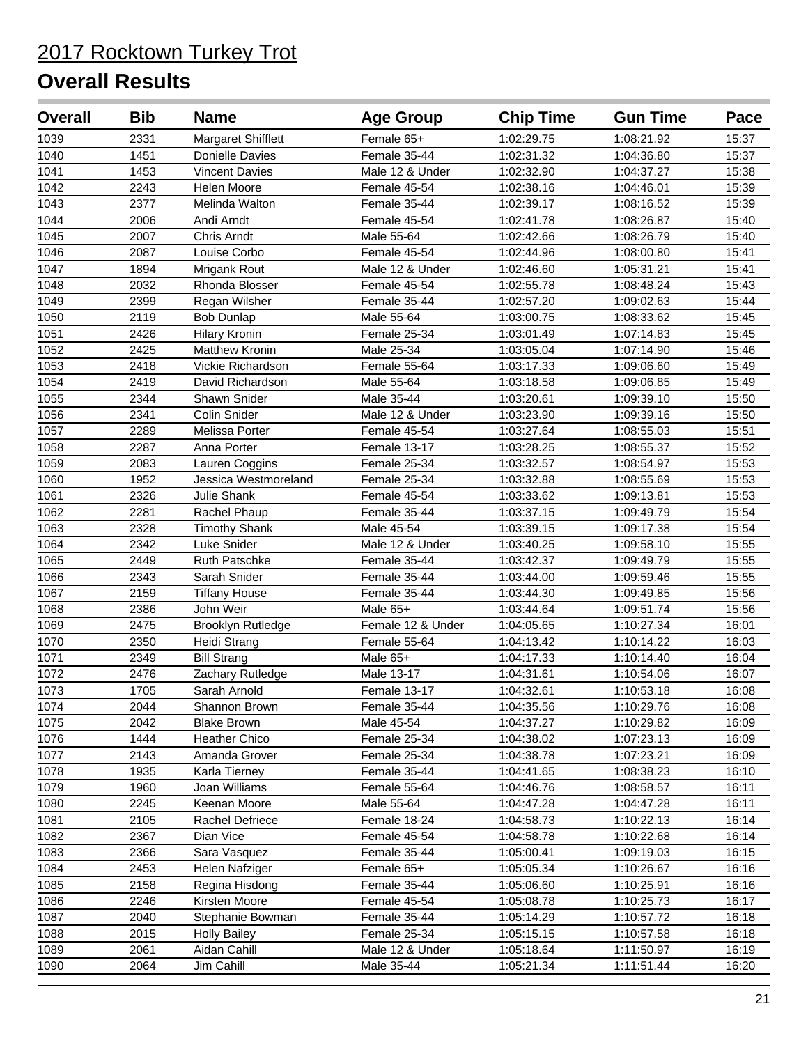| <b>Overall</b> | <b>Bib</b> | <b>Name</b>           | <b>Age Group</b>  | <b>Chip Time</b> | <b>Gun Time</b> | Pace  |
|----------------|------------|-----------------------|-------------------|------------------|-----------------|-------|
| 1039           | 2331       | Margaret Shifflett    | Female 65+        | 1:02:29.75       | 1:08:21.92      | 15:37 |
| 1040           | 1451       | Donielle Davies       | Female 35-44      | 1:02:31.32       | 1:04:36.80      | 15:37 |
| 1041           | 1453       | <b>Vincent Davies</b> | Male 12 & Under   | 1:02:32.90       | 1:04:37.27      | 15:38 |
| 1042           | 2243       | Helen Moore           | Female 45-54      | 1:02:38.16       | 1:04:46.01      | 15:39 |
| 1043           | 2377       | Melinda Walton        | Female 35-44      | 1:02:39.17       | 1:08:16.52      | 15:39 |
| 1044           | 2006       | Andi Arndt            | Female 45-54      | 1:02:41.78       | 1:08:26.87      | 15:40 |
| 1045           | 2007       | Chris Arndt           | Male 55-64        | 1:02:42.66       | 1:08:26.79      | 15:40 |
| 1046           | 2087       | Louise Corbo          | Female 45-54      | 1:02:44.96       | 1:08:00.80      | 15:41 |
| 1047           | 1894       | Mrigank Rout          | Male 12 & Under   | 1:02:46.60       | 1:05:31.21      | 15:41 |
| 1048           | 2032       | Rhonda Blosser        | Female 45-54      | 1:02:55.78       | 1:08:48.24      | 15:43 |
| 1049           | 2399       | Regan Wilsher         | Female 35-44      | 1:02:57.20       | 1:09:02.63      | 15:44 |
| 1050           | 2119       | <b>Bob Dunlap</b>     | Male 55-64        | 1:03:00.75       | 1:08:33.62      | 15:45 |
| 1051           | 2426       | <b>Hilary Kronin</b>  | Female 25-34      | 1:03:01.49       | 1:07:14.83      | 15:45 |
| 1052           | 2425       | <b>Matthew Kronin</b> | Male 25-34        | 1:03:05.04       | 1:07:14.90      | 15:46 |
| 1053           | 2418       | Vickie Richardson     | Female 55-64      | 1:03:17.33       | 1:09:06.60      | 15:49 |
| 1054           | 2419       | David Richardson      | Male 55-64        | 1:03:18.58       | 1:09:06.85      | 15:49 |
| 1055           | 2344       | Shawn Snider          | Male 35-44        | 1:03:20.61       | 1:09:39.10      | 15:50 |
| 1056           | 2341       | Colin Snider          | Male 12 & Under   | 1:03:23.90       | 1:09:39.16      | 15:50 |
| 1057           | 2289       | Melissa Porter        | Female 45-54      | 1:03:27.64       | 1:08:55.03      | 15:51 |
| 1058           | 2287       | Anna Porter           | Female 13-17      | 1:03:28.25       | 1:08:55.37      | 15:52 |
| 1059           | 2083       | Lauren Coggins        | Female 25-34      | 1:03:32.57       | 1:08:54.97      | 15:53 |
| 1060           | 1952       | Jessica Westmoreland  | Female 25-34      | 1:03:32.88       | 1:08:55.69      | 15:53 |
| 1061           | 2326       | Julie Shank           | Female 45-54      | 1:03:33.62       | 1:09:13.81      | 15:53 |
| 1062           | 2281       | Rachel Phaup          | Female 35-44      | 1:03:37.15       | 1:09:49.79      | 15:54 |
| 1063           | 2328       | <b>Timothy Shank</b>  | Male 45-54        | 1:03:39.15       | 1:09:17.38      | 15:54 |
| 1064           | 2342       | Luke Snider           | Male 12 & Under   | 1:03:40.25       | 1:09:58.10      | 15:55 |
| 1065           | 2449       | <b>Ruth Patschke</b>  | Female 35-44      | 1:03:42.37       | 1:09:49.79      | 15:55 |
| 1066           | 2343       | Sarah Snider          | Female 35-44      | 1:03:44.00       | 1:09:59.46      | 15:55 |
| 1067           | 2159       | <b>Tiffany House</b>  | Female 35-44      | 1:03:44.30       | 1:09:49.85      | 15:56 |
| 1068           | 2386       | John Weir             | Male 65+          | 1:03:44.64       | 1:09:51.74      | 15:56 |
| 1069           | 2475       | Brooklyn Rutledge     | Female 12 & Under | 1:04:05.65       | 1:10:27.34      | 16:01 |
| 1070           | 2350       | Heidi Strang          | Female 55-64      | 1:04:13.42       | 1:10:14.22      | 16:03 |
| 1071           | 2349       | <b>Bill Strang</b>    | Male 65+          | 1:04:17.33       | 1:10:14.40      | 16:04 |
| 1072           | 2476       | Zachary Rutledge      | Male 13-17        | 1:04:31.61       | 1:10:54.06      | 16:07 |
| 1073           | 1705       | Sarah Arnold          | Female 13-17      | 1:04:32.61       | 1:10:53.18      | 16:08 |
| 1074           | 2044       | Shannon Brown         | Female 35-44      | 1:04:35.56       | 1:10:29.76      | 16:08 |
| 1075           | 2042       | <b>Blake Brown</b>    | Male 45-54        | 1:04:37.27       | 1:10:29.82      | 16:09 |
| 1076           | 1444       | <b>Heather Chico</b>  | Female 25-34      | 1:04:38.02       | 1:07:23.13      | 16:09 |
| 1077           | 2143       | Amanda Grover         | Female 25-34      | 1:04:38.78       | 1:07:23.21      | 16:09 |
| 1078           | 1935       | Karla Tierney         | Female 35-44      | 1:04:41.65       | 1:08:38.23      | 16:10 |
| 1079           | 1960       | Joan Williams         | Female 55-64      | 1:04:46.76       | 1:08:58.57      | 16:11 |
| 1080           | 2245       | Keenan Moore          | Male 55-64        | 1:04:47.28       | 1:04:47.28      | 16:11 |
| 1081           | 2105       | Rachel Defriece       | Female 18-24      | 1:04:58.73       | 1:10:22.13      | 16:14 |
| 1082           | 2367       | Dian Vice             | Female 45-54      | 1:04:58.78       | 1:10:22.68      | 16:14 |
| 1083           | 2366       | Sara Vasquez          | Female 35-44      | 1:05:00.41       | 1:09:19.03      | 16:15 |
| 1084           | 2453       | Helen Nafziger        | Female 65+        | 1:05:05.34       | 1:10:26.67      | 16:16 |
| 1085           | 2158       | Regina Hisdong        | Female 35-44      | 1:05:06.60       | 1:10:25.91      | 16:16 |
| 1086           | 2246       | Kirsten Moore         | Female 45-54      | 1:05:08.78       | 1:10:25.73      | 16:17 |
| 1087           | 2040       | Stephanie Bowman      | Female 35-44      | 1:05:14.29       | 1:10:57.72      | 16:18 |
| 1088           | 2015       | <b>Holly Bailey</b>   | Female 25-34      | 1:05:15.15       | 1:10:57.58      | 16:18 |
| 1089           | 2061       | Aidan Cahill          | Male 12 & Under   | 1:05:18.64       | 1:11:50.97      | 16:19 |
| 1090           | 2064       | Jim Cahill            | Male 35-44        | 1:05:21.34       | 1:11:51.44      | 16:20 |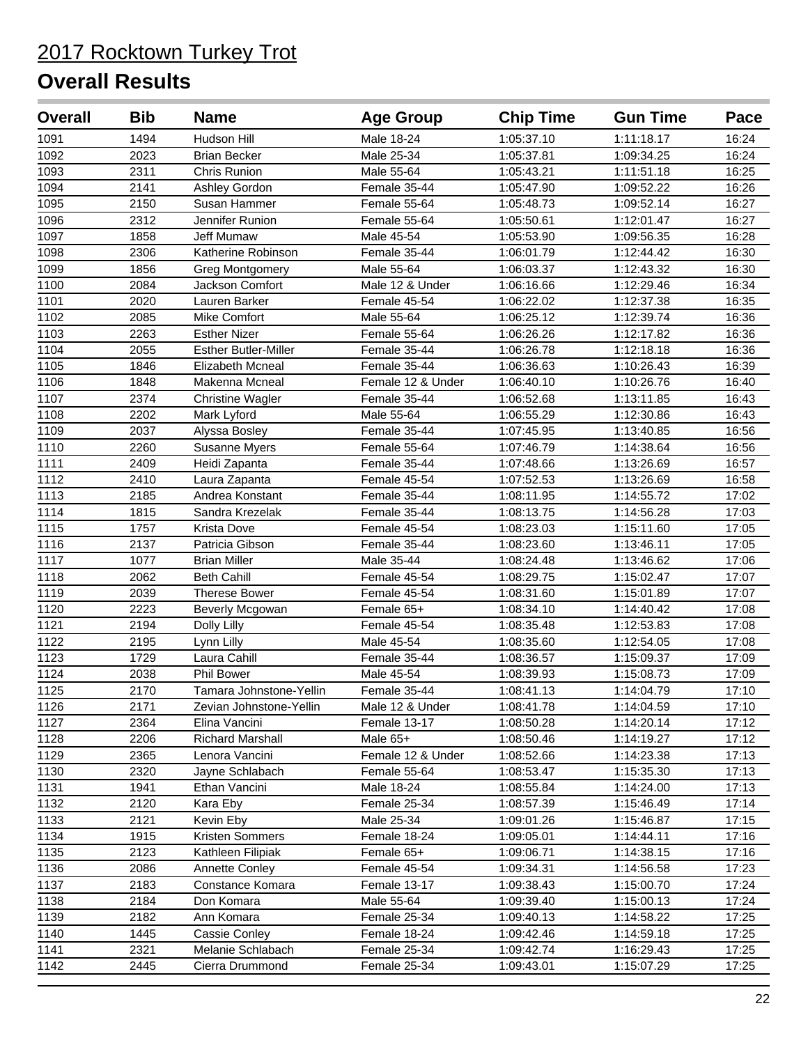| <b>Overall</b> | <b>Bib</b> | <b>Name</b>                 | <b>Age Group</b>  | <b>Chip Time</b> | <b>Gun Time</b> | Pace  |
|----------------|------------|-----------------------------|-------------------|------------------|-----------------|-------|
| 1091           | 1494       | Hudson Hill                 | Male 18-24        | 1:05:37.10       | 1:11:18.17      | 16:24 |
| 1092           | 2023       | <b>Brian Becker</b>         | Male 25-34        | 1:05:37.81       | 1:09:34.25      | 16:24 |
| 1093           | 2311       | Chris Runion                | Male 55-64        | 1:05:43.21       | 1:11:51.18      | 16:25 |
| 1094           | 2141       | Ashley Gordon               | Female 35-44      | 1:05:47.90       | 1:09:52.22      | 16:26 |
| 1095           | 2150       | Susan Hammer                | Female 55-64      | 1:05:48.73       | 1:09:52.14      | 16:27 |
| 1096           | 2312       | Jennifer Runion             | Female 55-64      | 1:05:50.61       | 1:12:01.47      | 16:27 |
| 1097           | 1858       | Jeff Mumaw                  | Male 45-54        | 1:05:53.90       | 1:09:56.35      | 16:28 |
| 1098           | 2306       | Katherine Robinson          | Female 35-44      | 1:06:01.79       | 1:12:44.42      | 16:30 |
| 1099           | 1856       | <b>Greg Montgomery</b>      | Male 55-64        | 1:06:03.37       | 1:12:43.32      | 16:30 |
| 1100           | 2084       | Jackson Comfort             | Male 12 & Under   | 1:06:16.66       | 1:12:29.46      | 16:34 |
| 1101           | 2020       | Lauren Barker               | Female 45-54      | 1:06:22.02       | 1:12:37.38      | 16:35 |
| 1102           | 2085       | Mike Comfort                | Male 55-64        | 1:06:25.12       | 1:12:39.74      | 16:36 |
| 1103           | 2263       | <b>Esther Nizer</b>         | Female 55-64      | 1:06:26.26       | 1:12:17.82      | 16:36 |
| 1104           | 2055       | <b>Esther Butler-Miller</b> | Female 35-44      | 1:06:26.78       | 1:12:18.18      | 16:36 |
| 1105           | 1846       | Elizabeth Mcneal            | Female 35-44      | 1:06:36.63       | 1:10:26.43      | 16:39 |
| 1106           | 1848       | Makenna Mcneal              | Female 12 & Under | 1:06:40.10       | 1:10:26.76      | 16:40 |
| 1107           | 2374       | <b>Christine Wagler</b>     | Female 35-44      | 1:06:52.68       | 1:13:11.85      | 16:43 |
| 1108           | 2202       | Mark Lyford                 | Male 55-64        | 1:06:55.29       | 1:12:30.86      | 16:43 |
| 1109           | 2037       | Alyssa Bosley               | Female 35-44      | 1:07:45.95       | 1:13:40.85      | 16:56 |
| 1110           | 2260       | Susanne Myers               | Female 55-64      | 1:07:46.79       | 1:14:38.64      | 16:56 |
| 1111           | 2409       | Heidi Zapanta               | Female 35-44      | 1:07:48.66       | 1:13:26.69      | 16:57 |
| 1112           | 2410       | Laura Zapanta               | Female 45-54      | 1:07:52.53       | 1:13:26.69      | 16:58 |
| 1113           | 2185       | Andrea Konstant             | Female 35-44      | 1:08:11.95       | 1:14:55.72      | 17:02 |
| 1114           | 1815       | Sandra Krezelak             | Female 35-44      | 1:08:13.75       | 1:14:56.28      | 17:03 |
| 1115           | 1757       | Krista Dove                 | Female 45-54      | 1:08:23.03       | 1:15:11.60      | 17:05 |
| 1116           | 2137       | Patricia Gibson             | Female 35-44      | 1:08:23.60       | 1:13:46.11      | 17:05 |
| 1117           | 1077       | <b>Brian Miller</b>         | Male 35-44        | 1:08:24.48       | 1:13:46.62      | 17:06 |
| 1118           | 2062       | <b>Beth Cahill</b>          | Female 45-54      | 1:08:29.75       | 1:15:02.47      | 17:07 |
| 1119           | 2039       | <b>Therese Bower</b>        | Female 45-54      | 1:08:31.60       | 1:15:01.89      | 17:07 |
| 1120           | 2223       | Beverly Mcgowan             | Female 65+        | 1:08:34.10       | 1:14:40.42      | 17:08 |
| 1121           | 2194       | Dolly Lilly                 | Female 45-54      | 1:08:35.48       | 1:12:53.83      | 17:08 |
| 1122           | 2195       | Lynn Lilly                  | Male 45-54        | 1:08:35.60       | 1:12:54.05      | 17:08 |
| 1123           | 1729       | Laura Cahill                | Female 35-44      | 1:08:36.57       | 1:15:09.37      | 17:09 |
| 1124           | 2038       | <b>Phil Bower</b>           | Male 45-54        | 1:08:39.93       | 1:15:08.73      | 17:09 |
| 1125           | 2170       | Tamara Johnstone-Yellin     | Female 35-44      | 1:08:41.13       | 1:14:04.79      | 17:10 |
| 1126           | 2171       | Zevian Johnstone-Yellin     | Male 12 & Under   | 1:08:41.78       | 1:14:04.59      | 17:10 |
| 1127           | 2364       | Elina Vancini               | Female 13-17      | 1:08:50.28       | 1:14:20.14      | 17:12 |
| 1128           | 2206       | Richard Marshall            | Male 65+          | 1:08:50.46       | 1:14:19.27      | 17:12 |
| 1129           | 2365       | Lenora Vancini              | Female 12 & Under | 1:08:52.66       | 1:14:23.38      | 17:13 |
| 1130           | 2320       | Jayne Schlabach             | Female 55-64      | 1:08:53.47       | 1:15:35.30      | 17:13 |
| 1131           | 1941       | Ethan Vancini               | Male 18-24        | 1:08:55.84       | 1:14:24.00      | 17:13 |
| 1132           | 2120       | Kara Eby                    | Female 25-34      | 1:08:57.39       | 1:15:46.49      | 17:14 |
| 1133           | 2121       | Kevin Eby                   | Male 25-34        | 1:09:01.26       | 1:15:46.87      | 17:15 |
| 1134           | 1915       | Kristen Sommers             | Female 18-24      | 1:09:05.01       | 1:14:44.11      | 17:16 |
| 1135           | 2123       | Kathleen Filipiak           | Female 65+        | 1:09:06.71       | 1:14:38.15      | 17:16 |
| 1136           | 2086       | <b>Annette Conley</b>       | Female 45-54      | 1:09:34.31       | 1:14:56.58      | 17:23 |
| 1137           | 2183       | Constance Komara            | Female 13-17      | 1:09:38.43       | 1:15:00.70      | 17:24 |
| 1138           | 2184       | Don Komara                  | Male 55-64        | 1:09:39.40       | 1:15:00.13      | 17:24 |
| 1139           | 2182       | Ann Komara                  | Female 25-34      | 1:09:40.13       | 1:14:58.22      | 17:25 |
| 1140           | 1445       | Cassie Conley               | Female 18-24      | 1:09:42.46       | 1:14:59.18      | 17:25 |
| 1141           | 2321       | Melanie Schlabach           | Female 25-34      | 1:09:42.74       | 1:16:29.43      | 17:25 |
| 1142           | 2445       | Cierra Drummond             | Female 25-34      | 1:09:43.01       | 1:15:07.29      | 17:25 |
|                |            |                             |                   |                  |                 |       |